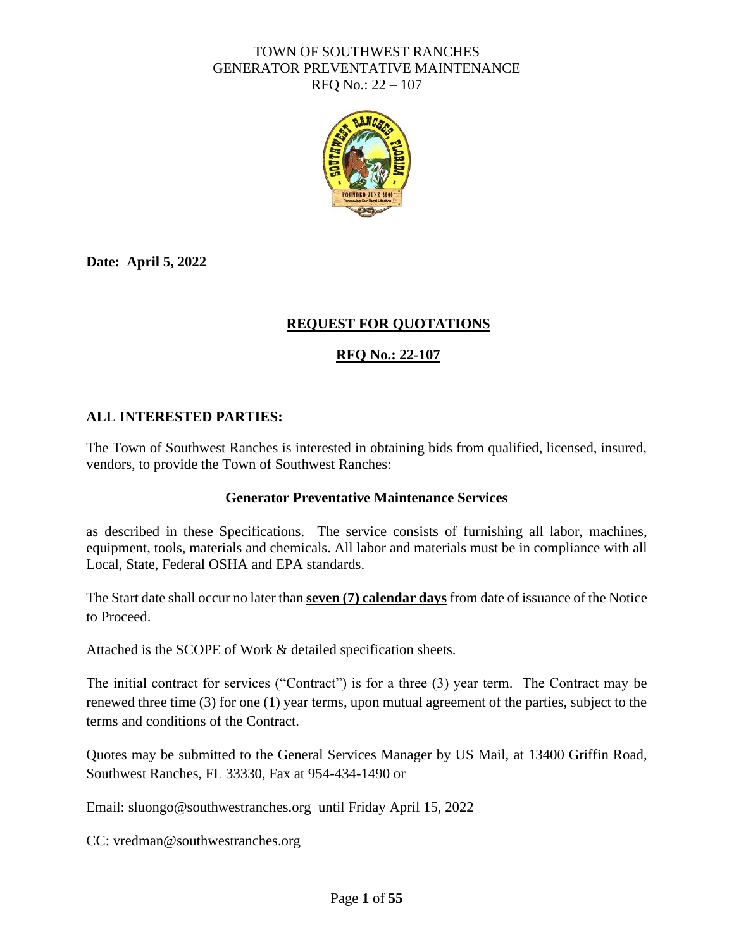

**Date: April 5, 2022**

## **REQUEST FOR QUOTATIONS**

# **RFQ No.: 22-107**

## **ALL INTERESTED PARTIES:**

The Town of Southwest Ranches is interested in obtaining bids from qualified, licensed, insured, vendors, to provide the Town of Southwest Ranches:

#### **Generator Preventative Maintenance Services**

as described in these Specifications. The service consists of furnishing all labor, machines, equipment, tools, materials and chemicals. All labor and materials must be in compliance with all Local, State, Federal OSHA and EPA standards.

The Start date shall occur no later than **seven (7) calendar days** from date of issuance of the Notice to Proceed.

Attached is the SCOPE of Work & detailed specification sheets.

The initial contract for services ("Contract") is for a three (3) year term. The Contract may be renewed three time (3) for one (1) year terms, upon mutual agreement of the parties, subject to the terms and conditions of the Contract.

Quotes may be submitted to the General Services Manager by US Mail, at 13400 Griffin Road, Southwest Ranches, FL 33330, Fax at 954-434-1490 or

Email: sluongo@southwestranches.org until Friday April 15, 2022

CC: vredman@southwestranches.org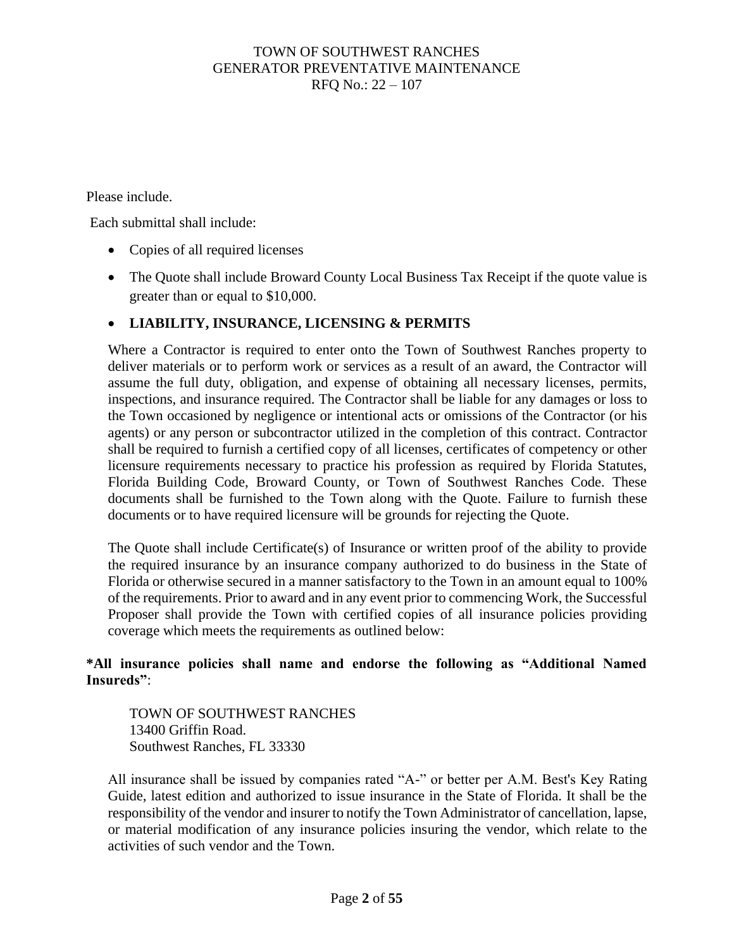Please include.

Each submittal shall include:

- Copies of all required licenses
- The Quote shall include Broward County Local Business Tax Receipt if the quote value is greater than or equal to \$10,000.

## • **LIABILITY, INSURANCE, LICENSING & PERMITS**

Where a Contractor is required to enter onto the Town of Southwest Ranches property to deliver materials or to perform work or services as a result of an award, the Contractor will assume the full duty, obligation, and expense of obtaining all necessary licenses, permits, inspections, and insurance required. The Contractor shall be liable for any damages or loss to the Town occasioned by negligence or intentional acts or omissions of the Contractor (or his agents) or any person or subcontractor utilized in the completion of this contract. Contractor shall be required to furnish a certified copy of all licenses, certificates of competency or other licensure requirements necessary to practice his profession as required by Florida Statutes, Florida Building Code, Broward County, or Town of Southwest Ranches Code. These documents shall be furnished to the Town along with the Quote. Failure to furnish these documents or to have required licensure will be grounds for rejecting the Quote.

The Quote shall include Certificate(s) of Insurance or written proof of the ability to provide the required insurance by an insurance company authorized to do business in the State of Florida or otherwise secured in a manner satisfactory to the Town in an amount equal to 100% of the requirements. Prior to award and in any event prior to commencing Work, the Successful Proposer shall provide the Town with certified copies of all insurance policies providing coverage which meets the requirements as outlined below:

## **\*All insurance policies shall name and endorse the following as "Additional Named Insureds"**:

TOWN OF SOUTHWEST RANCHES 13400 Griffin Road. Southwest Ranches, FL 33330

All insurance shall be issued by companies rated "A-" or better per A.M. Best's Key Rating Guide, latest edition and authorized to issue insurance in the State of Florida. It shall be the responsibility of the vendor and insurer to notify the Town Administrator of cancellation, lapse, or material modification of any insurance policies insuring the vendor, which relate to the activities of such vendor and the Town.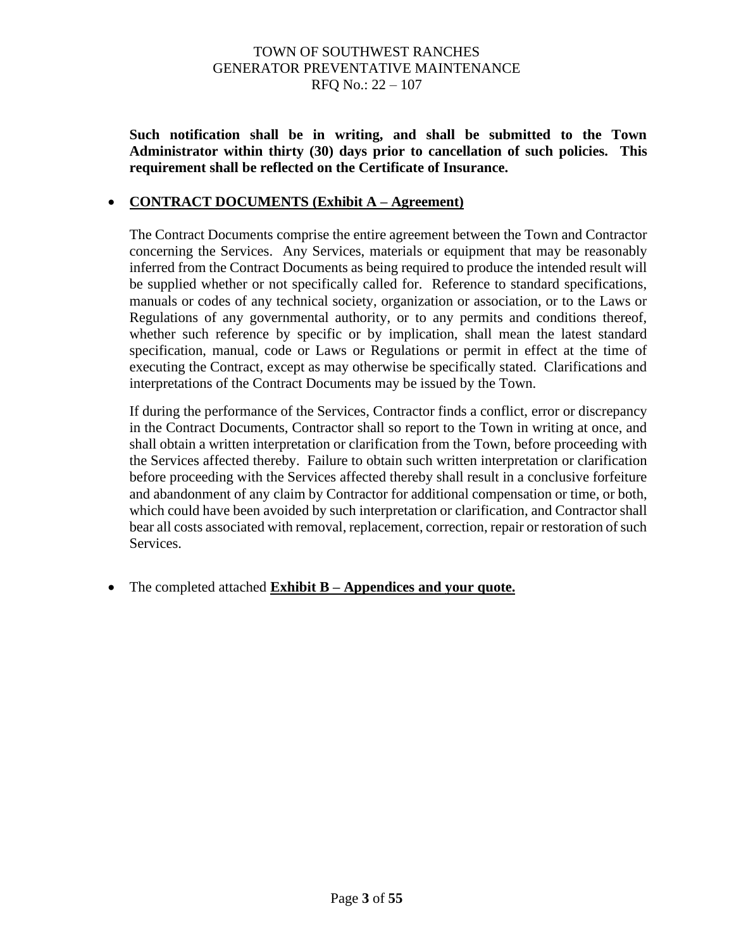**Such notification shall be in writing, and shall be submitted to the Town Administrator within thirty (30) days prior to cancellation of such policies. This requirement shall be reflected on the Certificate of Insurance.**

#### • **CONTRACT DOCUMENTS (Exhibit A – Agreement)**

The Contract Documents comprise the entire agreement between the Town and Contractor concerning the Services. Any Services, materials or equipment that may be reasonably inferred from the Contract Documents as being required to produce the intended result will be supplied whether or not specifically called for. Reference to standard specifications, manuals or codes of any technical society, organization or association, or to the Laws or Regulations of any governmental authority, or to any permits and conditions thereof, whether such reference by specific or by implication, shall mean the latest standard specification, manual, code or Laws or Regulations or permit in effect at the time of executing the Contract, except as may otherwise be specifically stated. Clarifications and interpretations of the Contract Documents may be issued by the Town.

If during the performance of the Services, Contractor finds a conflict, error or discrepancy in the Contract Documents, Contractor shall so report to the Town in writing at once, and shall obtain a written interpretation or clarification from the Town, before proceeding with the Services affected thereby. Failure to obtain such written interpretation or clarification before proceeding with the Services affected thereby shall result in a conclusive forfeiture and abandonment of any claim by Contractor for additional compensation or time, or both, which could have been avoided by such interpretation or clarification, and Contractor shall bear all costs associated with removal, replacement, correction, repair or restoration of such Services.

• The completed attached **Exhibit B – Appendices and your quote.**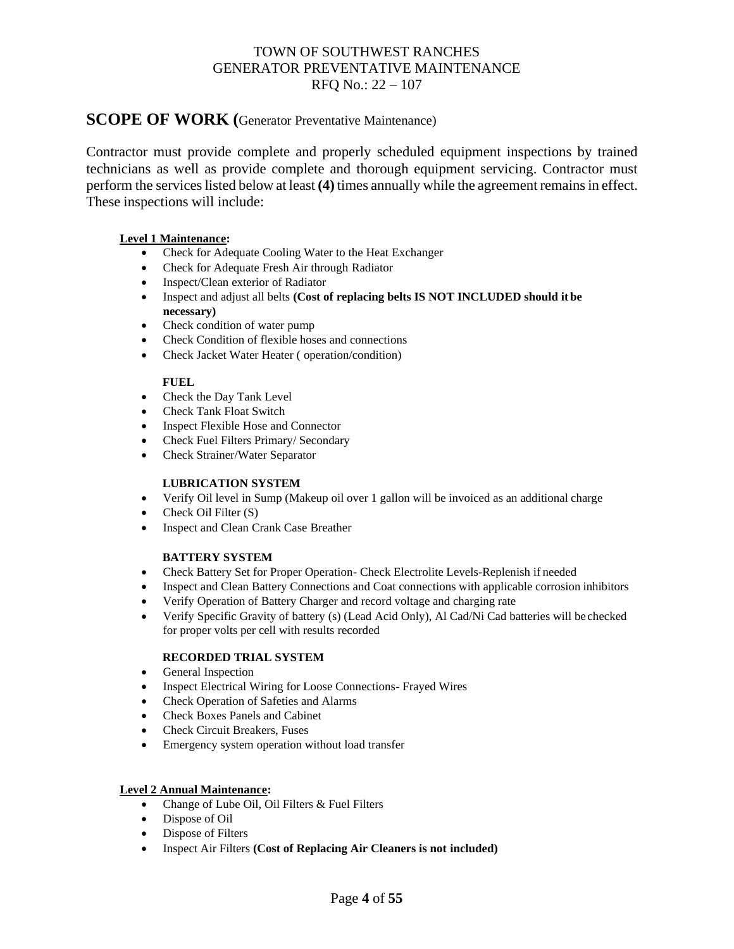## **SCOPE OF WORK (**Generator Preventative Maintenance)

Contractor must provide complete and properly scheduled equipment inspections by trained technicians as well as provide complete and thorough equipment servicing. Contractor must perform the serviceslisted below at least **(4)** times annually while the agreement remainsin effect. These inspections will include:

#### **Level 1 Maintenance:**

- Check for Adequate Cooling Water to the Heat Exchanger
- Check for Adequate Fresh Air through Radiator
- Inspect/Clean exterior of Radiator
- Inspect and adjust all belts **(Cost of replacing belts IS NOT INCLUDED should it be necessary)**
- Check condition of water pump
- Check Condition of flexible hoses and connections
- Check Jacket Water Heater ( operation/condition)

#### **FUEL**

- Check the Day Tank Level
- Check Tank Float Switch
- Inspect Flexible Hose and Connector
- Check Fuel Filters Primary/ Secondary
- Check Strainer/Water Separator

#### **LUBRICATION SYSTEM**

- Verify Oil level in Sump (Makeup oil over 1 gallon will be invoiced as an additional charge
- Check Oil Filter (S)
- Inspect and Clean Crank Case Breather

#### **BATTERY SYSTEM**

- Check Battery Set for Proper Operation- Check Electrolite Levels-Replenish if needed
- Inspect and Clean Battery Connections and Coat connections with applicable corrosion inhibitors
- Verify Operation of Battery Charger and record voltage and charging rate
- Verify Specific Gravity of battery (s) (Lead Acid Only), Al Cad/Ni Cad batteries will be checked for proper volts per cell with results recorded

#### **RECORDED TRIAL SYSTEM**

- General Inspection
- Inspect Electrical Wiring for Loose Connections- Frayed Wires
- Check Operation of Safeties and Alarms
- Check Boxes Panels and Cabinet
- Check Circuit Breakers, Fuses
- Emergency system operation without load transfer

#### **Level 2 Annual Maintenance:**

- Change of Lube Oil, Oil Filters & Fuel Filters
- Dispose of Oil
- Dispose of Filters
- Inspect Air Filters **(Cost of Replacing Air Cleaners is not included)**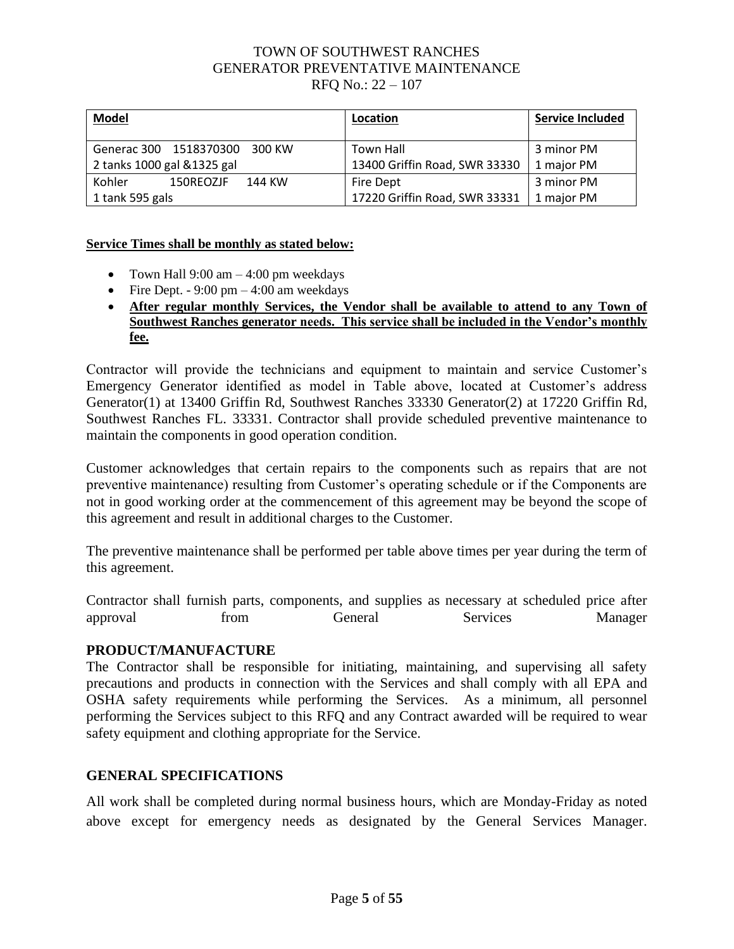| <b>Model</b>                         | Location                      | <b>Service Included</b> |
|--------------------------------------|-------------------------------|-------------------------|
| Generac 300 1518370300 300 KW        | <b>Town Hall</b>              | 3 minor PM              |
| 2 tanks 1000 gal & 1325 gal          | 13400 Griffin Road, SWR 33330 | 1 major PM              |
| <b>Kohler</b><br>144 KW<br>150REOZJF | Fire Dept                     | 3 minor PM              |
| 1 tank 595 gals                      | 17220 Griffin Road, SWR 33331 | 1 major PM              |

#### **Service Times shall be monthly as stated below:**

- Town Hall  $9:00 \text{ am} 4:00 \text{ pm}$  weekdays
- Fire Dept. 9:00 pm  $-$  4:00 am weekdays
- **After regular monthly Services, the Vendor shall be available to attend to any Town of Southwest Ranches generator needs. This service shall be included in the Vendor's monthly fee.**

Contractor will provide the technicians and equipment to maintain and service Customer's Emergency Generator identified as model in Table above, located at Customer's address Generator(1) at 13400 Griffin Rd, Southwest Ranches 33330 Generator(2) at 17220 Griffin Rd, Southwest Ranches FL. 33331. Contractor shall provide scheduled preventive maintenance to maintain the components in good operation condition.

Customer acknowledges that certain repairs to the components such as repairs that are not preventive maintenance) resulting from Customer's operating schedule or if the Components are not in good working order at the commencement of this agreement may be beyond the scope of this agreement and result in additional charges to the Customer.

The preventive maintenance shall be performed per table above times per year during the term of this agreement.

Contractor shall furnish parts, components, and supplies as necessary at scheduled price after approval from General Services Manager

#### **PRODUCT/MANUFACTURE**

The Contractor shall be responsible for initiating, maintaining, and supervising all safety precautions and products in connection with the Services and shall comply with all EPA and OSHA safety requirements while performing the Services. As a minimum, all personnel performing the Services subject to this RFQ and any Contract awarded will be required to wear safety equipment and clothing appropriate for the Service.

#### **GENERAL SPECIFICATIONS**

All work shall be completed during normal business hours, which are Monday-Friday as noted above except for emergency needs as designated by the General Services Manager.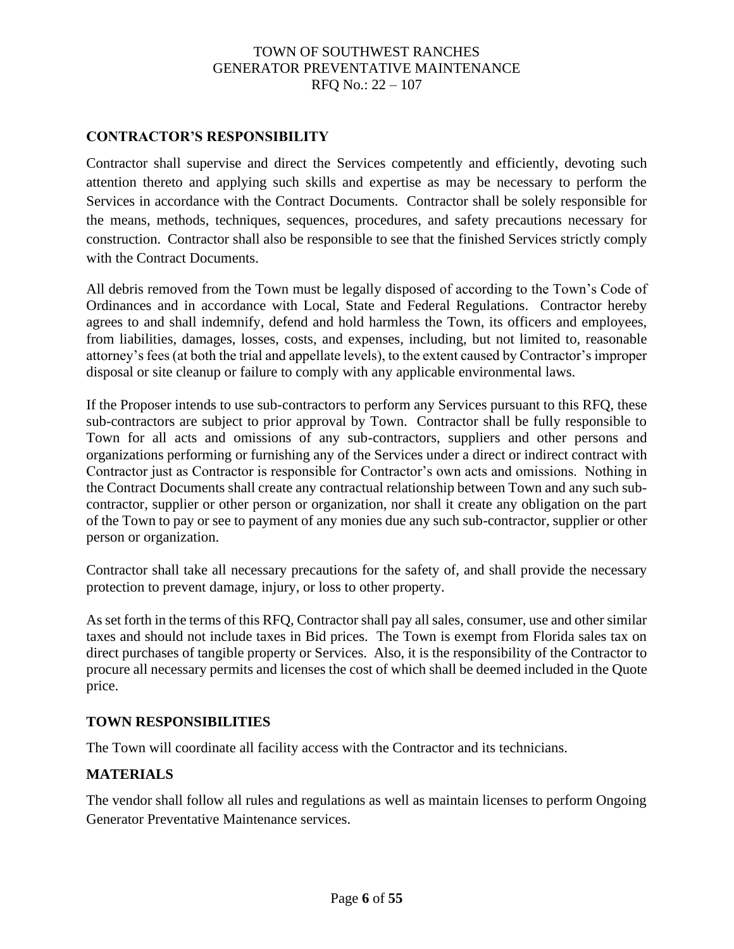## **CONTRACTOR'S RESPONSIBILITY**

Contractor shall supervise and direct the Services competently and efficiently, devoting such attention thereto and applying such skills and expertise as may be necessary to perform the Services in accordance with the Contract Documents. Contractor shall be solely responsible for the means, methods, techniques, sequences, procedures, and safety precautions necessary for construction. Contractor shall also be responsible to see that the finished Services strictly comply with the Contract Documents.

All debris removed from the Town must be legally disposed of according to the Town's Code of Ordinances and in accordance with Local, State and Federal Regulations. Contractor hereby agrees to and shall indemnify, defend and hold harmless the Town, its officers and employees, from liabilities, damages, losses, costs, and expenses, including, but not limited to, reasonable attorney's fees (at both the trial and appellate levels), to the extent caused by Contractor's improper disposal or site cleanup or failure to comply with any applicable environmental laws.

If the Proposer intends to use sub-contractors to perform any Services pursuant to this RFQ, these sub-contractors are subject to prior approval by Town. Contractor shall be fully responsible to Town for all acts and omissions of any sub-contractors, suppliers and other persons and organizations performing or furnishing any of the Services under a direct or indirect contract with Contractor just as Contractor is responsible for Contractor's own acts and omissions. Nothing in the Contract Documents shall create any contractual relationship between Town and any such subcontractor, supplier or other person or organization, nor shall it create any obligation on the part of the Town to pay or see to payment of any monies due any such sub-contractor, supplier or other person or organization.

Contractor shall take all necessary precautions for the safety of, and shall provide the necessary protection to prevent damage, injury, or loss to other property.

As set forth in the terms of this RFQ, Contractor shall pay all sales, consumer, use and other similar taxes and should not include taxes in Bid prices. The Town is exempt from Florida sales tax on direct purchases of tangible property or Services. Also, it is the responsibility of the Contractor to procure all necessary permits and licenses the cost of which shall be deemed included in the Quote price.

#### **TOWN RESPONSIBILITIES**

The Town will coordinate all facility access with the Contractor and its technicians.

# **MATERIALS**

The vendor shall follow all rules and regulations as well as maintain licenses to perform Ongoing Generator Preventative Maintenance services.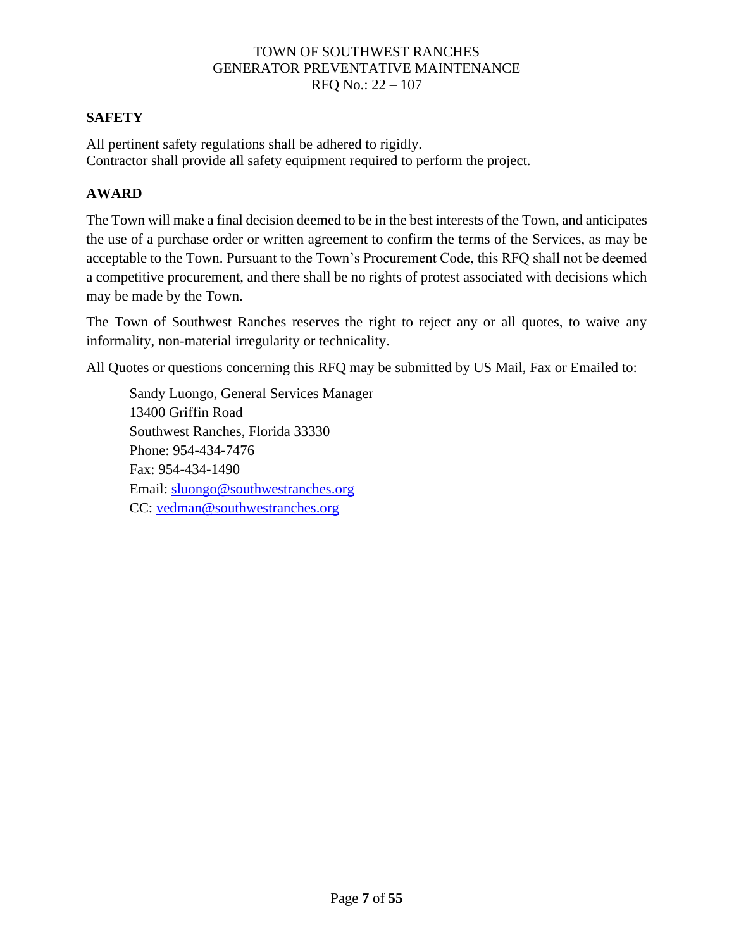# **SAFETY**

All pertinent safety regulations shall be adhered to rigidly. Contractor shall provide all safety equipment required to perform the project.

# **AWARD**

The Town will make a final decision deemed to be in the best interests of the Town, and anticipates the use of a purchase order or written agreement to confirm the terms of the Services, as may be acceptable to the Town. Pursuant to the Town's Procurement Code, this RFQ shall not be deemed a competitive procurement, and there shall be no rights of protest associated with decisions which may be made by the Town.

The Town of Southwest Ranches reserves the right to reject any or all quotes, to waive any informality, non-material irregularity or technicality.

All Quotes or questions concerning this RFQ may be submitted by US Mail, Fax or Emailed to:

Sandy Luongo, General Services Manager 13400 Griffin Road Southwest Ranches, Florida 33330 Phone: 954-434-7476 Fax: 954-434-1490 Email: [sluongo@southwestranches.org](mailto:sluongo@southwestranches.org) CC: [vedman@southwestranches.org](mailto:vedman@southwestranches.org)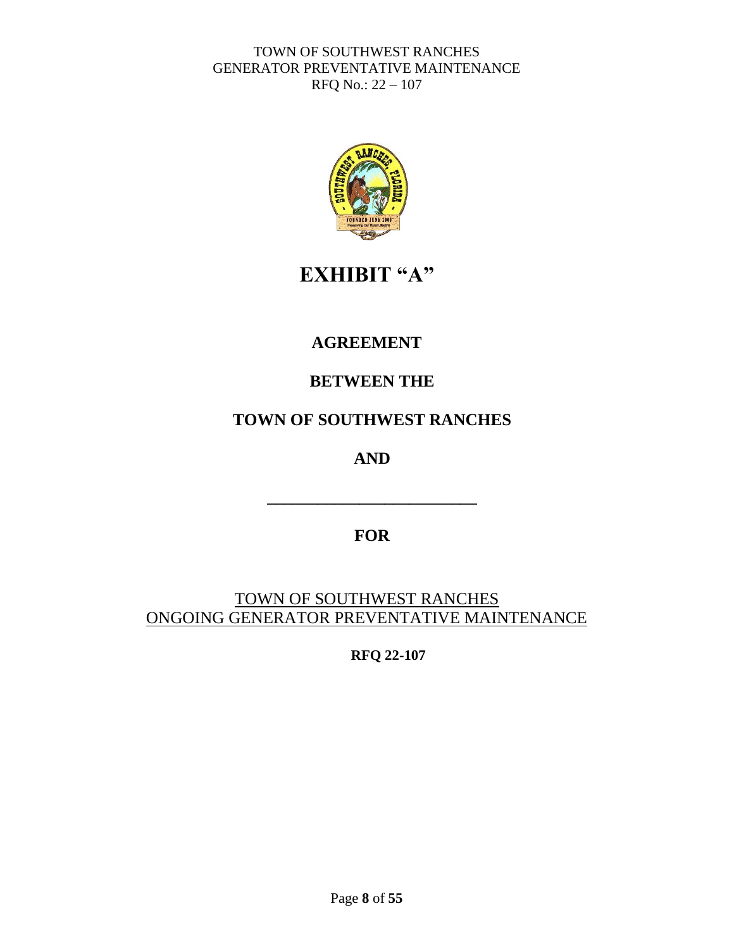

# **EXHIBIT "A"**

# **AGREEMENT**

# **BETWEEN THE**

# **TOWN OF SOUTHWEST RANCHES**

# **AND**

# **FOR**

**\_\_\_\_\_\_\_\_\_\_\_\_\_\_\_\_\_\_\_\_\_\_\_\_\_**

# TOWN OF SOUTHWEST RANCHES ONGOING GENERATOR PREVENTATIVE MAINTENANCE

# **RFQ 22-107**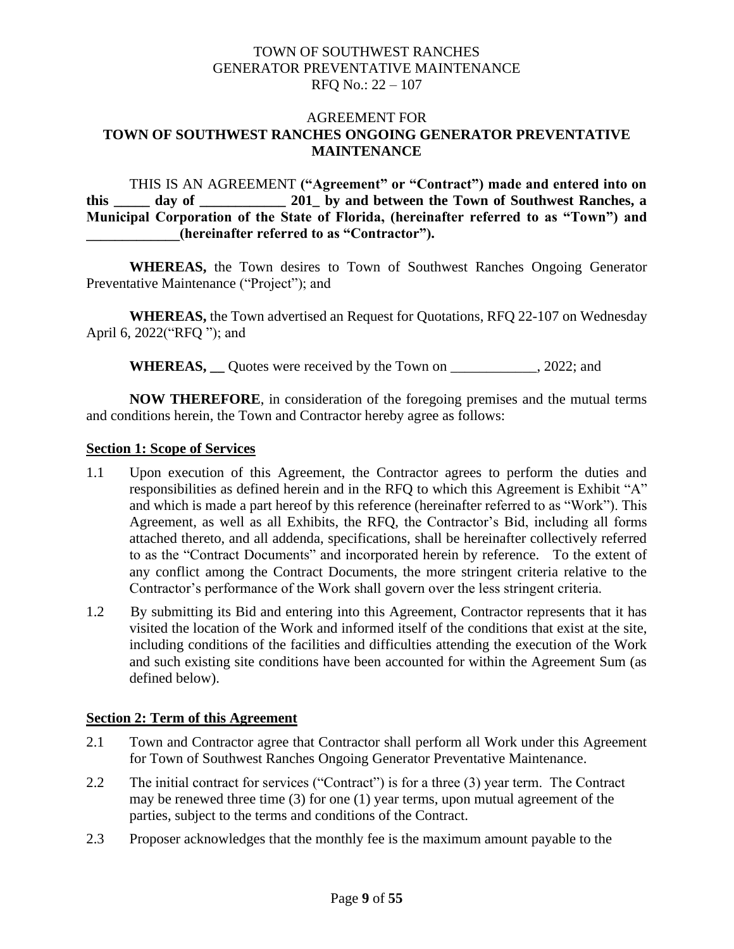#### AGREEMENT FOR **TOWN OF SOUTHWEST RANCHES ONGOING GENERATOR PREVENTATIVE MAINTENANCE**

THIS IS AN AGREEMENT **("Agreement" or "Contract") made and entered into on this \_\_\_\_\_ day of \_\_\_\_\_\_\_\_\_\_\_\_ 201\_ by and between the Town of Southwest Ranches, a Municipal Corporation of the State of Florida, (hereinafter referred to as "Town") and \_\_\_\_\_\_\_\_\_\_\_\_\_(hereinafter referred to as "Contractor").**

**WHEREAS,** the Town desires to Town of Southwest Ranches Ongoing Generator Preventative Maintenance ("Project"); and

**WHEREAS,** the Town advertised an Request for Quotations, RFQ 22-107 on Wednesday April 6, 2022("RFQ "); and

WHEREAS, Quotes were received by the Town on \_\_\_\_\_\_\_\_\_\_, 2022; and

**NOW THEREFORE**, in consideration of the foregoing premises and the mutual terms and conditions herein, the Town and Contractor hereby agree as follows:

#### **Section 1: Scope of Services**

- 1.1 Upon execution of this Agreement, the Contractor agrees to perform the duties and responsibilities as defined herein and in the RFQ to which this Agreement is Exhibit "A" and which is made a part hereof by this reference (hereinafter referred to as "Work"). This Agreement, as well as all Exhibits, the RFQ, the Contractor's Bid, including all forms attached thereto, and all addenda, specifications, shall be hereinafter collectively referred to as the "Contract Documents" and incorporated herein by reference. To the extent of any conflict among the Contract Documents, the more stringent criteria relative to the Contractor's performance of the Work shall govern over the less stringent criteria.
- 1.2 By submitting its Bid and entering into this Agreement, Contractor represents that it has visited the location of the Work and informed itself of the conditions that exist at the site, including conditions of the facilities and difficulties attending the execution of the Work and such existing site conditions have been accounted for within the Agreement Sum (as defined below).

#### **Section 2: Term of this Agreement**

- 2.1 Town and Contractor agree that Contractor shall perform all Work under this Agreement for Town of Southwest Ranches Ongoing Generator Preventative Maintenance.
- 2.2 The initial contract for services ("Contract") is for a three (3) year term. The Contract may be renewed three time (3) for one (1) year terms, upon mutual agreement of the parties, subject to the terms and conditions of the Contract.
- 2.3 Proposer acknowledges that the monthly fee is the maximum amount payable to the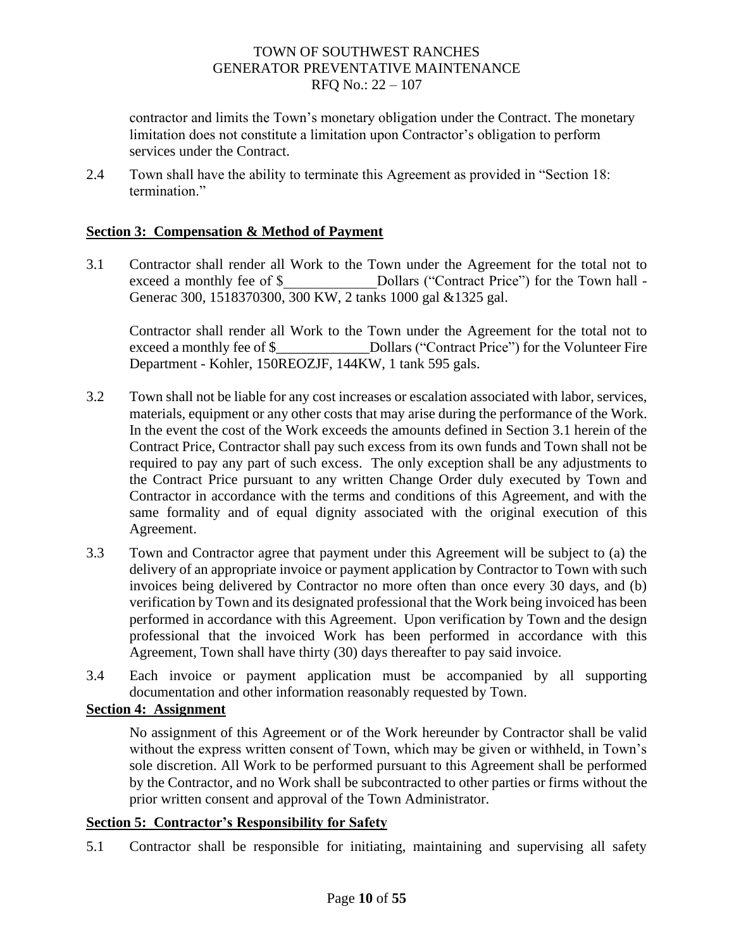contractor and limits the Town's monetary obligation under the Contract. The monetary limitation does not constitute a limitation upon Contractor's obligation to perform services under the Contract.

2.4 Town shall have the ability to terminate this Agreement as provided in "Section 18: termination."

#### **Section 3: Compensation & Method of Payment**

3.1 Contractor shall render all Work to the Town under the Agreement for the total not to exceed a monthly fee of \$ Dollars ("Contract Price") for the Town hall -Generac 300, 1518370300, 300 KW, 2 tanks 1000 gal &1325 gal.

Contractor shall render all Work to the Town under the Agreement for the total not to exceed a monthly fee of \$\_\_\_\_\_\_\_\_\_\_\_\_\_\_\_\_\_\_\_\_\_\_\_\_\_\_\_Dollars ("Contract Price") for the Volunteer Fire Department - Kohler, 150REOZJF, 144KW, 1 tank 595 gals.

- 3.2 Town shall not be liable for any cost increases or escalation associated with labor, services, materials, equipment or any other costs that may arise during the performance of the Work. In the event the cost of the Work exceeds the amounts defined in Section 3.1 herein of the Contract Price, Contractor shall pay such excess from its own funds and Town shall not be required to pay any part of such excess. The only exception shall be any adjustments to the Contract Price pursuant to any written Change Order duly executed by Town and Contractor in accordance with the terms and conditions of this Agreement, and with the same formality and of equal dignity associated with the original execution of this Agreement.
- 3.3 Town and Contractor agree that payment under this Agreement will be subject to (a) the delivery of an appropriate invoice or payment application by Contractor to Town with such invoices being delivered by Contractor no more often than once every 30 days, and (b) verification by Town and its designated professional that the Work being invoiced has been performed in accordance with this Agreement. Upon verification by Town and the design professional that the invoiced Work has been performed in accordance with this Agreement, Town shall have thirty (30) days thereafter to pay said invoice.
- 3.4 Each invoice or payment application must be accompanied by all supporting documentation and other information reasonably requested by Town.

#### **Section 4: Assignment**

No assignment of this Agreement or of the Work hereunder by Contractor shall be valid without the express written consent of Town, which may be given or withheld, in Town's sole discretion. All Work to be performed pursuant to this Agreement shall be performed by the Contractor, and no Work shall be subcontracted to other parties or firms without the prior written consent and approval of the Town Administrator.

## **Section 5: Contractor's Responsibility for Safety**

5.1 Contractor shall be responsible for initiating, maintaining and supervising all safety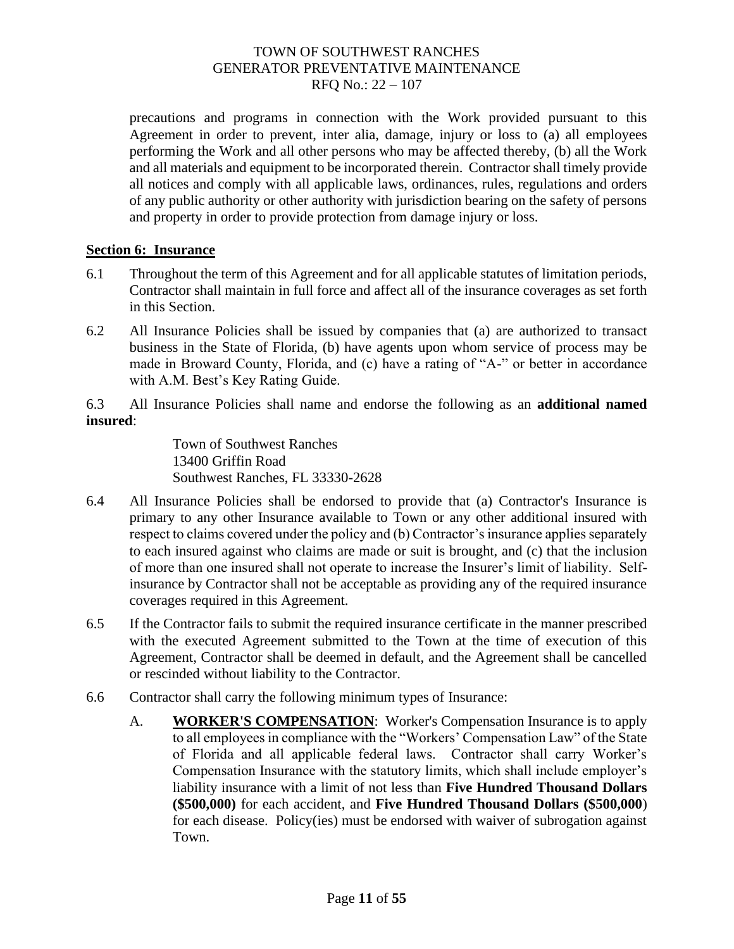precautions and programs in connection with the Work provided pursuant to this Agreement in order to prevent, inter alia, damage, injury or loss to (a) all employees performing the Work and all other persons who may be affected thereby, (b) all the Work and all materials and equipment to be incorporated therein. Contractor shall timely provide all notices and comply with all applicable laws, ordinances, rules, regulations and orders of any public authority or other authority with jurisdiction bearing on the safety of persons and property in order to provide protection from damage injury or loss.

## **Section 6: Insurance**

- 6.1 Throughout the term of this Agreement and for all applicable statutes of limitation periods, Contractor shall maintain in full force and affect all of the insurance coverages as set forth in this Section.
- 6.2 All Insurance Policies shall be issued by companies that (a) are authorized to transact business in the State of Florida, (b) have agents upon whom service of process may be made in Broward County, Florida, and (c) have a rating of "A-" or better in accordance with A.M. Best's Key Rating Guide.

6.3 All Insurance Policies shall name and endorse the following as an **additional named insured**:

> Town of Southwest Ranches 13400 Griffin Road Southwest Ranches, FL 33330-2628

- 6.4 All Insurance Policies shall be endorsed to provide that (a) Contractor's Insurance is primary to any other Insurance available to Town or any other additional insured with respect to claims covered under the policy and (b) Contractor's insurance applies separately to each insured against who claims are made or suit is brought, and (c) that the inclusion of more than one insured shall not operate to increase the Insurer's limit of liability. Selfinsurance by Contractor shall not be acceptable as providing any of the required insurance coverages required in this Agreement.
- 6.5 If the Contractor fails to submit the required insurance certificate in the manner prescribed with the executed Agreement submitted to the Town at the time of execution of this Agreement, Contractor shall be deemed in default, and the Agreement shall be cancelled or rescinded without liability to the Contractor.
- 6.6 Contractor shall carry the following minimum types of Insurance:
	- A. **WORKER'S COMPENSATION:** Worker's Compensation Insurance is to apply to all employees in compliance with the "Workers' Compensation Law" of the State of Florida and all applicable federal laws. Contractor shall carry Worker's Compensation Insurance with the statutory limits, which shall include employer's liability insurance with a limit of not less than **Five Hundred Thousand Dollars (\$500,000)** for each accident, and **Five Hundred Thousand Dollars (\$500,000**) for each disease. Policy(ies) must be endorsed with waiver of subrogation against Town.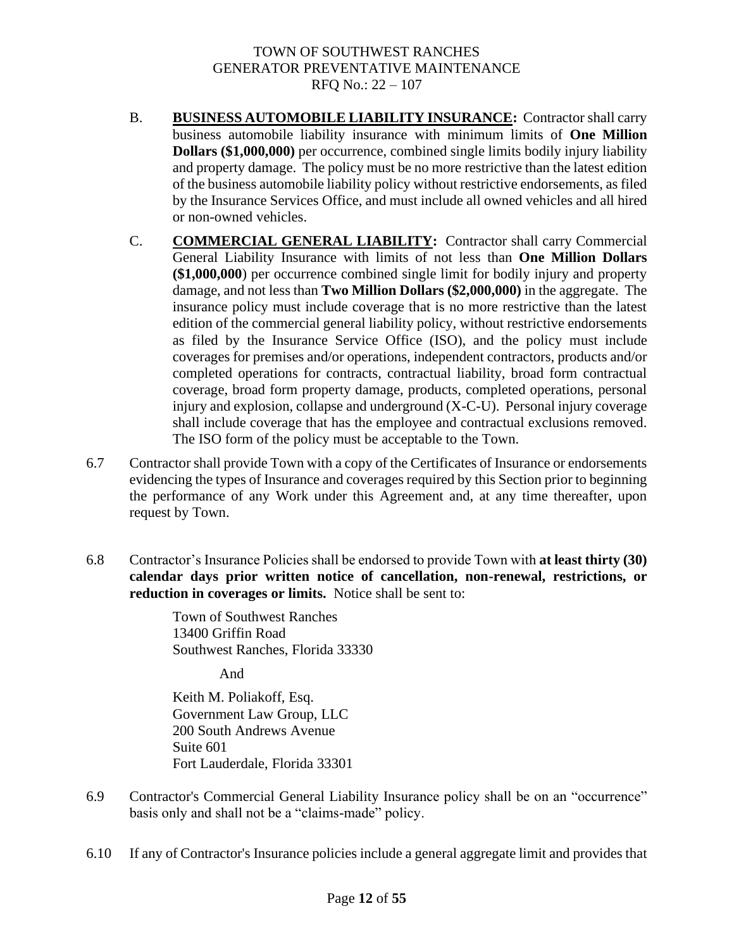- B. **BUSINESS AUTOMOBILE LIABILITY INSURANCE:** Contractor shall carry business automobile liability insurance with minimum limits of **One Million Dollars (\$1,000,000)** per occurrence, combined single limits bodily injury liability and property damage. The policy must be no more restrictive than the latest edition of the business automobile liability policy without restrictive endorsements, as filed by the Insurance Services Office, and must include all owned vehicles and all hired or non-owned vehicles.
- C. **COMMERCIAL GENERAL LIABILITY:** Contractor shall carry Commercial General Liability Insurance with limits of not less than **One Million Dollars (\$1,000,000**) per occurrence combined single limit for bodily injury and property damage, and not less than **Two Million Dollars (\$2,000,000)** in the aggregate. The insurance policy must include coverage that is no more restrictive than the latest edition of the commercial general liability policy, without restrictive endorsements as filed by the Insurance Service Office (ISO), and the policy must include coverages for premises and/or operations, independent contractors, products and/or completed operations for contracts, contractual liability, broad form contractual coverage, broad form property damage, products, completed operations, personal injury and explosion, collapse and underground (X-C-U). Personal injury coverage shall include coverage that has the employee and contractual exclusions removed. The ISO form of the policy must be acceptable to the Town.
- 6.7 Contractor shall provide Town with a copy of the Certificates of Insurance or endorsements evidencing the types of Insurance and coverages required by this Section prior to beginning the performance of any Work under this Agreement and, at any time thereafter, upon request by Town.
- 6.8 Contractor's Insurance Policies shall be endorsed to provide Town with **at least thirty (30) calendar days prior written notice of cancellation, non-renewal, restrictions, or reduction in coverages or limits.** Notice shall be sent to:

Town of Southwest Ranches 13400 Griffin Road Southwest Ranches, Florida 33330

And

Keith M. Poliakoff, Esq. Government Law Group, LLC 200 South Andrews Avenue Suite 601 Fort Lauderdale, Florida 33301

- 6.9 Contractor's Commercial General Liability Insurance policy shall be on an "occurrence" basis only and shall not be a "claims-made" policy.
- 6.10 If any of Contractor's Insurance policies include a general aggregate limit and provides that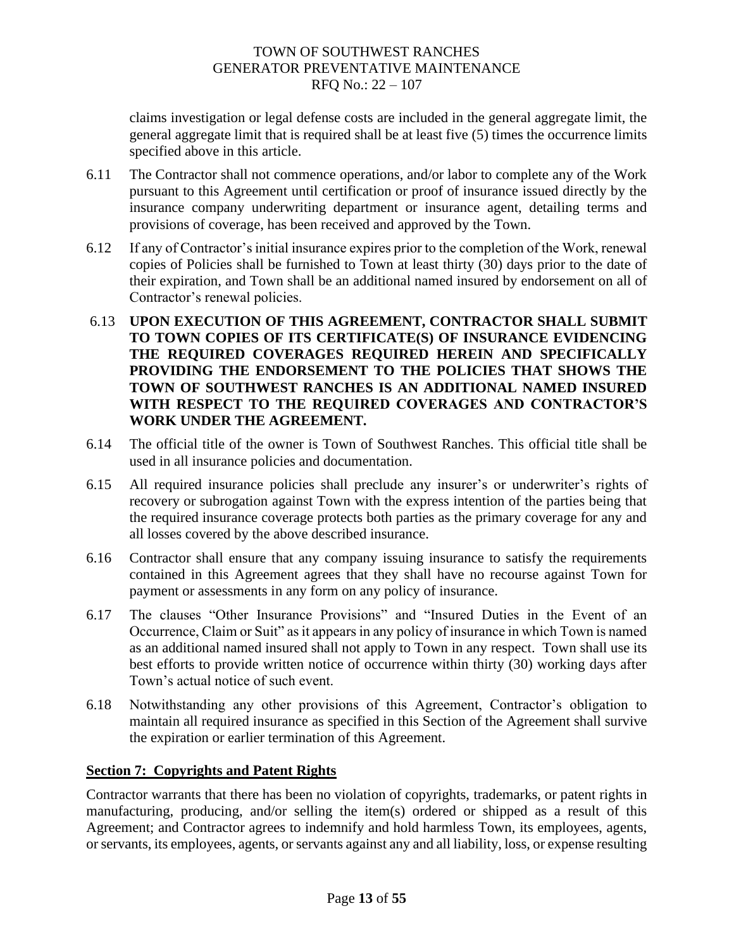claims investigation or legal defense costs are included in the general aggregate limit, the general aggregate limit that is required shall be at least five (5) times the occurrence limits specified above in this article.

- 6.11 The Contractor shall not commence operations, and/or labor to complete any of the Work pursuant to this Agreement until certification or proof of insurance issued directly by the insurance company underwriting department or insurance agent, detailing terms and provisions of coverage, has been received and approved by the Town.
- 6.12 If any of Contractor's initial insurance expires prior to the completion of the Work, renewal copies of Policies shall be furnished to Town at least thirty (30) days prior to the date of their expiration, and Town shall be an additional named insured by endorsement on all of Contractor's renewal policies.
- 6.13 **UPON EXECUTION OF THIS AGREEMENT, CONTRACTOR SHALL SUBMIT TO TOWN COPIES OF ITS CERTIFICATE(S) OF INSURANCE EVIDENCING THE REQUIRED COVERAGES REQUIRED HEREIN AND SPECIFICALLY PROVIDING THE ENDORSEMENT TO THE POLICIES THAT SHOWS THE TOWN OF SOUTHWEST RANCHES IS AN ADDITIONAL NAMED INSURED WITH RESPECT TO THE REQUIRED COVERAGES AND CONTRACTOR'S WORK UNDER THE AGREEMENT.**
- 6.14 The official title of the owner is Town of Southwest Ranches. This official title shall be used in all insurance policies and documentation.
- 6.15 All required insurance policies shall preclude any insurer's or underwriter's rights of recovery or subrogation against Town with the express intention of the parties being that the required insurance coverage protects both parties as the primary coverage for any and all losses covered by the above described insurance.
- 6.16 Contractor shall ensure that any company issuing insurance to satisfy the requirements contained in this Agreement agrees that they shall have no recourse against Town for payment or assessments in any form on any policy of insurance.
- 6.17 The clauses "Other Insurance Provisions" and "Insured Duties in the Event of an Occurrence, Claim or Suit" as it appears in any policy of insurance in which Town is named as an additional named insured shall not apply to Town in any respect. Town shall use its best efforts to provide written notice of occurrence within thirty (30) working days after Town's actual notice of such event.
- 6.18 Notwithstanding any other provisions of this Agreement, Contractor's obligation to maintain all required insurance as specified in this Section of the Agreement shall survive the expiration or earlier termination of this Agreement.

# **Section 7: Copyrights and Patent Rights**

Contractor warrants that there has been no violation of copyrights, trademarks, or patent rights in manufacturing, producing, and/or selling the item(s) ordered or shipped as a result of this Agreement; and Contractor agrees to indemnify and hold harmless Town, its employees, agents, or servants, its employees, agents, or servants against any and all liability, loss, or expense resulting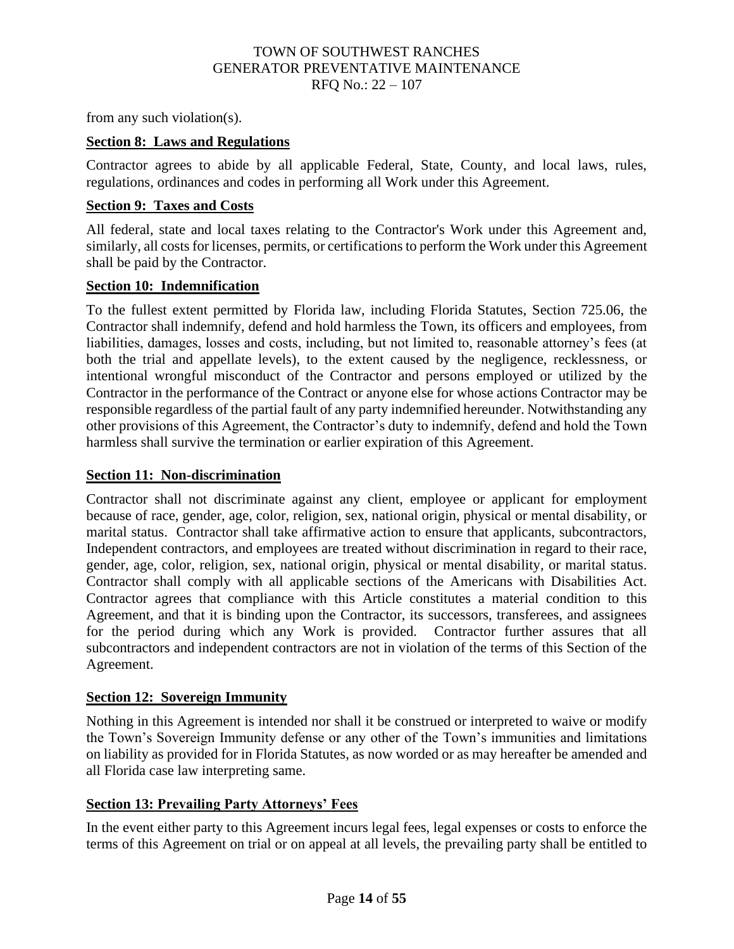from any such violation(s).

#### **Section 8: Laws and Regulations**

Contractor agrees to abide by all applicable Federal, State, County, and local laws, rules, regulations, ordinances and codes in performing all Work under this Agreement.

#### **Section 9: Taxes and Costs**

All federal, state and local taxes relating to the Contractor's Work under this Agreement and, similarly, all costs for licenses, permits, or certifications to perform the Work under this Agreement shall be paid by the Contractor.

#### **Section 10: Indemnification**

To the fullest extent permitted by Florida law, including Florida Statutes, Section 725.06, the Contractor shall indemnify, defend and hold harmless the Town, its officers and employees, from liabilities, damages, losses and costs, including, but not limited to, reasonable attorney's fees (at both the trial and appellate levels), to the extent caused by the negligence, recklessness, or intentional wrongful misconduct of the Contractor and persons employed or utilized by the Contractor in the performance of the Contract or anyone else for whose actions Contractor may be responsible regardless of the partial fault of any party indemnified hereunder. Notwithstanding any other provisions of this Agreement, the Contractor's duty to indemnify, defend and hold the Town harmless shall survive the termination or earlier expiration of this Agreement.

#### **Section 11: Non-discrimination**

Contractor shall not discriminate against any client, employee or applicant for employment because of race, gender, age, color, religion, sex, national origin, physical or mental disability, or marital status. Contractor shall take affirmative action to ensure that applicants, subcontractors, Independent contractors, and employees are treated without discrimination in regard to their race, gender, age, color, religion, sex, national origin, physical or mental disability, or marital status. Contractor shall comply with all applicable sections of the Americans with Disabilities Act. Contractor agrees that compliance with this Article constitutes a material condition to this Agreement, and that it is binding upon the Contractor, its successors, transferees, and assignees for the period during which any Work is provided. Contractor further assures that all subcontractors and independent contractors are not in violation of the terms of this Section of the Agreement.

#### **Section 12: Sovereign Immunity**

Nothing in this Agreement is intended nor shall it be construed or interpreted to waive or modify the Town's Sovereign Immunity defense or any other of the Town's immunities and limitations on liability as provided for in Florida Statutes, as now worded or as may hereafter be amended and all Florida case law interpreting same.

#### **Section 13: Prevailing Party Attorneys' Fees**

In the event either party to this Agreement incurs legal fees, legal expenses or costs to enforce the terms of this Agreement on trial or on appeal at all levels, the prevailing party shall be entitled to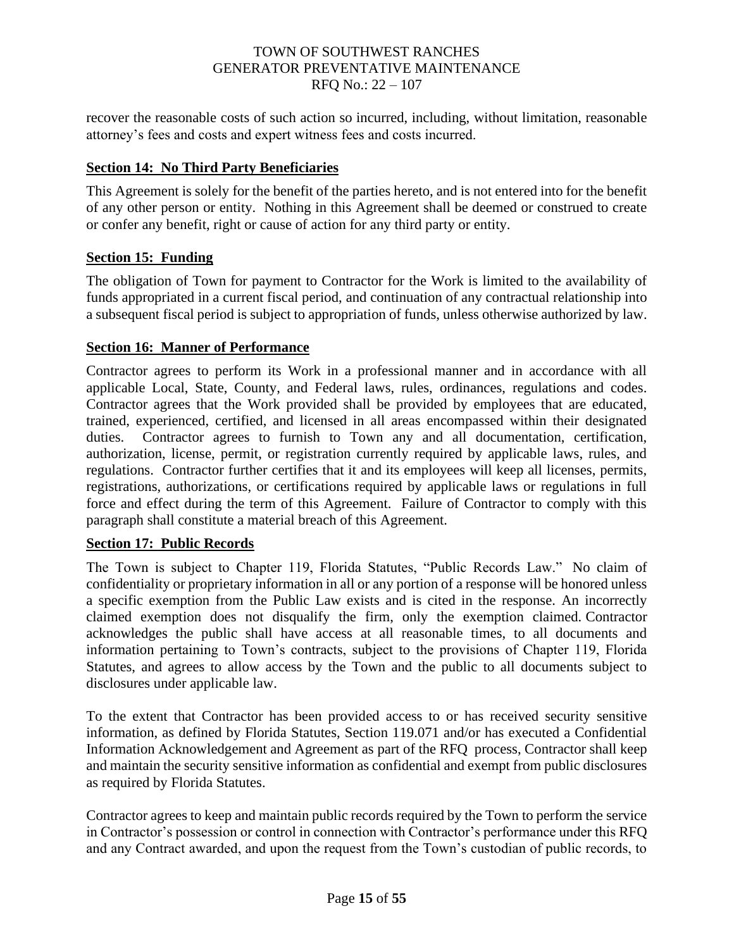recover the reasonable costs of such action so incurred, including, without limitation, reasonable attorney's fees and costs and expert witness fees and costs incurred.

# **Section 14: No Third Party Beneficiaries**

This Agreement is solely for the benefit of the parties hereto, and is not entered into for the benefit of any other person or entity. Nothing in this Agreement shall be deemed or construed to create or confer any benefit, right or cause of action for any third party or entity.

## **Section 15: Funding**

The obligation of Town for payment to Contractor for the Work is limited to the availability of funds appropriated in a current fiscal period, and continuation of any contractual relationship into a subsequent fiscal period is subject to appropriation of funds, unless otherwise authorized by law.

## **Section 16: Manner of Performance**

Contractor agrees to perform its Work in a professional manner and in accordance with all applicable Local, State, County, and Federal laws, rules, ordinances, regulations and codes. Contractor agrees that the Work provided shall be provided by employees that are educated, trained, experienced, certified, and licensed in all areas encompassed within their designated duties. Contractor agrees to furnish to Town any and all documentation, certification, authorization, license, permit, or registration currently required by applicable laws, rules, and regulations. Contractor further certifies that it and its employees will keep all licenses, permits, registrations, authorizations, or certifications required by applicable laws or regulations in full force and effect during the term of this Agreement. Failure of Contractor to comply with this paragraph shall constitute a material breach of this Agreement.

#### **Section 17: Public Records**

The Town is subject to Chapter 119, Florida Statutes, "Public Records Law." No claim of confidentiality or proprietary information in all or any portion of a response will be honored unless a specific exemption from the Public Law exists and is cited in the response. An incorrectly claimed exemption does not disqualify the firm, only the exemption claimed. Contractor acknowledges the public shall have access at all reasonable times, to all documents and information pertaining to Town's contracts, subject to the provisions of Chapter 119, Florida Statutes, and agrees to allow access by the Town and the public to all documents subject to disclosures under applicable law.

To the extent that Contractor has been provided access to or has received security sensitive information, as defined by Florida Statutes, Section 119.071 and/or has executed a Confidential Information Acknowledgement and Agreement as part of the RFQ process, Contractor shall keep and maintain the security sensitive information as confidential and exempt from public disclosures as required by Florida Statutes.

Contractor agrees to keep and maintain public records required by the Town to perform the service in Contractor's possession or control in connection with Contractor's performance under this RFQ and any Contract awarded, and upon the request from the Town's custodian of public records, to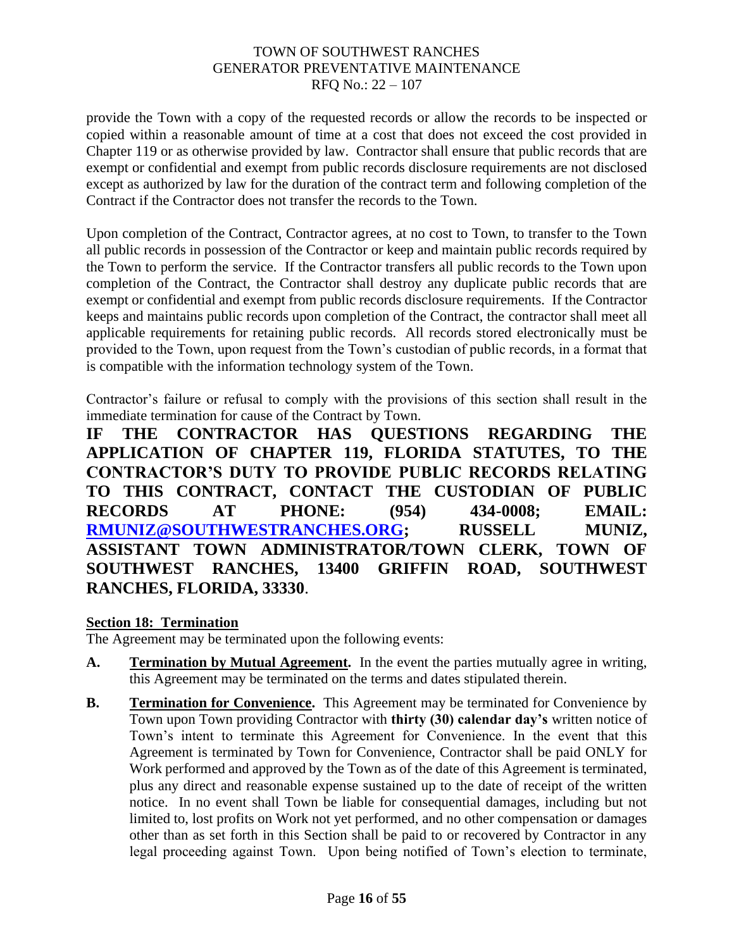provide the Town with a copy of the requested records or allow the records to be inspected or copied within a reasonable amount of time at a cost that does not exceed the cost provided in Chapter 119 or as otherwise provided by law. Contractor shall ensure that public records that are exempt or confidential and exempt from public records disclosure requirements are not disclosed except as authorized by law for the duration of the contract term and following completion of the Contract if the Contractor does not transfer the records to the Town.

Upon completion of the Contract, Contractor agrees, at no cost to Town, to transfer to the Town all public records in possession of the Contractor or keep and maintain public records required by the Town to perform the service. If the Contractor transfers all public records to the Town upon completion of the Contract, the Contractor shall destroy any duplicate public records that are exempt or confidential and exempt from public records disclosure requirements. If the Contractor keeps and maintains public records upon completion of the Contract, the contractor shall meet all applicable requirements for retaining public records. All records stored electronically must be provided to the Town, upon request from the Town's custodian of public records, in a format that is compatible with the information technology system of the Town.

Contractor's failure or refusal to comply with the provisions of this section shall result in the immediate termination for cause of the Contract by Town.

**IF THE CONTRACTOR HAS QUESTIONS REGARDING THE APPLICATION OF CHAPTER 119, FLORIDA STATUTES, TO THE CONTRACTOR'S DUTY TO PROVIDE PUBLIC RECORDS RELATING TO THIS CONTRACT, CONTACT THE CUSTODIAN OF PUBLIC RECORDS AT PHONE: (954) 434-0008; EMAIL: [RMUNIZ@SOUTHWESTRANCHES.ORG;](mailto:RMUNIZ@SOUTHWESTRANCHES.ORG) RUSSELL MUNIZ, ASSISTANT TOWN ADMINISTRATOR/TOWN CLERK, TOWN OF SOUTHWEST RANCHES, 13400 GRIFFIN ROAD, SOUTHWEST RANCHES, FLORIDA, 33330**.

# **Section 18: Termination**

The Agreement may be terminated upon the following events:

- **A. Termination by Mutual Agreement.** In the event the parties mutually agree in writing, this Agreement may be terminated on the terms and dates stipulated therein.
- **B. Termination for Convenience.** This Agreement may be terminated for Convenience by Town upon Town providing Contractor with **thirty (30) calendar day's** written notice of Town's intent to terminate this Agreement for Convenience. In the event that this Agreement is terminated by Town for Convenience, Contractor shall be paid ONLY for Work performed and approved by the Town as of the date of this Agreement is terminated, plus any direct and reasonable expense sustained up to the date of receipt of the written notice. In no event shall Town be liable for consequential damages, including but not limited to, lost profits on Work not yet performed, and no other compensation or damages other than as set forth in this Section shall be paid to or recovered by Contractor in any legal proceeding against Town. Upon being notified of Town's election to terminate,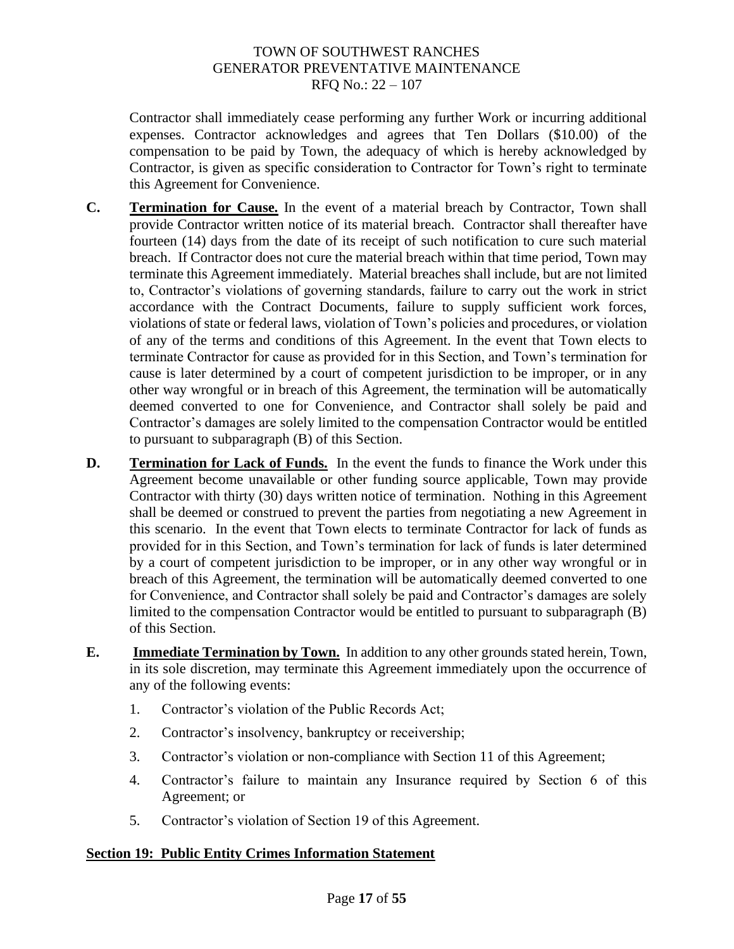Contractor shall immediately cease performing any further Work or incurring additional expenses. Contractor acknowledges and agrees that Ten Dollars (\$10.00) of the compensation to be paid by Town, the adequacy of which is hereby acknowledged by Contractor, is given as specific consideration to Contractor for Town's right to terminate this Agreement for Convenience.

- **C. Termination for Cause.** In the event of a material breach by Contractor, Town shall provide Contractor written notice of its material breach. Contractor shall thereafter have fourteen (14) days from the date of its receipt of such notification to cure such material breach. If Contractor does not cure the material breach within that time period, Town may terminate this Agreement immediately. Material breaches shall include, but are not limited to, Contractor's violations of governing standards, failure to carry out the work in strict accordance with the Contract Documents, failure to supply sufficient work forces, violations of state or federal laws, violation of Town's policies and procedures, or violation of any of the terms and conditions of this Agreement. In the event that Town elects to terminate Contractor for cause as provided for in this Section, and Town's termination for cause is later determined by a court of competent jurisdiction to be improper, or in any other way wrongful or in breach of this Agreement, the termination will be automatically deemed converted to one for Convenience, and Contractor shall solely be paid and Contractor's damages are solely limited to the compensation Contractor would be entitled to pursuant to subparagraph (B) of this Section.
- **D. Termination for Lack of Funds.** In the event the funds to finance the Work under this Agreement become unavailable or other funding source applicable, Town may provide Contractor with thirty (30) days written notice of termination. Nothing in this Agreement shall be deemed or construed to prevent the parties from negotiating a new Agreement in this scenario. In the event that Town elects to terminate Contractor for lack of funds as provided for in this Section, and Town's termination for lack of funds is later determined by a court of competent jurisdiction to be improper, or in any other way wrongful or in breach of this Agreement, the termination will be automatically deemed converted to one for Convenience, and Contractor shall solely be paid and Contractor's damages are solely limited to the compensation Contractor would be entitled to pursuant to subparagraph (B) of this Section.
- **E. Immediate Termination by Town.** In addition to any other grounds stated herein, Town, in its sole discretion, may terminate this Agreement immediately upon the occurrence of any of the following events:
	- 1. Contractor's violation of the Public Records Act;
	- 2. Contractor's insolvency, bankruptcy or receivership;
	- 3. Contractor's violation or non-compliance with Section 11 of this Agreement;
	- 4. Contractor's failure to maintain any Insurance required by Section 6 of this Agreement; or
	- 5. Contractor's violation of Section 19 of this Agreement.

#### **Section 19: Public Entity Crimes Information Statement**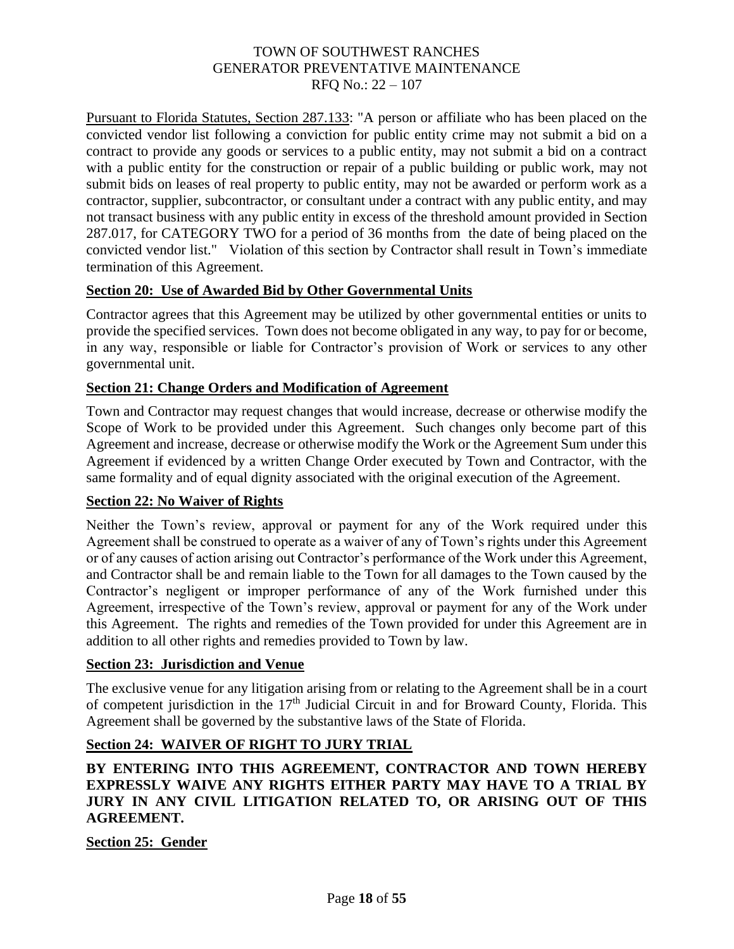Pursuant to Florida Statutes, Section 287.133: "A person or affiliate who has been placed on the convicted vendor list following a conviction for public entity crime may not submit a bid on a contract to provide any goods or services to a public entity, may not submit a bid on a contract with a public entity for the construction or repair of a public building or public work, may not submit bids on leases of real property to public entity, may not be awarded or perform work as a contractor, supplier, subcontractor, or consultant under a contract with any public entity, and may not transact business with any public entity in excess of the threshold amount provided in Section 287.017, for CATEGORY TWO for a period of 36 months from the date of being placed on the convicted vendor list." Violation of this section by Contractor shall result in Town's immediate termination of this Agreement.

## **Section 20: Use of Awarded Bid by Other Governmental Units**

Contractor agrees that this Agreement may be utilized by other governmental entities or units to provide the specified services. Town does not become obligated in any way, to pay for or become, in any way, responsible or liable for Contractor's provision of Work or services to any other governmental unit.

## **Section 21: Change Orders and Modification of Agreement**

Town and Contractor may request changes that would increase, decrease or otherwise modify the Scope of Work to be provided under this Agreement. Such changes only become part of this Agreement and increase, decrease or otherwise modify the Work or the Agreement Sum under this Agreement if evidenced by a written Change Order executed by Town and Contractor, with the same formality and of equal dignity associated with the original execution of the Agreement.

#### **Section 22: No Waiver of Rights**

Neither the Town's review, approval or payment for any of the Work required under this Agreement shall be construed to operate as a waiver of any of Town's rights under this Agreement or of any causes of action arising out Contractor's performance of the Work under this Agreement, and Contractor shall be and remain liable to the Town for all damages to the Town caused by the Contractor's negligent or improper performance of any of the Work furnished under this Agreement, irrespective of the Town's review, approval or payment for any of the Work under this Agreement. The rights and remedies of the Town provided for under this Agreement are in addition to all other rights and remedies provided to Town by law.

#### **Section 23: Jurisdiction and Venue**

The exclusive venue for any litigation arising from or relating to the Agreement shall be in a court of competent jurisdiction in the  $17<sup>th</sup>$  Judicial Circuit in and for Broward County, Florida. This Agreement shall be governed by the substantive laws of the State of Florida.

# **Section 24: WAIVER OF RIGHT TO JURY TRIAL**

# **BY ENTERING INTO THIS AGREEMENT, CONTRACTOR AND TOWN HEREBY EXPRESSLY WAIVE ANY RIGHTS EITHER PARTY MAY HAVE TO A TRIAL BY JURY IN ANY CIVIL LITIGATION RELATED TO, OR ARISING OUT OF THIS AGREEMENT.**

#### **Section 25: Gender**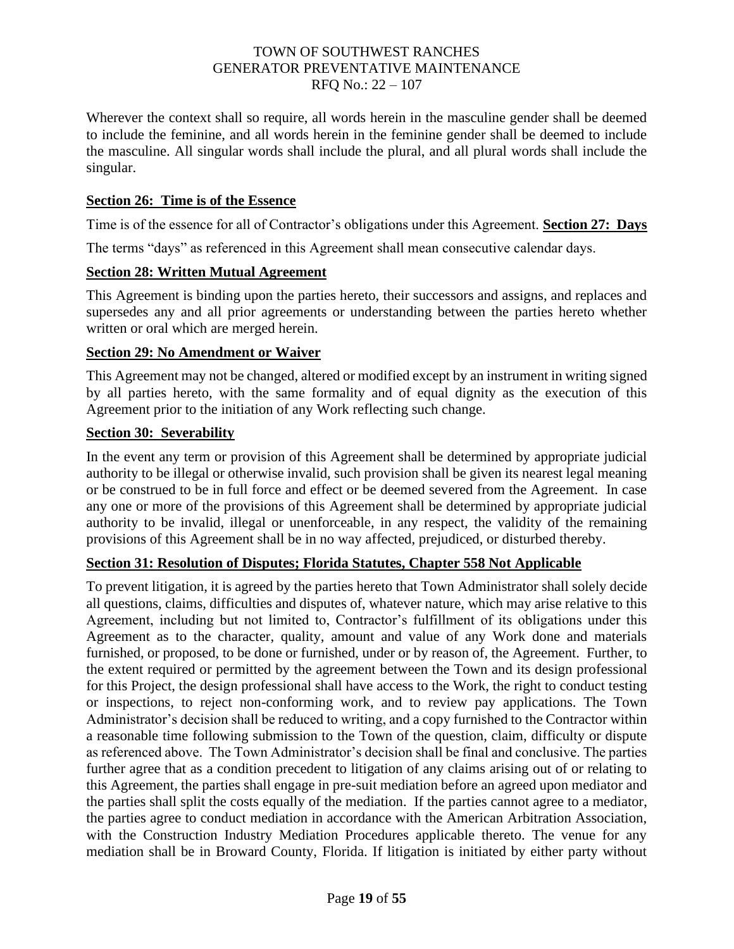Wherever the context shall so require, all words herein in the masculine gender shall be deemed to include the feminine, and all words herein in the feminine gender shall be deemed to include the masculine. All singular words shall include the plural, and all plural words shall include the singular.

## **Section 26: Time is of the Essence**

Time is of the essence for all of Contractor's obligations under this Agreement. **Section 27: Days**

The terms "days" as referenced in this Agreement shall mean consecutive calendar days.

#### **Section 28: Written Mutual Agreement**

This Agreement is binding upon the parties hereto, their successors and assigns, and replaces and supersedes any and all prior agreements or understanding between the parties hereto whether written or oral which are merged herein.

#### **Section 29: No Amendment or Waiver**

This Agreement may not be changed, altered or modified except by an instrument in writing signed by all parties hereto, with the same formality and of equal dignity as the execution of this Agreement prior to the initiation of any Work reflecting such change.

#### **Section 30: Severability**

In the event any term or provision of this Agreement shall be determined by appropriate judicial authority to be illegal or otherwise invalid, such provision shall be given its nearest legal meaning or be construed to be in full force and effect or be deemed severed from the Agreement. In case any one or more of the provisions of this Agreement shall be determined by appropriate judicial authority to be invalid, illegal or unenforceable, in any respect, the validity of the remaining provisions of this Agreement shall be in no way affected, prejudiced, or disturbed thereby.

#### **Section 31: Resolution of Disputes; Florida Statutes, Chapter 558 Not Applicable**

To prevent litigation, it is agreed by the parties hereto that Town Administrator shall solely decide all questions, claims, difficulties and disputes of, whatever nature, which may arise relative to this Agreement, including but not limited to, Contractor's fulfillment of its obligations under this Agreement as to the character, quality, amount and value of any Work done and materials furnished, or proposed, to be done or furnished, under or by reason of, the Agreement. Further, to the extent required or permitted by the agreement between the Town and its design professional for this Project, the design professional shall have access to the Work, the right to conduct testing or inspections, to reject non-conforming work, and to review pay applications. The Town Administrator's decision shall be reduced to writing, and a copy furnished to the Contractor within a reasonable time following submission to the Town of the question, claim, difficulty or dispute as referenced above. The Town Administrator's decision shall be final and conclusive. The parties further agree that as a condition precedent to litigation of any claims arising out of or relating to this Agreement, the parties shall engage in pre-suit mediation before an agreed upon mediator and the parties shall split the costs equally of the mediation. If the parties cannot agree to a mediator, the parties agree to conduct mediation in accordance with the American Arbitration Association, with the Construction Industry Mediation Procedures applicable thereto. The venue for any mediation shall be in Broward County, Florida. If litigation is initiated by either party without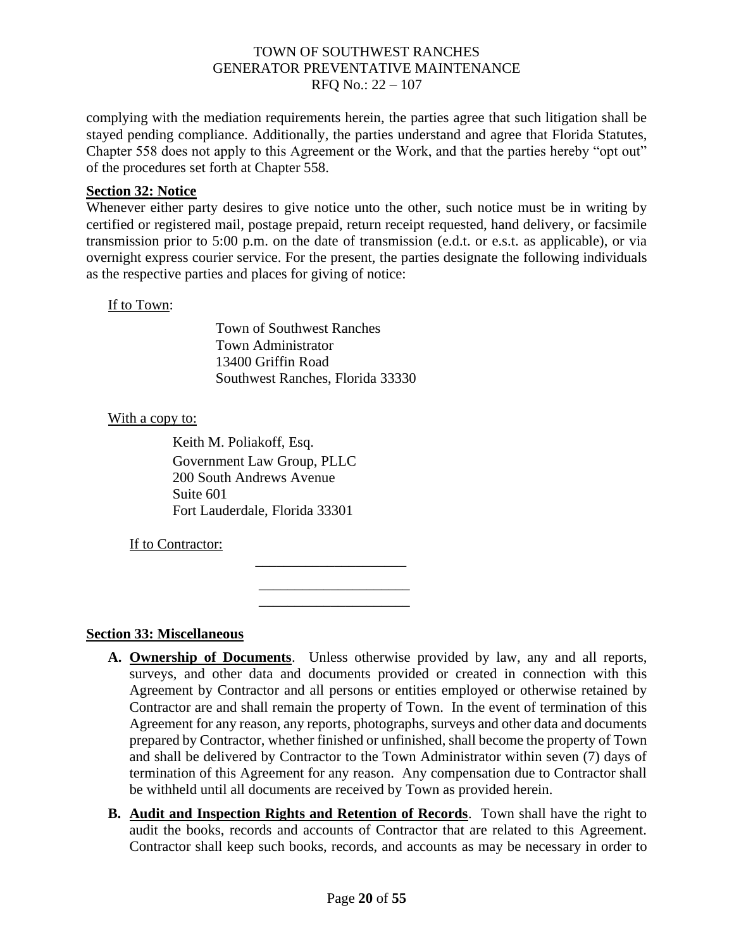complying with the mediation requirements herein, the parties agree that such litigation shall be stayed pending compliance. Additionally, the parties understand and agree that Florida Statutes, Chapter 558 does not apply to this Agreement or the Work, and that the parties hereby "opt out" of the procedures set forth at Chapter 558.

#### **Section 32: Notice**

Whenever either party desires to give notice unto the other, such notice must be in writing by certified or registered mail, postage prepaid, return receipt requested, hand delivery, or facsimile transmission prior to 5:00 p.m. on the date of transmission (e.d.t. or e.s.t. as applicable), or via overnight express courier service. For the present, the parties designate the following individuals as the respective parties and places for giving of notice:

#### If to Town:

Town of Southwest Ranches Town Administrator 13400 Griffin Road Southwest Ranches, Florida 33330

> \_\_\_\_\_\_\_\_\_\_\_\_\_\_\_\_\_\_\_\_\_ \_\_\_\_\_\_\_\_\_\_\_\_\_\_\_\_\_\_\_\_\_

#### With a copy to:

Keith M. Poliakoff, Esq. Government Law Group, PLLC 200 South Andrews Avenue Suite 601 Fort Lauderdale, Florida 33301

 $\mathcal{L}_\text{max}$  , and the contract of the contract of the contract of the contract of the contract of the contract of

If to Contractor:

**Section 33: Miscellaneous**

- **A. Ownership of Documents**. Unless otherwise provided by law, any and all reports, surveys, and other data and documents provided or created in connection with this Agreement by Contractor and all persons or entities employed or otherwise retained by Contractor are and shall remain the property of Town. In the event of termination of this Agreement for any reason, any reports, photographs, surveys and other data and documents prepared by Contractor, whether finished or unfinished, shall become the property of Town and shall be delivered by Contractor to the Town Administrator within seven (7) days of termination of this Agreement for any reason. Any compensation due to Contractor shall be withheld until all documents are received by Town as provided herein.
- **B. Audit and Inspection Rights and Retention of Records**. Town shall have the right to audit the books, records and accounts of Contractor that are related to this Agreement. Contractor shall keep such books, records, and accounts as may be necessary in order to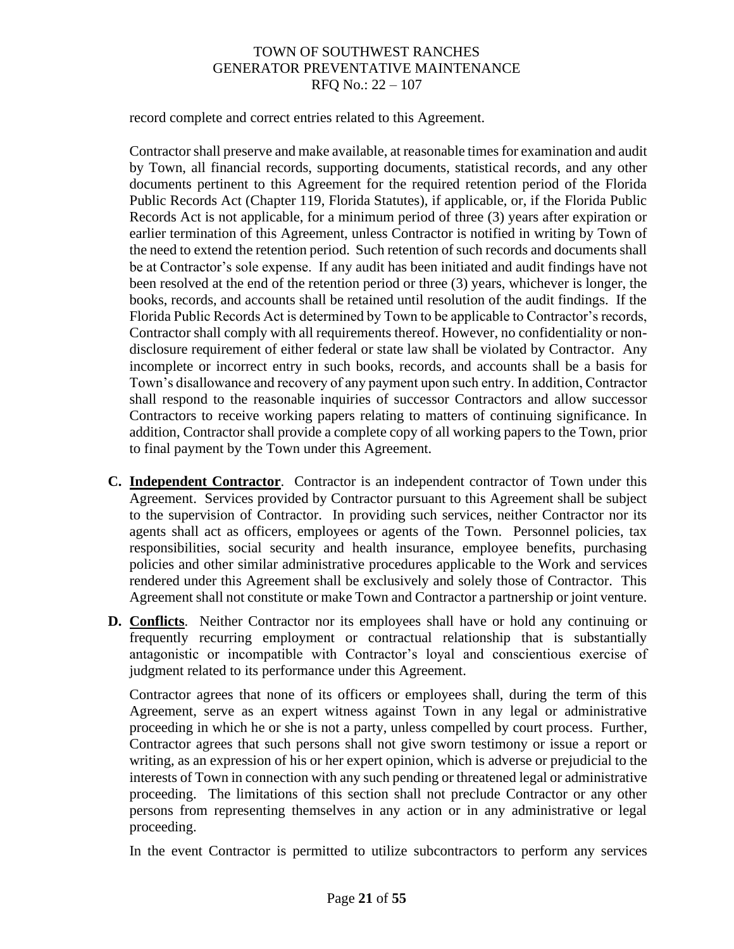record complete and correct entries related to this Agreement.

Contractor shall preserve and make available, at reasonable times for examination and audit by Town, all financial records, supporting documents, statistical records, and any other documents pertinent to this Agreement for the required retention period of the Florida Public Records Act (Chapter 119, Florida Statutes), if applicable, or, if the Florida Public Records Act is not applicable, for a minimum period of three (3) years after expiration or earlier termination of this Agreement, unless Contractor is notified in writing by Town of the need to extend the retention period. Such retention of such records and documents shall be at Contractor's sole expense. If any audit has been initiated and audit findings have not been resolved at the end of the retention period or three (3) years, whichever is longer, the books, records, and accounts shall be retained until resolution of the audit findings. If the Florida Public Records Act is determined by Town to be applicable to Contractor's records, Contractor shall comply with all requirements thereof. However, no confidentiality or nondisclosure requirement of either federal or state law shall be violated by Contractor. Any incomplete or incorrect entry in such books, records, and accounts shall be a basis for Town's disallowance and recovery of any payment upon such entry. In addition, Contractor shall respond to the reasonable inquiries of successor Contractors and allow successor Contractors to receive working papers relating to matters of continuing significance. In addition, Contractor shall provide a complete copy of all working papers to the Town, prior to final payment by the Town under this Agreement.

- **C. Independent Contractor**. Contractor is an independent contractor of Town under this Agreement. Services provided by Contractor pursuant to this Agreement shall be subject to the supervision of Contractor. In providing such services, neither Contractor nor its agents shall act as officers, employees or agents of the Town. Personnel policies, tax responsibilities, social security and health insurance, employee benefits, purchasing policies and other similar administrative procedures applicable to the Work and services rendered under this Agreement shall be exclusively and solely those of Contractor. This Agreement shall not constitute or make Town and Contractor a partnership or joint venture.
- **D. Conflicts**. Neither Contractor nor its employees shall have or hold any continuing or frequently recurring employment or contractual relationship that is substantially antagonistic or incompatible with Contractor's loyal and conscientious exercise of judgment related to its performance under this Agreement.

Contractor agrees that none of its officers or employees shall, during the term of this Agreement, serve as an expert witness against Town in any legal or administrative proceeding in which he or she is not a party, unless compelled by court process. Further, Contractor agrees that such persons shall not give sworn testimony or issue a report or writing, as an expression of his or her expert opinion, which is adverse or prejudicial to the interests of Town in connection with any such pending or threatened legal or administrative proceeding. The limitations of this section shall not preclude Contractor or any other persons from representing themselves in any action or in any administrative or legal proceeding.

In the event Contractor is permitted to utilize subcontractors to perform any services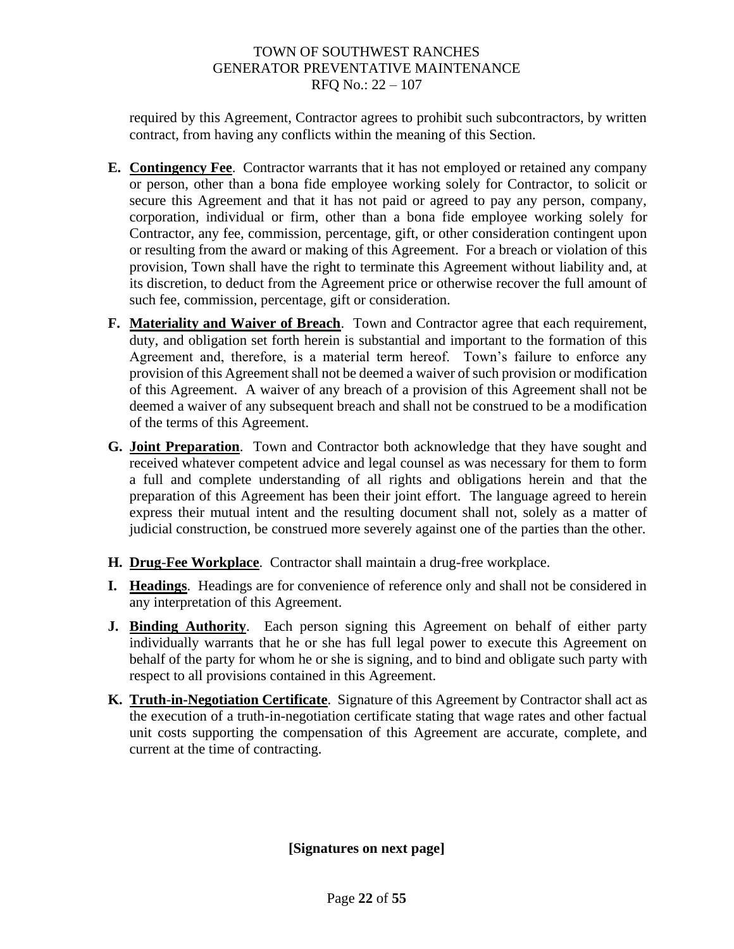required by this Agreement, Contractor agrees to prohibit such subcontractors, by written contract, from having any conflicts within the meaning of this Section.

- **E. Contingency Fee**. Contractor warrants that it has not employed or retained any company or person, other than a bona fide employee working solely for Contractor, to solicit or secure this Agreement and that it has not paid or agreed to pay any person, company, corporation, individual or firm, other than a bona fide employee working solely for Contractor, any fee, commission, percentage, gift, or other consideration contingent upon or resulting from the award or making of this Agreement. For a breach or violation of this provision, Town shall have the right to terminate this Agreement without liability and, at its discretion, to deduct from the Agreement price or otherwise recover the full amount of such fee, commission, percentage, gift or consideration.
- **F. Materiality and Waiver of Breach**. Town and Contractor agree that each requirement, duty, and obligation set forth herein is substantial and important to the formation of this Agreement and, therefore, is a material term hereof. Town's failure to enforce any provision of this Agreement shall not be deemed a waiver of such provision or modification of this Agreement. A waiver of any breach of a provision of this Agreement shall not be deemed a waiver of any subsequent breach and shall not be construed to be a modification of the terms of this Agreement.
- **G. Joint Preparation**. Town and Contractor both acknowledge that they have sought and received whatever competent advice and legal counsel as was necessary for them to form a full and complete understanding of all rights and obligations herein and that the preparation of this Agreement has been their joint effort. The language agreed to herein express their mutual intent and the resulting document shall not, solely as a matter of judicial construction, be construed more severely against one of the parties than the other.
- **H. Drug**-**Fee Workplace**. Contractor shall maintain a drug-free workplace.
- **I. Headings**. Headings are for convenience of reference only and shall not be considered in any interpretation of this Agreement.
- **J. Binding Authority**. Each person signing this Agreement on behalf of either party individually warrants that he or she has full legal power to execute this Agreement on behalf of the party for whom he or she is signing, and to bind and obligate such party with respect to all provisions contained in this Agreement.
- **K. Truth**-**in-Negotiation Certificate**. Signature of this Agreement by Contractor shall act as the execution of a truth-in-negotiation certificate stating that wage rates and other factual unit costs supporting the compensation of this Agreement are accurate, complete, and current at the time of contracting.

**[Signatures on next page]**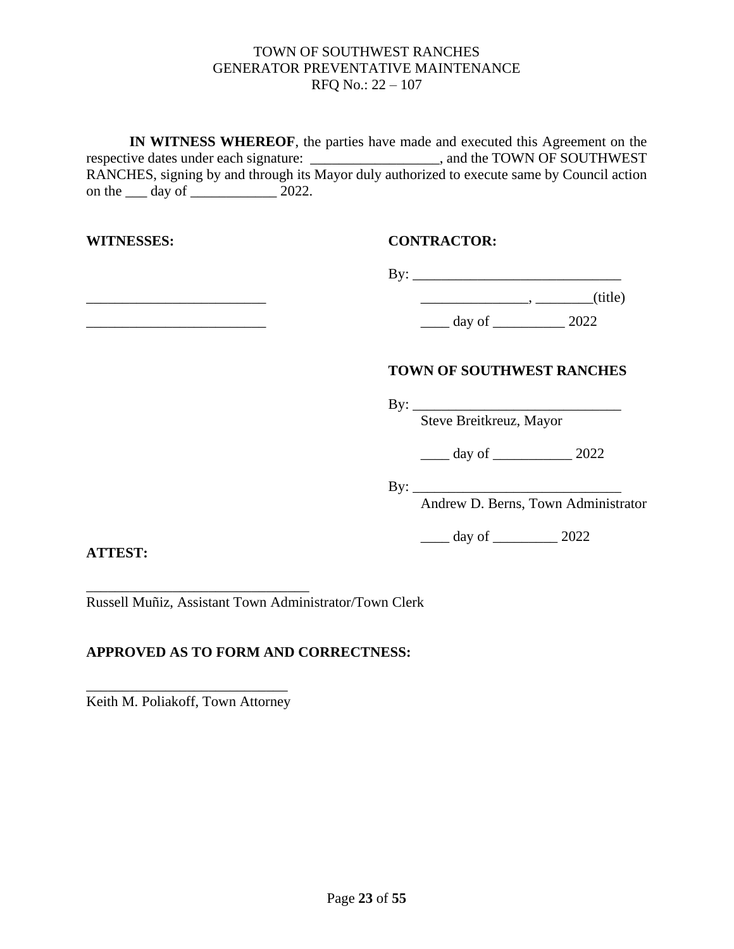**IN WITNESS WHEREOF**, the parties have made and executed this Agreement on the respective dates under each signature: \_\_\_\_\_\_\_\_\_\_\_\_\_\_\_\_\_\_, and the TOWN OF SOUTHWEST RANCHES, signing by and through its Mayor duly authorized to execute same by Council action on the <u>same</u> day of <u>same and all</u> 2022.

# **WITNESSES: CONTRACTOR:**

| By: |  |  |  |
|-----|--|--|--|
|     |  |  |  |

\_\_\_\_\_\_\_\_\_\_\_\_\_\_\_\_\_\_\_\_\_\_\_\_\_ \_\_\_\_\_\_\_\_\_\_\_\_\_\_\_, \_\_\_\_\_\_\_\_(title)

 $\frac{1}{2022}$  day of  $\frac{1}{2022}$ 

## **TOWN OF SOUTHWEST RANCHES**

 $By:$ 

Steve Breitkreuz, Mayor

 $\frac{day \text{ of }_{2022}}{2022}$ 

By: \_\_\_\_\_\_\_\_\_\_\_\_\_\_\_\_\_\_\_\_\_\_\_\_\_\_\_\_\_ Andrew D. Berns, Town Administrator

 $\frac{day \text{ of } 2022}{x}$ 

**ATTEST:**

Russell Muñiz, Assistant Town Administrator/Town Clerk

# **APPROVED AS TO FORM AND CORRECTNESS:**

\_\_\_\_\_\_\_\_\_\_\_\_\_\_\_\_\_\_\_\_\_\_\_\_\_\_\_\_ Keith M. Poliakoff, Town Attorney

\_\_\_\_\_\_\_\_\_\_\_\_\_\_\_\_\_\_\_\_\_\_\_\_\_\_\_\_\_\_\_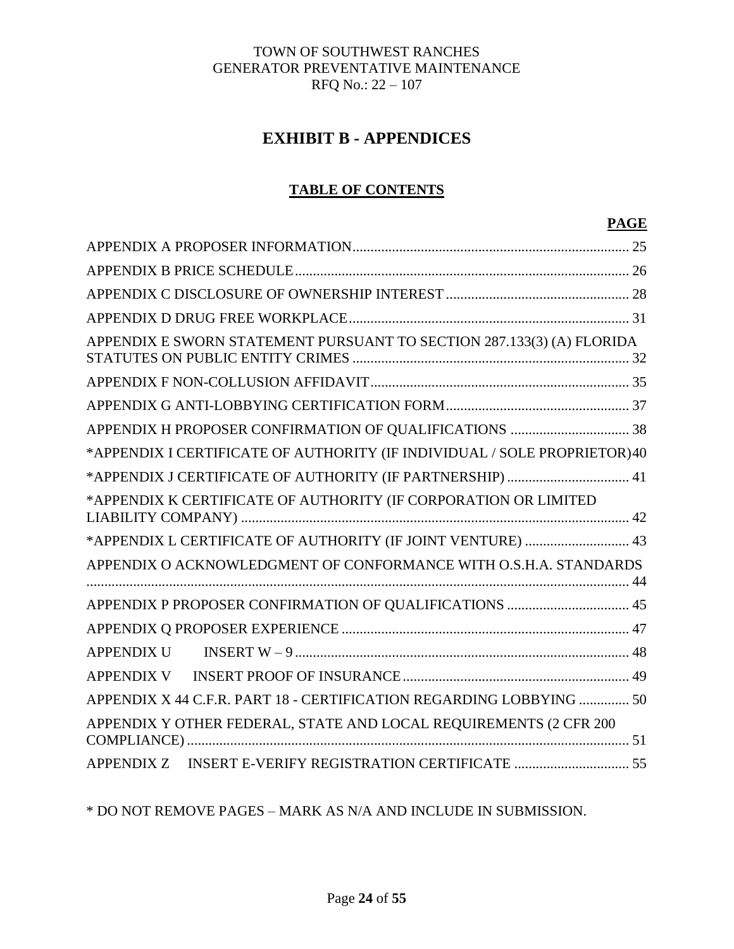# **EXHIBIT B - APPENDICES**

## **TABLE OF CONTENTS**

## **PAGE**

| APPENDIX E SWORN STATEMENT PURSUANT TO SECTION 287.133(3) (A) FLORIDA    |
|--------------------------------------------------------------------------|
|                                                                          |
|                                                                          |
|                                                                          |
| *APPENDIX I CERTIFICATE OF AUTHORITY (IF INDIVIDUAL / SOLE PROPRIETOR)40 |
| *APPENDIX J CERTIFICATE OF AUTHORITY (IF PARTNERSHIP)  41                |
| *APPENDIX K CERTIFICATE OF AUTHORITY (IF CORPORATION OR LIMITED          |
| *APPENDIX L CERTIFICATE OF AUTHORITY (IF JOINT VENTURE)  43              |
| APPENDIX O ACKNOWLEDGMENT OF CONFORMANCE WITH O.S.H.A. STANDARDS         |
| APPENDIX P PROPOSER CONFIRMATION OF QUALIFICATIONS  45                   |
|                                                                          |
| <b>APPENDIX U</b>                                                        |
| <b>APPENDIX V</b>                                                        |
| APPENDIX X 44 C.F.R. PART 18 - CERTIFICATION REGARDING LOBBYING  50      |
| APPENDIX Y OTHER FEDERAL, STATE AND LOCAL REQUIREMENTS (2 CFR 200        |
|                                                                          |

\* DO NOT REMOVE PAGES – MARK AS N/A AND INCLUDE IN SUBMISSION.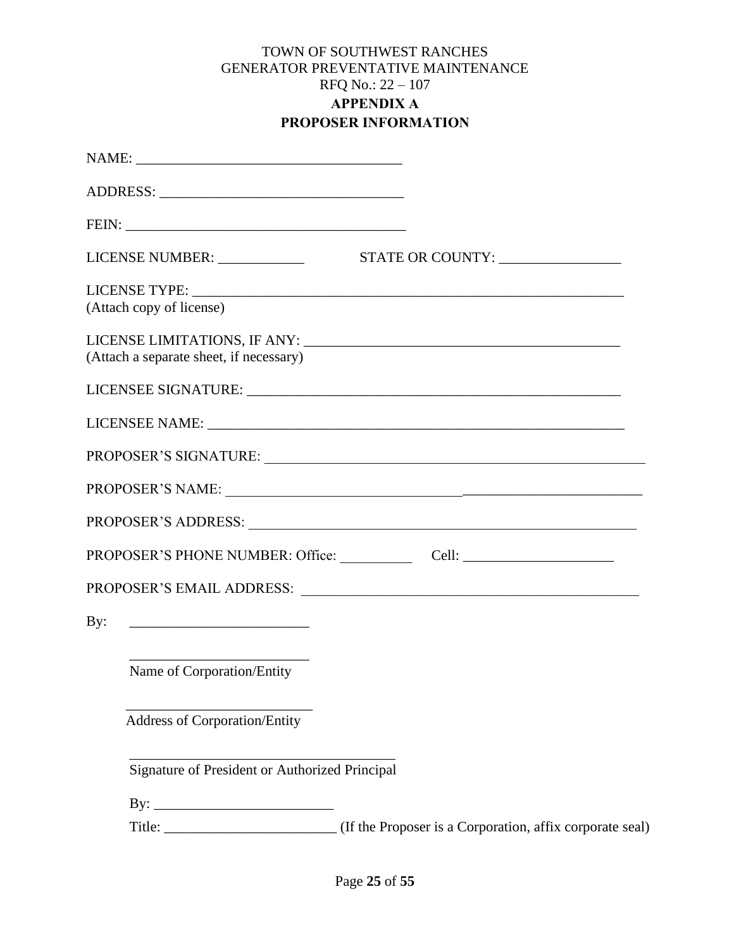# TOWN OF SOUTHWEST RANCHES GENERATOR PREVENTATIVE MAINTENANCE RFQ No.: 22 – 107 **APPENDIX A PROPOSER INFORMATION**

<span id="page-24-0"></span>

|     | (Attach copy of license)                       |                  |
|-----|------------------------------------------------|------------------|
|     | (Attach a separate sheet, if necessary)        |                  |
|     |                                                |                  |
|     |                                                |                  |
|     |                                                |                  |
|     |                                                | PROPOSER'S NAME: |
|     |                                                |                  |
|     |                                                |                  |
|     |                                                |                  |
| By: |                                                |                  |
|     | Name of Corporation/Entity                     |                  |
|     | <b>Address of Corporation/Entity</b>           |                  |
|     | Signature of President or Authorized Principal |                  |
|     |                                                |                  |
|     |                                                |                  |
|     |                                                |                  |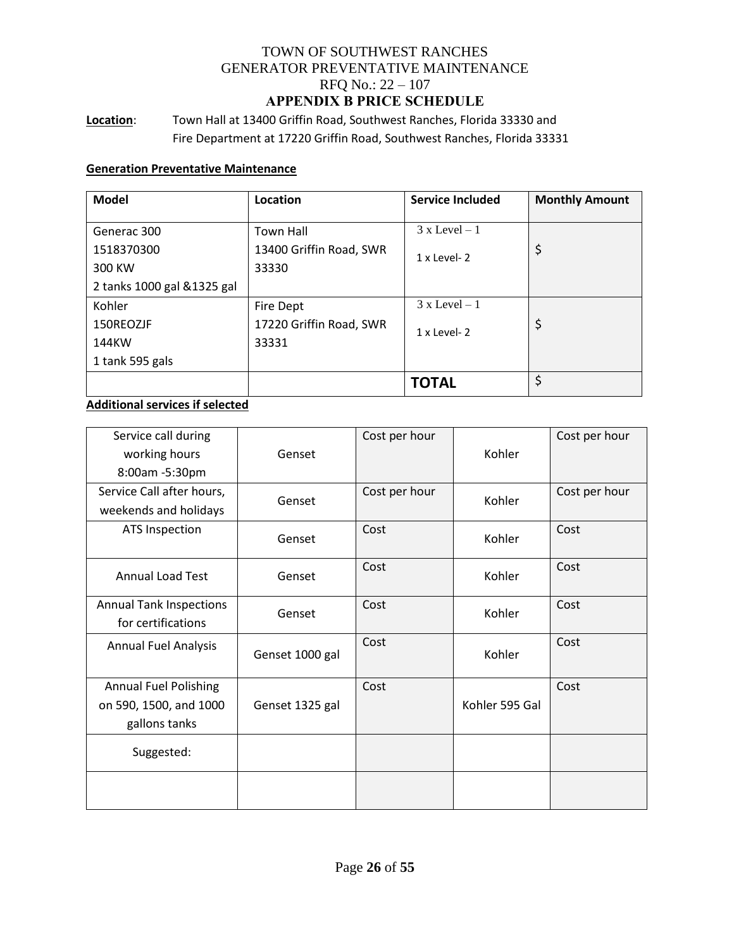## TOWN OF SOUTHWEST RANCHES GENERATOR PREVENTATIVE MAINTENANCE RFQ No.: 22 – 107 **APPENDIX B PRICE SCHEDULE**

<span id="page-25-0"></span>**Location**: Town Hall at 13400 Griffin Road, Southwest Ranches, Florida 33330 and Fire Department at 17220 Griffin Road, Southwest Ranches, Florida 33331

#### **Generation Preventative Maintenance**

| <b>Model</b>                | Location                | <b>Service Included</b> | <b>Monthly Amount</b> |
|-----------------------------|-------------------------|-------------------------|-----------------------|
|                             |                         |                         |                       |
| Generac 300                 | <b>Town Hall</b>        | $3 \times Level - 1$    |                       |
| 1518370300                  | 13400 Griffin Road, SWR | 1 x Level-2             | \$                    |
| 300 KW                      | 33330                   |                         |                       |
| 2 tanks 1000 gal & 1325 gal |                         |                         |                       |
| Kohler                      | Fire Dept               | $3 \times Level - 1$    |                       |
| 150REOZJF                   | 17220 Griffin Road, SWR | 1 x Level-2             | \$                    |
| 144KW                       | 33331                   |                         |                       |
| 1 tank 595 gals             |                         |                         |                       |
|                             |                         | <b>TOTAL</b>            | \$                    |

#### **Additional services if selected**

| Service call during                                  |                 | Cost per hour |                | Cost per hour |
|------------------------------------------------------|-----------------|---------------|----------------|---------------|
| working hours                                        | Genset          |               | Kohler         |               |
| 8:00am -5:30pm                                       |                 |               |                |               |
| Service Call after hours,                            | Genset          | Cost per hour | Kohler         | Cost per hour |
| weekends and holidays                                |                 |               |                |               |
| <b>ATS Inspection</b>                                | Genset          | Cost          | Kohler         | Cost          |
| <b>Annual Load Test</b>                              | Genset          | Cost          | Kohler         | Cost          |
| <b>Annual Tank Inspections</b><br>for certifications | Genset          | Cost          | Kohler         | Cost          |
|                                                      |                 | Cost          |                | Cost          |
| <b>Annual Fuel Analysis</b>                          | Genset 1000 gal |               | Kohler         |               |
| <b>Annual Fuel Polishing</b>                         |                 | Cost          |                | Cost          |
| on 590, 1500, and 1000                               | Genset 1325 gal |               | Kohler 595 Gal |               |
| gallons tanks                                        |                 |               |                |               |
| Suggested:                                           |                 |               |                |               |
|                                                      |                 |               |                |               |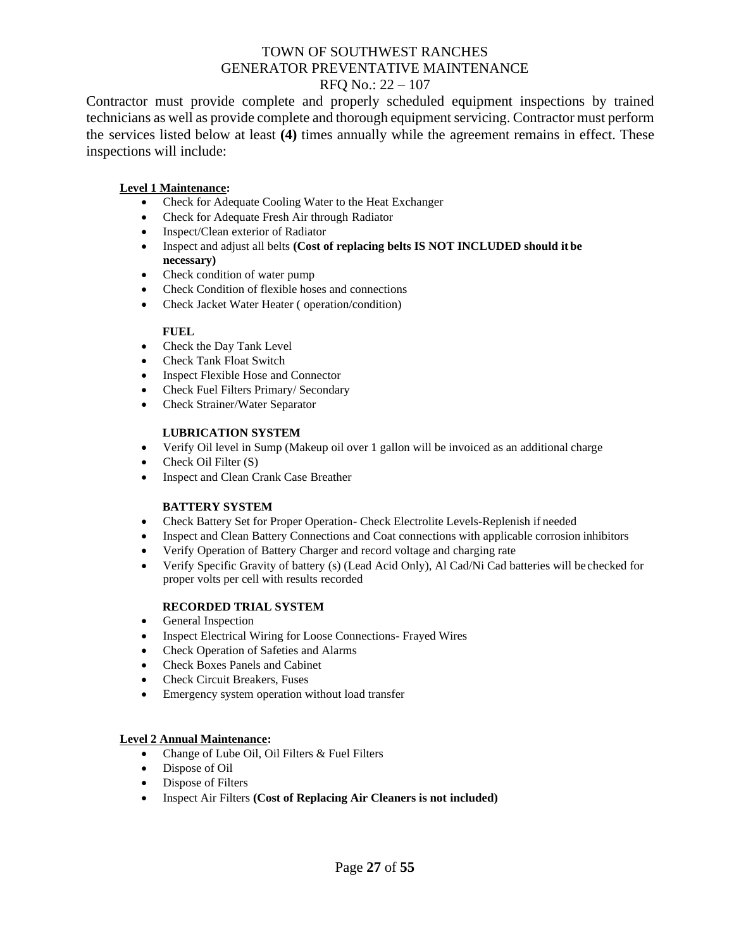# RFQ No.: 22 – 107

Contractor must provide complete and properly scheduled equipment inspections by trained technicians as well as provide complete and thorough equipment servicing. Contractor must perform the services listed below at least **(4)** times annually while the agreement remains in effect. These inspections will include:

#### **Level 1 Maintenance:**

- Check for Adequate Cooling Water to the Heat Exchanger
- Check for Adequate Fresh Air through Radiator
- Inspect/Clean exterior of Radiator
- Inspect and adjust all belts **(Cost of replacing belts IS NOT INCLUDED should it be necessary)**
- Check condition of water pump
- Check Condition of flexible hoses and connections
- Check Jacket Water Heater (operation/condition)

#### **FUEL**

- Check the Day Tank Level
- Check Tank Float Switch
- Inspect Flexible Hose and Connector
- Check Fuel Filters Primary/ Secondary
- Check Strainer/Water Separator

#### **LUBRICATION SYSTEM**

- Verify Oil level in Sump (Makeup oil over 1 gallon will be invoiced as an additional charge
- Check Oil Filter (S)
- Inspect and Clean Crank Case Breather

#### **BATTERY SYSTEM**

- Check Battery Set for Proper Operation- Check Electrolite Levels-Replenish if needed
- Inspect and Clean Battery Connections and Coat connections with applicable corrosion inhibitors
- Verify Operation of Battery Charger and record voltage and charging rate
- Verify Specific Gravity of battery (s) (Lead Acid Only), Al Cad/Ni Cad batteries will be checked for proper volts per cell with results recorded

#### **RECORDED TRIAL SYSTEM**

- General Inspection
- Inspect Electrical Wiring for Loose Connections- Frayed Wires
- Check Operation of Safeties and Alarms
- Check Boxes Panels and Cabinet
- Check Circuit Breakers, Fuses
- Emergency system operation without load transfer

#### **Level 2 Annual Maintenance:**

- Change of Lube Oil, Oil Filters & Fuel Filters
- Dispose of Oil
- Dispose of Filters
- Inspect Air Filters **(Cost of Replacing Air Cleaners is not included)**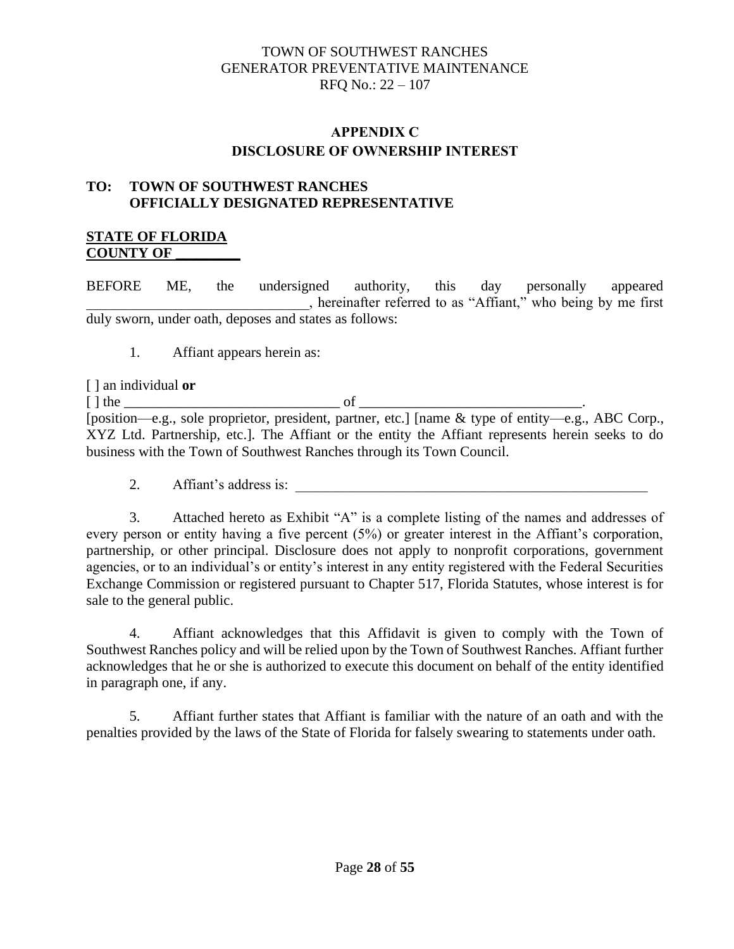# **APPENDIX C DISCLOSURE OF OWNERSHIP INTEREST**

# <span id="page-27-0"></span>**TO: TOWN OF SOUTHWEST RANCHES OFFICIALLY DESIGNATED REPRESENTATIVE**

#### **STATE OF FLORIDA COUNTY OF \_\_\_\_\_\_\_\_\_**

BEFORE ME, the undersigned authority, this day personally appeared \_\_\_\_\_\_\_\_\_\_\_\_\_\_\_\_\_\_\_\_\_\_\_\_\_\_\_\_\_\_\_, hereinafter referred to as "Affiant," who being by me first duly sworn, under oath, deposes and states as follows:

1. Affiant appears herein as:

[ ] an individual **or**  $\lceil \cdot \rceil$  the of [position—e.g., sole proprietor, president, partner, etc.] [name & type of entity—e.g., ABC Corp., XYZ Ltd. Partnership, etc.]. The Affiant or the entity the Affiant represents herein seeks to do business with the Town of Southwest Ranches through its Town Council.

2. Affiant's address is:  $\blacksquare$ 

3. Attached hereto as Exhibit "A" is a complete listing of the names and addresses of every person or entity having a five percent (5%) or greater interest in the Affiant's corporation, partnership, or other principal. Disclosure does not apply to nonprofit corporations, government agencies, or to an individual's or entity's interest in any entity registered with the Federal Securities Exchange Commission or registered pursuant to Chapter 517, Florida Statutes, whose interest is for sale to the general public.

4. Affiant acknowledges that this Affidavit is given to comply with the Town of Southwest Ranches policy and will be relied upon by the Town of Southwest Ranches. Affiant further acknowledges that he or she is authorized to execute this document on behalf of the entity identified in paragraph one, if any.

5. Affiant further states that Affiant is familiar with the nature of an oath and with the penalties provided by the laws of the State of Florida for falsely swearing to statements under oath.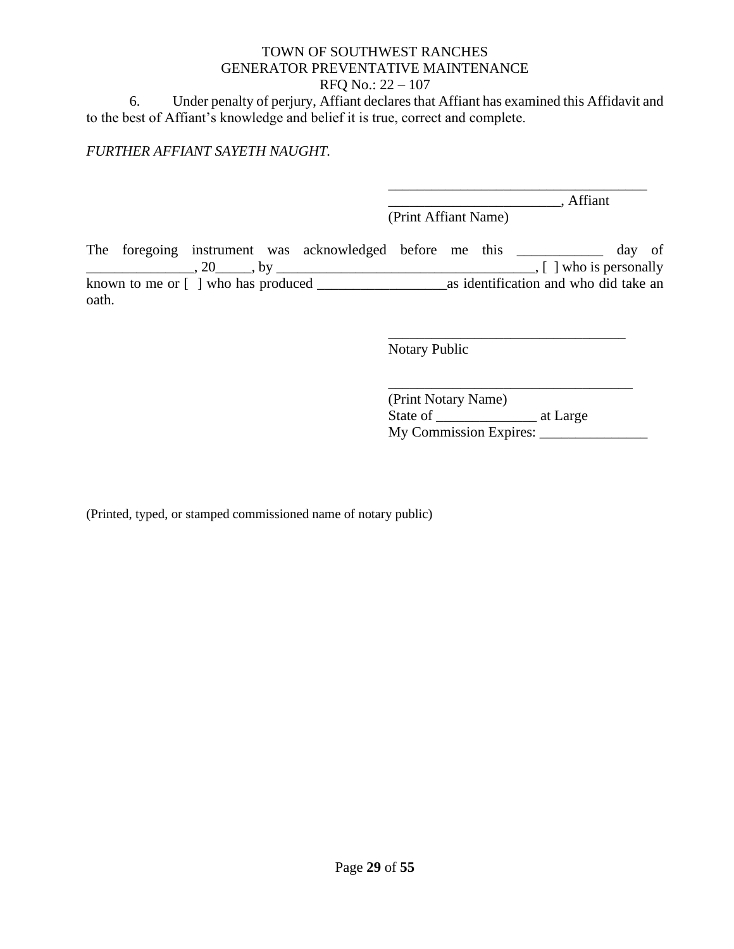# RFQ No.: 22 – 107

6. Under penalty of perjury, Affiant declares that Affiant has examined this Affidavit and to the best of Affiant's knowledge and belief it is true, correct and complete.

# *FURTHER AFFIANT SAYETH NAUGHT.*

\_\_\_\_\_\_\_\_\_\_\_\_\_\_\_\_\_\_\_\_\_\_\_\_, Affiant (Print Affiant Name)

\_\_\_\_\_\_\_\_\_\_\_\_\_\_\_\_\_\_\_\_\_\_\_\_\_\_\_\_\_\_\_\_\_\_\_\_

The foregoing instrument was acknowledged before me this \_\_\_\_\_\_\_\_\_\_\_\_ day of \_\_\_\_\_\_\_\_\_\_\_\_\_\_\_, 20\_\_\_\_\_, by \_\_\_\_\_\_\_\_\_\_\_\_\_\_\_\_\_\_\_\_\_\_\_\_\_\_\_\_\_\_\_\_\_\_\_\_, [ ] who is personally known to me or [ ] who has produced \_\_\_\_\_\_\_\_\_\_\_\_\_\_\_\_\_\_as identification and who did take an oath.

Notary Public

 $\_$ (Print Notary Name) State of \_\_\_\_\_\_\_\_\_\_\_\_\_\_ at Large My Commission Expires: \_\_\_\_\_\_\_\_\_\_\_\_\_\_\_

 $\overline{\phantom{a}}$  , and the set of the set of the set of the set of the set of the set of the set of the set of the set of the set of the set of the set of the set of the set of the set of the set of the set of the set of the s

(Printed, typed, or stamped commissioned name of notary public)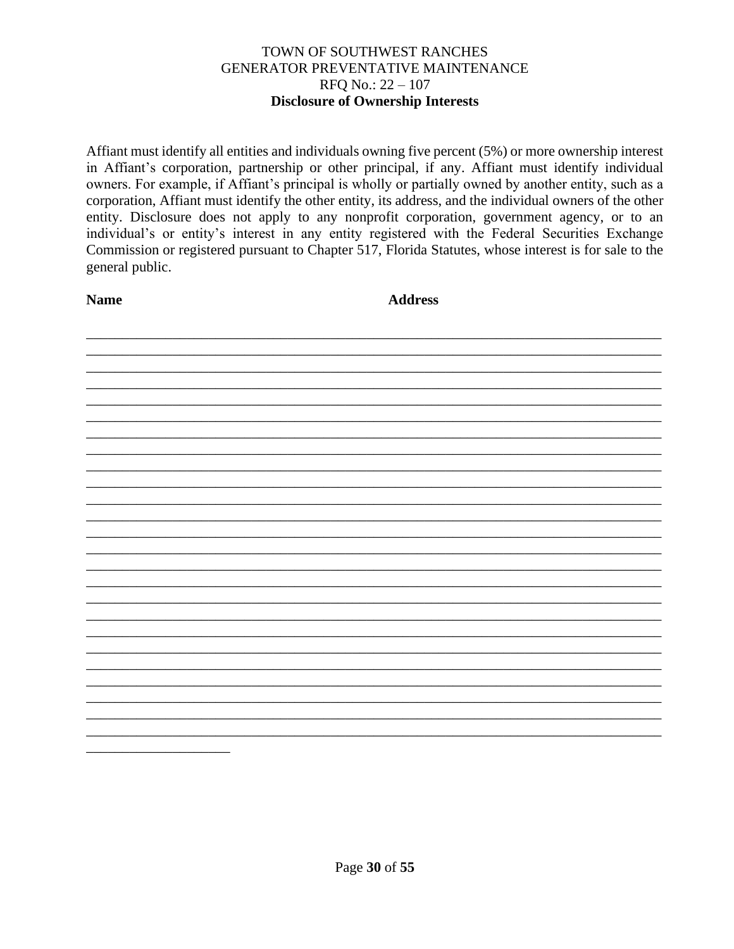# TOWN OF SOUTHWEST RANCHES **GENERATOR PREVENTATIVE MAINTENANCE** RFQ No.:  $22 - 107$ **Disclosure of Ownership Interests**

Affiant must identify all entities and individuals owning five percent (5%) or more ownership interest in Affiant's corporation, partnership or other principal, if any. Affiant must identify individual owners. For example, if Affiant's principal is wholly or partially owned by another entity, such as a corporation, Affiant must identify the other entity, its address, and the individual owners of the other entity. Disclosure does not apply to any nonprofit corporation, government agency, or to an individual's or entity's interest in any entity registered with the Federal Securities Exchange Commission or registered pursuant to Chapter 517, Florida Statutes, whose interest is for sale to the general public.

**Name Address**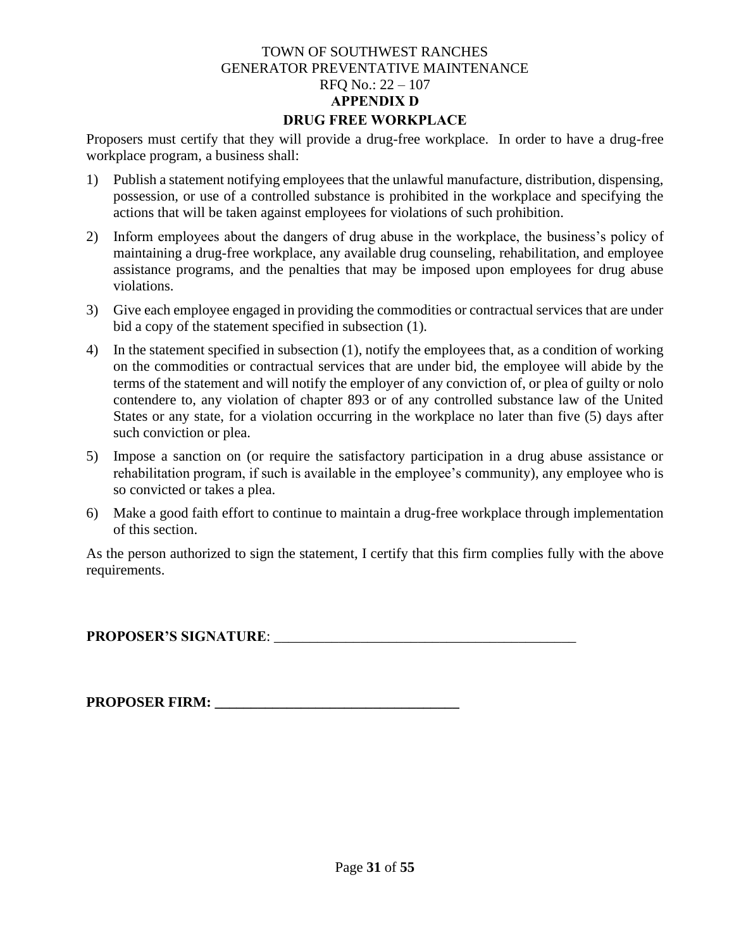## TOWN OF SOUTHWEST RANCHES GENERATOR PREVENTATIVE MAINTENANCE RFQ No.: 22 – 107 **APPENDIX D DRUG FREE WORKPLACE**

<span id="page-30-0"></span>Proposers must certify that they will provide a drug-free workplace. In order to have a drug-free workplace program, a business shall:

- 1) Publish a statement notifying employees that the unlawful manufacture, distribution, dispensing, possession, or use of a controlled substance is prohibited in the workplace and specifying the actions that will be taken against employees for violations of such prohibition.
- 2) Inform employees about the dangers of drug abuse in the workplace, the business's policy of maintaining a drug-free workplace, any available drug counseling, rehabilitation, and employee assistance programs, and the penalties that may be imposed upon employees for drug abuse violations.
- 3) Give each employee engaged in providing the commodities or contractual services that are under bid a copy of the statement specified in subsection (1).
- 4) In the statement specified in subsection (1), notify the employees that, as a condition of working on the commodities or contractual services that are under bid, the employee will abide by the terms of the statement and will notify the employer of any conviction of, or plea of guilty or nolo contendere to, any violation of chapter 893 or of any controlled substance law of the United States or any state, for a violation occurring in the workplace no later than five (5) days after such conviction or plea.
- 5) Impose a sanction on (or require the satisfactory participation in a drug abuse assistance or rehabilitation program, if such is available in the employee's community), any employee who is so convicted or takes a plea.
- 6) Make a good faith effort to continue to maintain a drug-free workplace through implementation of this section.

As the person authorized to sign the statement, I certify that this firm complies fully with the above requirements.

**PROPOSER'S SIGNATURE**: \_\_\_\_\_\_\_\_\_\_\_\_\_\_\_\_\_\_\_\_\_\_\_\_\_\_\_\_\_\_\_\_\_\_\_\_\_\_\_\_\_\_

**PROPOSER FIRM: \_\_\_\_\_\_\_\_\_\_\_\_\_\_\_\_\_\_\_\_\_\_\_\_\_\_\_\_\_\_\_\_\_\_**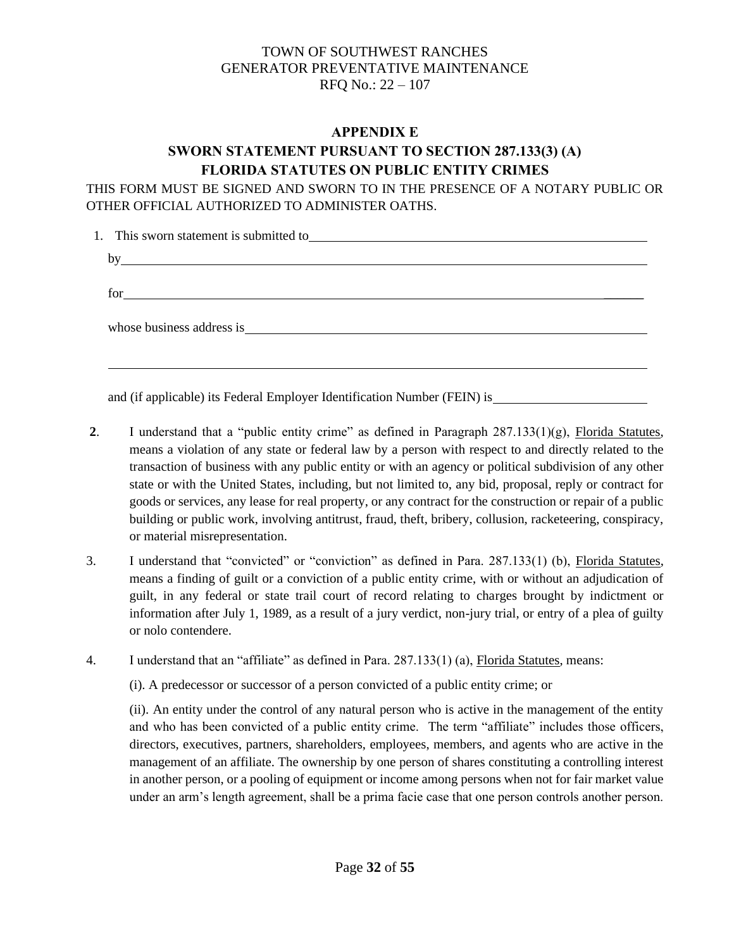# **APPENDIX E SWORN STATEMENT PURSUANT TO SECTION 287.133(3) (A) FLORIDA STATUTES ON PUBLIC ENTITY CRIMES**

<span id="page-31-0"></span>THIS FORM MUST BE SIGNED AND SWORN TO IN THE PRESENCE OF A NOTARY PUBLIC OR OTHER OFFICIAL AUTHORIZED TO ADMINISTER OATHS.

| by |                                                                                                                                                                                                                                                                                                                                                |  |  |
|----|------------------------------------------------------------------------------------------------------------------------------------------------------------------------------------------------------------------------------------------------------------------------------------------------------------------------------------------------|--|--|
|    |                                                                                                                                                                                                                                                                                                                                                |  |  |
|    | for $\qquad \qquad$ $\qquad$ $\qquad$ $\qquad$ $\qquad$ $\qquad$ $\qquad$ $\qquad$ $\qquad$ $\qquad$ $\qquad$ $\qquad$ $\qquad$ $\qquad$ $\qquad$ $\qquad$ $\qquad$ $\qquad$ $\qquad$ $\qquad$ $\qquad$ $\qquad$ $\qquad$ $\qquad$ $\qquad$ $\qquad$ $\qquad$ $\qquad$ $\qquad$ $\qquad$ $\qquad$ $\qquad$ $\qquad$ $\qquad$ $\qquad$ $\qquad$ |  |  |
|    |                                                                                                                                                                                                                                                                                                                                                |  |  |
|    |                                                                                                                                                                                                                                                                                                                                                |  |  |
|    |                                                                                                                                                                                                                                                                                                                                                |  |  |

and (if applicable) its Federal Employer Identification Number (FEIN) is

- **2.** I understand that a "public entity crime" as defined in Paragraph  $287.133(1)(g)$ , Florida Statutes, means a violation of any state or federal law by a person with respect to and directly related to the transaction of business with any public entity or with an agency or political subdivision of any other state or with the United States, including, but not limited to, any bid, proposal, reply or contract for goods or services, any lease for real property, or any contract for the construction or repair of a public building or public work, involving antitrust, fraud, theft, bribery, collusion, racketeering, conspiracy, or material misrepresentation.
- 3. I understand that "convicted" or "conviction" as defined in Para. 287.133(1) (b), Florida Statutes, means a finding of guilt or a conviction of a public entity crime, with or without an adjudication of guilt, in any federal or state trail court of record relating to charges brought by indictment or information after July 1, 1989, as a result of a jury verdict, non-jury trial, or entry of a plea of guilty or nolo contendere.
- 4. I understand that an "affiliate" as defined in Para. 287.133(1) (a), Florida Statutes, means:

(i). A predecessor or successor of a person convicted of a public entity crime; or

(ii). An entity under the control of any natural person who is active in the management of the entity and who has been convicted of a public entity crime. The term "affiliate" includes those officers, directors, executives, partners, shareholders, employees, members, and agents who are active in the management of an affiliate. The ownership by one person of shares constituting a controlling interest in another person, or a pooling of equipment or income among persons when not for fair market value under an arm's length agreement, shall be a prima facie case that one person controls another person.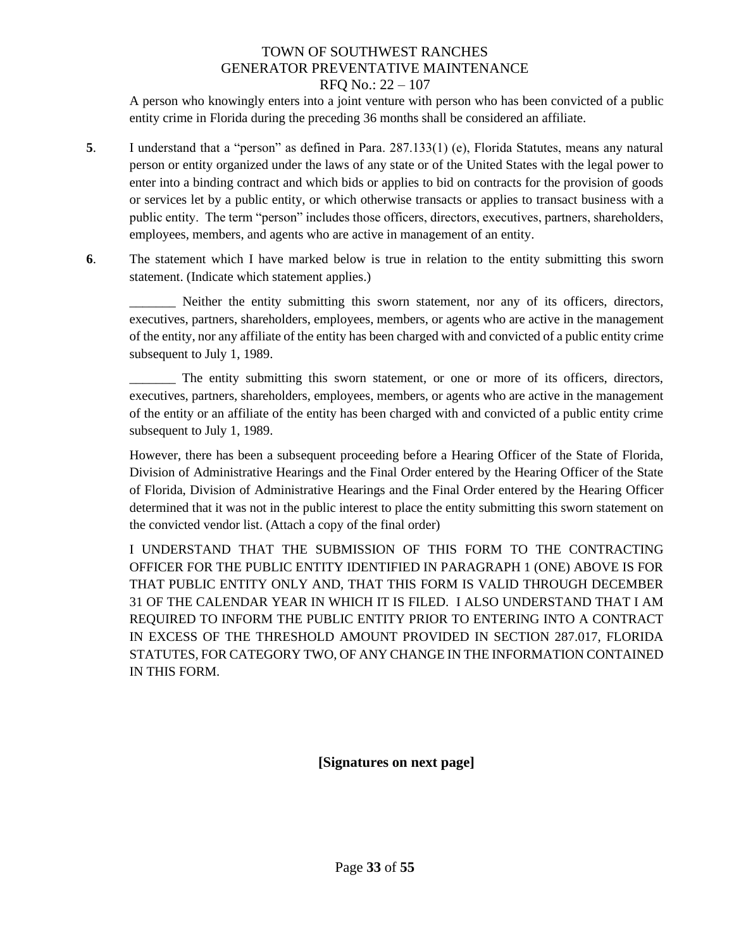A person who knowingly enters into a joint venture with person who has been convicted of a public entity crime in Florida during the preceding 36 months shall be considered an affiliate.

**5**. I understand that a "person" as defined in Para. 287.133(1) (e), Florida Statutes, means any natural person or entity organized under the laws of any state or of the United States with the legal power to enter into a binding contract and which bids or applies to bid on contracts for the provision of goods or services let by a public entity, or which otherwise transacts or applies to transact business with a public entity. The term "person" includes those officers, directors, executives, partners, shareholders, employees, members, and agents who are active in management of an entity.

**6**. The statement which I have marked below is true in relation to the entity submitting this sworn statement. (Indicate which statement applies.)

\_\_\_\_\_\_\_ Neither the entity submitting this sworn statement, nor any of its officers, directors, executives, partners, shareholders, employees, members, or agents who are active in the management of the entity, nor any affiliate of the entity has been charged with and convicted of a public entity crime subsequent to July 1, 1989.

The entity submitting this sworn statement, or one or more of its officers, directors, executives, partners, shareholders, employees, members, or agents who are active in the management of the entity or an affiliate of the entity has been charged with and convicted of a public entity crime subsequent to July 1, 1989.

However, there has been a subsequent proceeding before a Hearing Officer of the State of Florida, Division of Administrative Hearings and the Final Order entered by the Hearing Officer of the State of Florida, Division of Administrative Hearings and the Final Order entered by the Hearing Officer determined that it was not in the public interest to place the entity submitting this sworn statement on the convicted vendor list. (Attach a copy of the final order)

I UNDERSTAND THAT THE SUBMISSION OF THIS FORM TO THE CONTRACTING OFFICER FOR THE PUBLIC ENTITY IDENTIFIED IN PARAGRAPH 1 (ONE) ABOVE IS FOR THAT PUBLIC ENTITY ONLY AND, THAT THIS FORM IS VALID THROUGH DECEMBER 31 OF THE CALENDAR YEAR IN WHICH IT IS FILED. I ALSO UNDERSTAND THAT I AM REQUIRED TO INFORM THE PUBLIC ENTITY PRIOR TO ENTERING INTO A CONTRACT IN EXCESS OF THE THRESHOLD AMOUNT PROVIDED IN SECTION 287.017, FLORIDA STATUTES, FOR CATEGORY TWO, OF ANY CHANGE IN THE INFORMATION CONTAINED IN THIS FORM.

**[Signatures on next page]**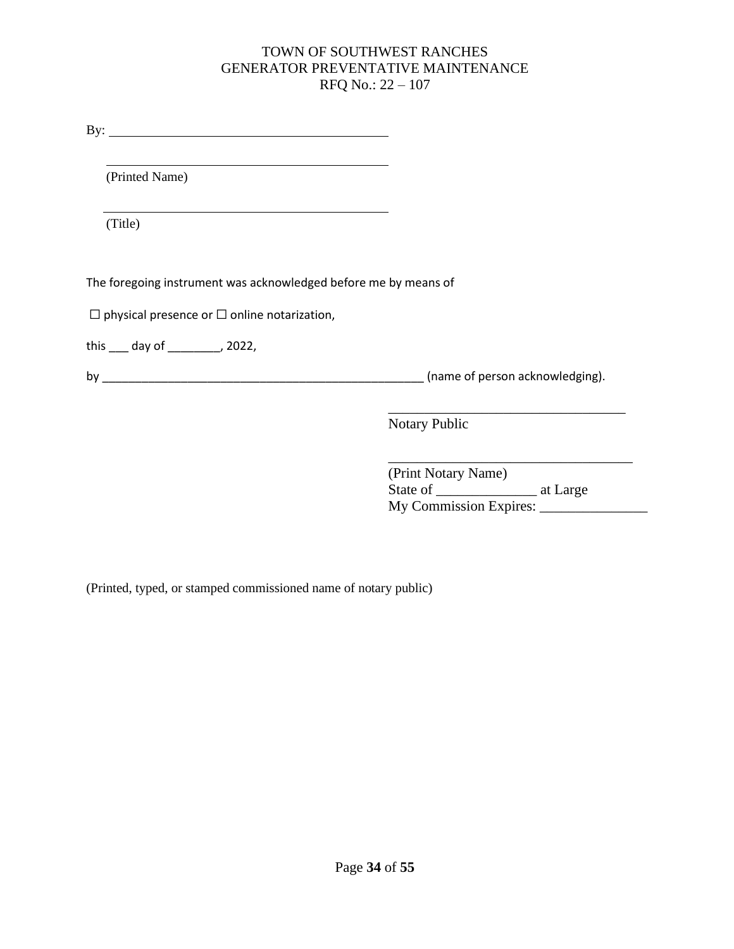By:

(Printed Name)

(Title)

The foregoing instrument was acknowledged before me by means of

 $\Box$  physical presence or  $\Box$  online notarization,

this \_\_\_ day of \_\_\_\_\_\_\_\_, 2022,

by \_\_\_\_\_\_\_\_\_\_\_\_\_\_\_\_\_\_\_\_\_\_\_\_\_\_\_\_\_\_\_\_\_\_\_\_\_\_\_\_\_\_\_\_\_\_\_\_\_ (name of person acknowledging).

Notary Public

(Print Notary Name) State of \_\_\_\_\_\_\_\_\_\_\_\_\_\_ at Large My Commission Expires: \_\_\_\_\_\_\_\_\_\_\_\_\_\_\_

\_\_\_\_\_\_\_\_\_\_\_\_\_\_\_\_\_\_\_\_\_\_\_\_\_\_\_\_\_\_\_\_\_

 $\overline{\phantom{a}}$  ,  $\overline{\phantom{a}}$  ,  $\overline{\phantom{a}}$  ,  $\overline{\phantom{a}}$  ,  $\overline{\phantom{a}}$  ,  $\overline{\phantom{a}}$  ,  $\overline{\phantom{a}}$  ,  $\overline{\phantom{a}}$  ,  $\overline{\phantom{a}}$  ,  $\overline{\phantom{a}}$  ,  $\overline{\phantom{a}}$  ,  $\overline{\phantom{a}}$  ,  $\overline{\phantom{a}}$  ,  $\overline{\phantom{a}}$  ,  $\overline{\phantom{a}}$  ,  $\overline{\phantom{a}}$ 

(Printed, typed, or stamped commissioned name of notary public)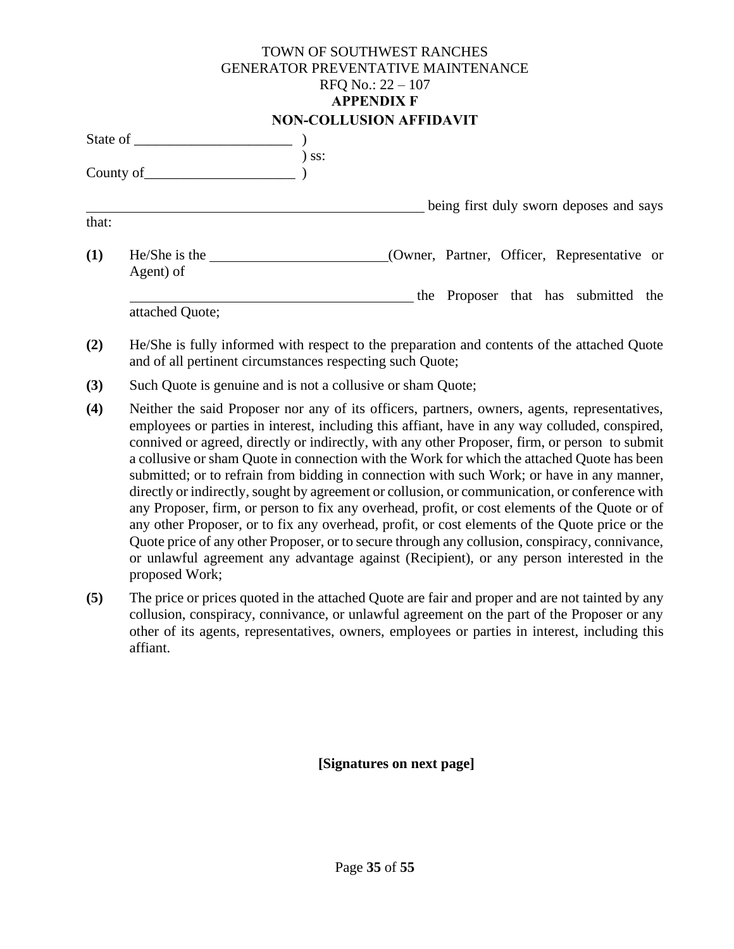### TOWN OF SOUTHWEST RANCHES GENERATOR PREVENTATIVE MAINTENANCE RFQ No.: 22 – 107 **APPENDIX F NON-COLLUSION AFFIDAVIT**

<span id="page-34-0"></span>

|       | County of                  | $)$ ss: |                                             |
|-------|----------------------------|---------|---------------------------------------------|
|       |                            |         | being first duly sworn deposes and says     |
| that: |                            |         |                                             |
| (1)   | He/She is the<br>Agent) of |         | (Owner, Partner, Officer, Representative or |
|       | attached Quote;            |         | the Proposer that has submitted the         |

- **(2)** He/She is fully informed with respect to the preparation and contents of the attached Quote and of all pertinent circumstances respecting such Quote;
- **(3)** Such Quote is genuine and is not a collusive or sham Quote;
- **(4)** Neither the said Proposer nor any of its officers, partners, owners, agents, representatives, employees or parties in interest, including this affiant, have in any way colluded, conspired, connived or agreed, directly or indirectly, with any other Proposer, firm, or person to submit a collusive or sham Quote in connection with the Work for which the attached Quote has been submitted; or to refrain from bidding in connection with such Work; or have in any manner, directly or indirectly, sought by agreement or collusion, or communication, or conference with any Proposer, firm, or person to fix any overhead, profit, or cost elements of the Quote or of any other Proposer, or to fix any overhead, profit, or cost elements of the Quote price or the Quote price of any other Proposer, or to secure through any collusion, conspiracy, connivance, or unlawful agreement any advantage against (Recipient), or any person interested in the proposed Work;
- **(5)** The price or prices quoted in the attached Quote are fair and proper and are not tainted by any collusion, conspiracy, connivance, or unlawful agreement on the part of the Proposer or any other of its agents, representatives, owners, employees or parties in interest, including this affiant.

**[Signatures on next page]**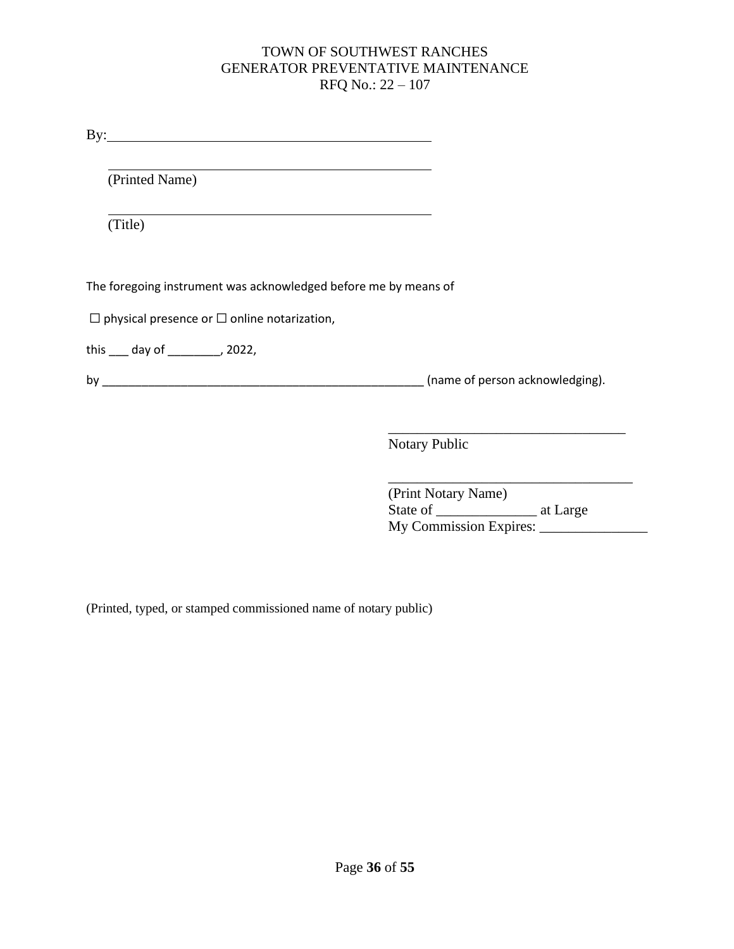By:

(Printed Name)

(Title)

The foregoing instrument was acknowledged before me by means of

 $\Box$  physical presence or  $\Box$  online notarization,

this \_\_\_ day of \_\_\_\_\_\_\_\_, 2022,

by \_\_\_\_\_\_\_\_\_\_\_\_\_\_\_\_\_\_\_\_\_\_\_\_\_\_\_\_\_\_\_\_\_\_\_\_\_\_\_\_\_\_\_\_\_\_\_\_\_ (name of person acknowledging).

Notary Public

\_\_\_\_\_\_\_\_\_\_\_\_\_\_\_\_\_\_\_\_\_\_\_\_\_\_\_\_\_\_\_\_\_\_ (Print Notary Name) State of \_\_\_\_\_\_\_\_\_\_\_\_\_\_ at Large My Commission Expires: \_\_\_\_\_\_\_\_\_\_\_\_\_\_\_

\_\_\_\_\_\_\_\_\_\_\_\_\_\_\_\_\_\_\_\_\_\_\_\_\_\_\_\_\_\_\_\_\_

(Printed, typed, or stamped commissioned name of notary public)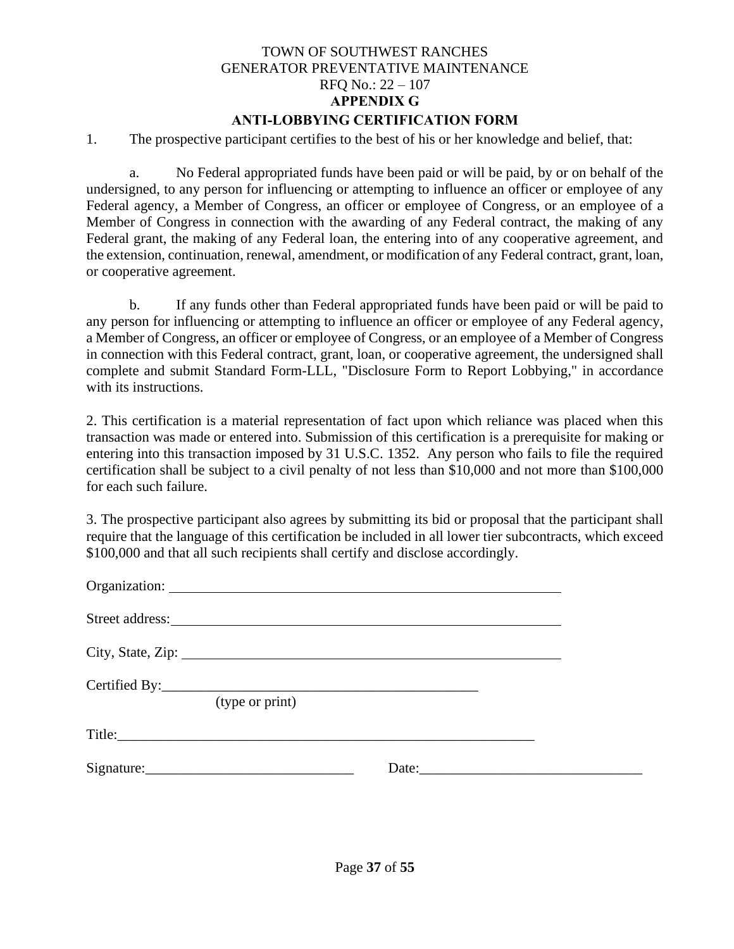#### TOWN OF SOUTHWEST RANCHES GENERATOR PREVENTATIVE MAINTENANCE RFQ No.: 22 – 107 **APPENDIX G ANTI-LOBBYING CERTIFICATION FORM**

<span id="page-36-0"></span>1. The prospective participant certifies to the best of his or her knowledge and belief, that:

a. No Federal appropriated funds have been paid or will be paid, by or on behalf of the undersigned, to any person for influencing or attempting to influence an officer or employee of any Federal agency, a Member of Congress, an officer or employee of Congress, or an employee of a Member of Congress in connection with the awarding of any Federal contract, the making of any Federal grant, the making of any Federal loan, the entering into of any cooperative agreement, and the extension, continuation, renewal, amendment, or modification of any Federal contract, grant, loan, or cooperative agreement.

b. If any funds other than Federal appropriated funds have been paid or will be paid to any person for influencing or attempting to influence an officer or employee of any Federal agency, a Member of Congress, an officer or employee of Congress, or an employee of a Member of Congress in connection with this Federal contract, grant, loan, or cooperative agreement, the undersigned shall complete and submit Standard Form-LLL, "Disclosure Form to Report Lobbying," in accordance with its instructions.

2. This certification is a material representation of fact upon which reliance was placed when this transaction was made or entered into. Submission of this certification is a prerequisite for making or entering into this transaction imposed by 31 U.S.C. 1352. Any person who fails to file the required certification shall be subject to a civil penalty of not less than \$10,000 and not more than \$100,000 for each such failure.

3. The prospective participant also agrees by submitting its bid or proposal that the participant shall require that the language of this certification be included in all lower tier subcontracts, which exceed \$100,000 and that all such recipients shall certify and disclose accordingly.

| City, State, Zip: |       |  |
|-------------------|-------|--|
| (type or print)   |       |  |
| Title:            |       |  |
|                   | Date: |  |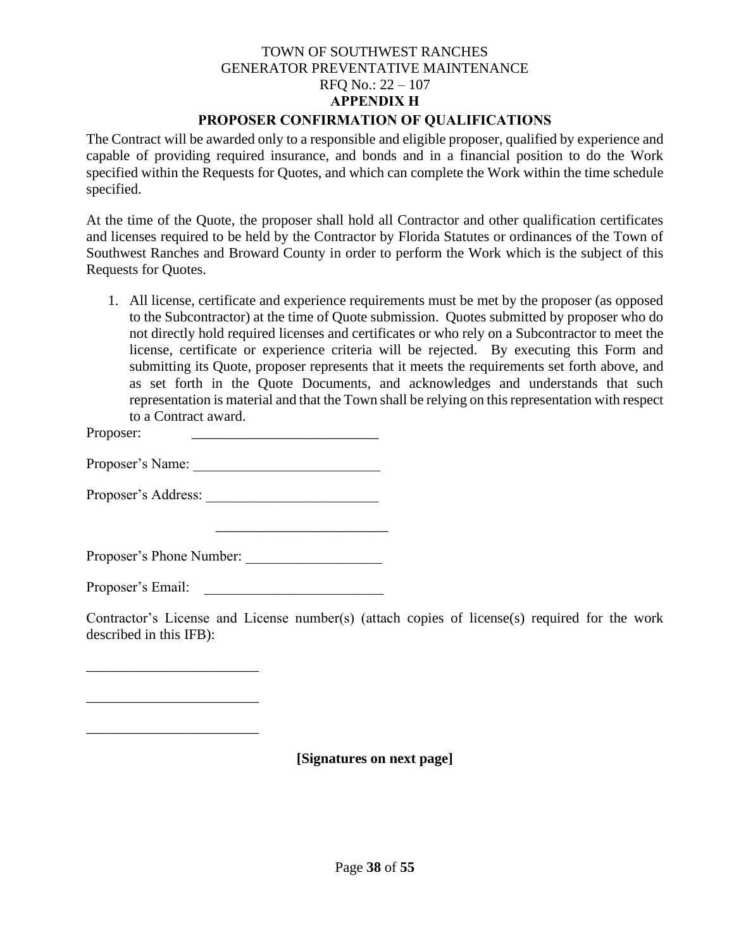## TOWN OF SOUTHWEST RANCHES GENERATOR PREVENTATIVE MAINTENANCE RFQ No.: 22 – 107 **APPENDIX H PROPOSER CONFIRMATION OF QUALIFICATIONS**

<span id="page-37-0"></span>The Contract will be awarded only to a responsible and eligible proposer, qualified by experience and capable of providing required insurance, and bonds and in a financial position to do the Work specified within the Requests for Quotes, and which can complete the Work within the time schedule specified.

At the time of the Quote, the proposer shall hold all Contractor and other qualification certificates and licenses required to be held by the Contractor by Florida Statutes or ordinances of the Town of Southwest Ranches and Broward County in order to perform the Work which is the subject of this Requests for Quotes.

1. All license, certificate and experience requirements must be met by the proposer (as opposed to the Subcontractor) at the time of Quote submission. Quotes submitted by proposer who do not directly hold required licenses and certificates or who rely on a Subcontractor to meet the license, certificate or experience criteria will be rejected. By executing this Form and submitting its Quote, proposer represents that it meets the requirements set forth above, and as set forth in the Quote Documents, and acknowledges and understands that such representation is material and that the Town shall be relying on this representation with respect to a Contract award.

Proposer:

Proposer's Name: \_\_\_\_\_\_\_\_\_\_\_\_\_\_\_\_\_\_\_\_\_\_\_\_\_\_

Proposer's Address: \_\_\_\_\_\_\_\_\_\_\_\_\_\_\_\_\_\_\_\_\_\_\_\_

Proposer's Phone Number:

Proposer's Email:

\_\_\_\_\_\_\_\_\_\_\_\_\_\_\_\_\_\_\_\_\_\_\_\_

\_\_\_\_\_\_\_\_\_\_\_\_\_\_\_\_\_\_\_\_\_\_\_\_

\_\_\_\_\_\_\_\_\_\_\_\_\_\_\_\_\_\_\_\_\_\_\_\_

Contractor's License and License number(s) (attach copies of license(s) required for the work described in this IFB):

**[Signatures on next page]**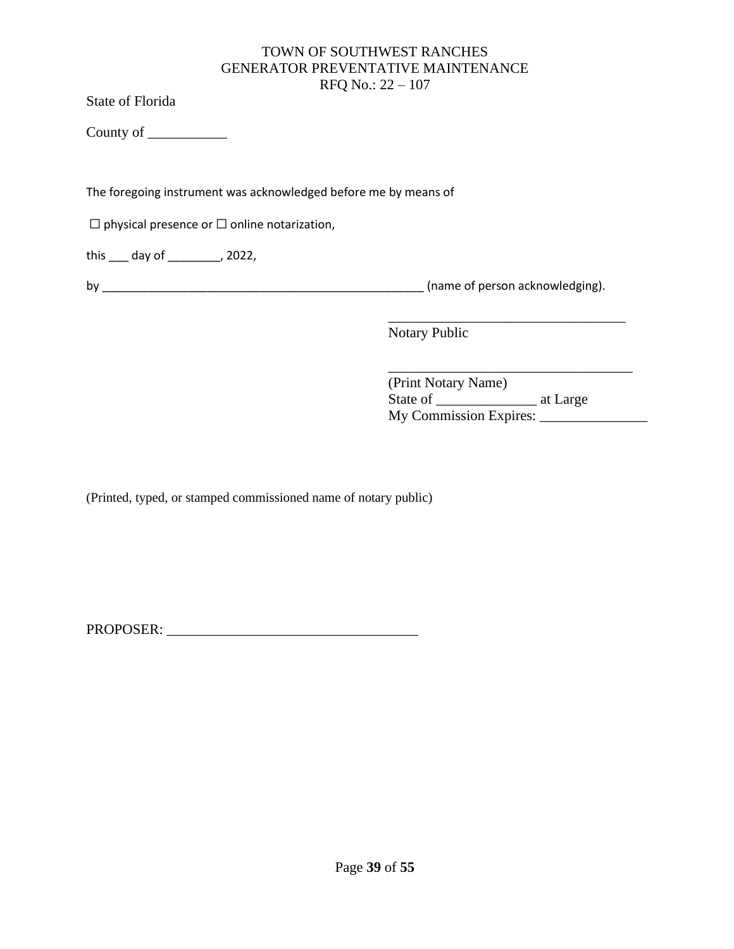State of Florida

County of \_\_\_\_\_\_\_\_\_\_\_

The foregoing instrument was acknowledged before me by means of

 $\Box$  physical presence or  $\Box$  online notarization,

this \_\_\_ day of \_\_\_\_\_\_\_\_, 2022,

by \_\_\_\_\_\_\_\_\_\_\_\_\_\_\_\_\_\_\_\_\_\_\_\_\_\_\_\_\_\_\_\_\_\_\_\_\_\_\_\_\_\_\_\_\_\_\_\_\_ (name of person acknowledging).

Notary Public

\_\_\_\_\_\_\_\_\_\_\_\_\_\_\_\_\_\_\_\_\_\_\_\_\_\_\_\_\_\_\_\_\_\_ (Print Notary Name) State of \_\_\_\_\_\_\_\_\_\_\_\_\_\_ at Large My Commission Expires: \_\_\_\_\_\_\_\_\_\_\_\_\_\_\_

\_\_\_\_\_\_\_\_\_\_\_\_\_\_\_\_\_\_\_\_\_\_\_\_\_\_\_\_\_\_\_\_\_

(Printed, typed, or stamped commissioned name of notary public)

PROPOSER: \_\_\_\_\_\_\_\_\_\_\_\_\_\_\_\_\_\_\_\_\_\_\_\_\_\_\_\_\_\_\_\_\_\_\_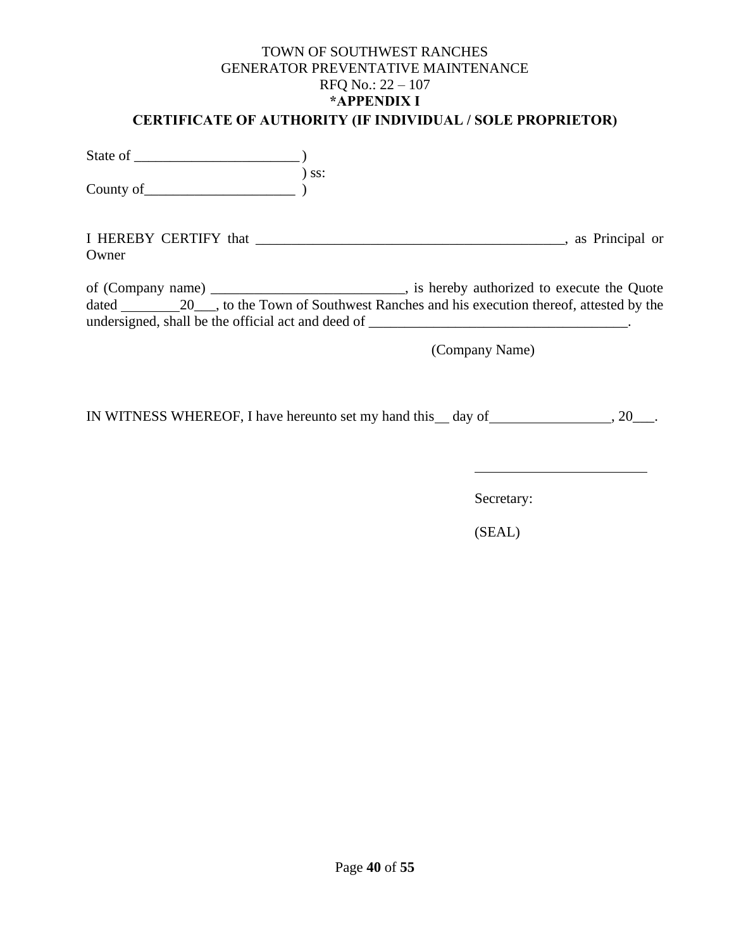# TOWN OF SOUTHWEST RANCHES GENERATOR PREVENTATIVE MAINTENANCE RFQ No.: 22 – 107 **\*APPENDIX I CERTIFICATE OF AUTHORITY (IF INDIVIDUAL / SOLE PROPRIETOR)**

<span id="page-39-0"></span>

| State of $\frac{1}{\sqrt{1-\frac{1}{2}} \cdot \frac{1}{2}}$ |                                                                                                                                                                                                                                                                                         |
|-------------------------------------------------------------|-----------------------------------------------------------------------------------------------------------------------------------------------------------------------------------------------------------------------------------------------------------------------------------------|
|                                                             | $)$ SS:                                                                                                                                                                                                                                                                                 |
| Owner                                                       |                                                                                                                                                                                                                                                                                         |
|                                                             | of (Company name) _________________________________, is hereby authorized to execute the Quote<br>dated 20 ________, to the Town of Southwest Ranches and his execution thereof, attested by the<br>undersigned, shall be the official act and deed of _______________________________. |
|                                                             | (Company Name)                                                                                                                                                                                                                                                                          |

IN WITNESS WHEREOF, I have hereunto set my hand this  $\_\,$  day of  $\_\,$ , 20 $\_\,$ .

Secretary:

(SEAL)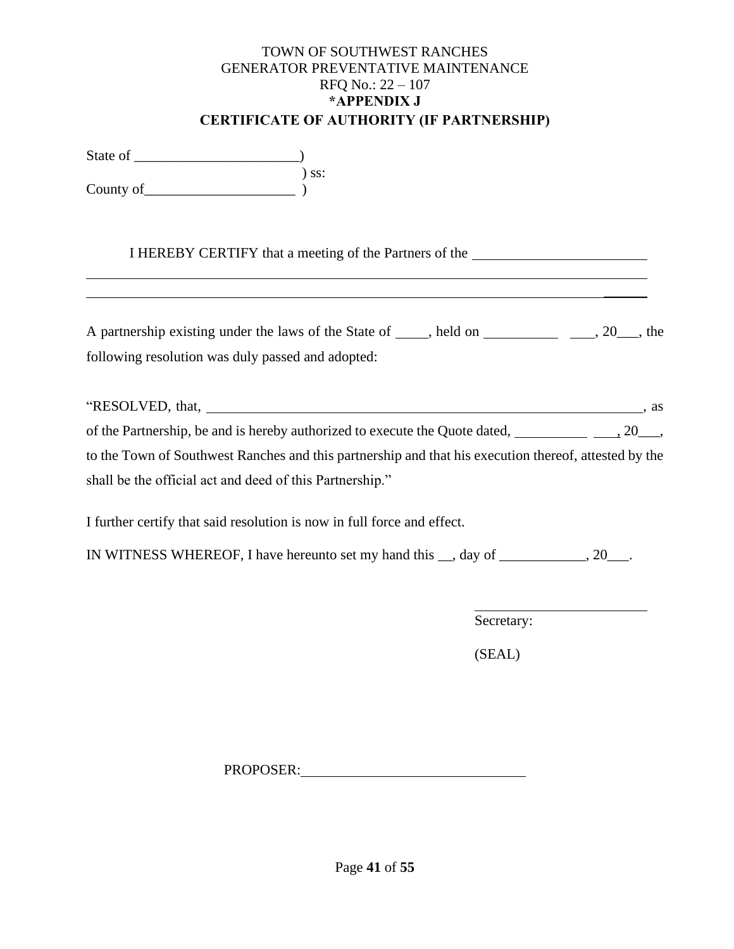# TOWN OF SOUTHWEST RANCHES GENERATOR PREVENTATIVE MAINTENANCE RFQ No.: 22 – 107 **\*APPENDIX J CERTIFICATE OF AUTHORITY (IF PARTNERSHIP)**

<span id="page-40-0"></span>

| State of  |            |
|-----------|------------|
|           | $\sum$ SS: |
| County of |            |

I HEREBY CERTIFY that a meeting of the Partners of the

| A partnership existing under the laws of the State of , held on | $, 20$ , the |  |
|-----------------------------------------------------------------|--------------|--|
| following resolution was duly passed and adopted:               |              |  |

| "RESOLVED, that,                                                                                      | as                          |
|-------------------------------------------------------------------------------------------------------|-----------------------------|
| of the Partnership, be and is hereby authorized to execute the Quote dated,                           | $, 20 \underline{\qquad}$ , |
| to the Town of Southwest Ranches and this partnership and that his execution thereof, attested by the |                             |
| shall be the official act and deed of this Partnership."                                              |                             |

I further certify that said resolution is now in full force and effect.

IN WITNESS WHEREOF, I have hereunto set my hand this \_\_, day of \_\_\_\_\_\_\_\_\_\_\_\_, 20\_\_\_.

Secretary:

 $\overline{\phantom{a}}$ 

(SEAL)

PROPOSER: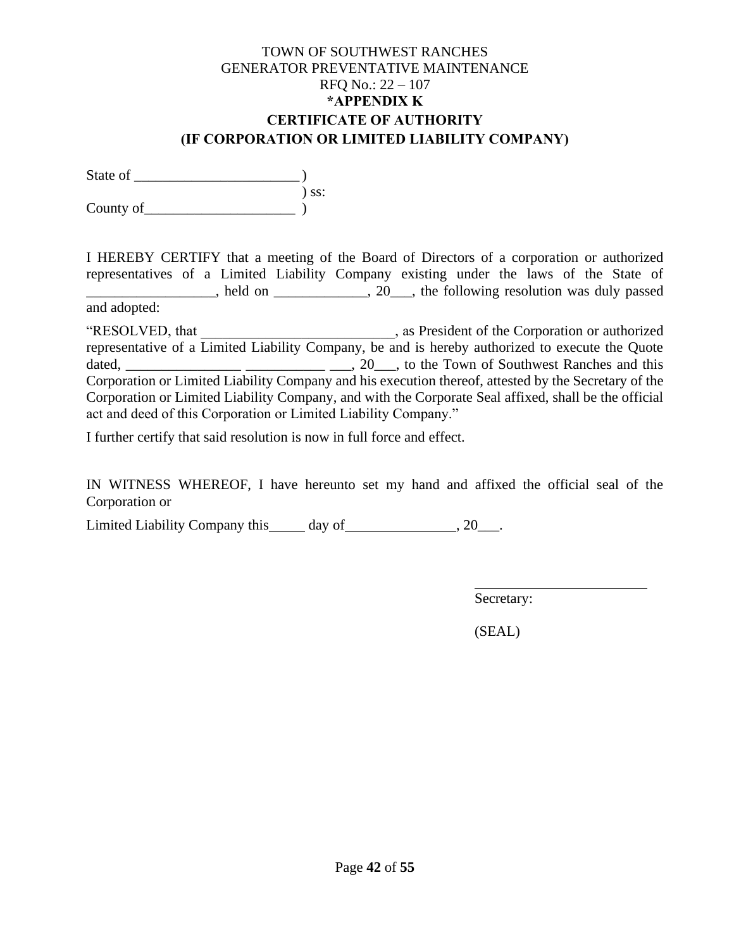# TOWN OF SOUTHWEST RANCHES GENERATOR PREVENTATIVE MAINTENANCE RFQ No.: 22 – 107 **\*APPENDIX K CERTIFICATE OF AUTHORITY (IF CORPORATION OR LIMITED LIABILITY COMPANY)**

<span id="page-41-0"></span>State of \_\_\_\_\_\_\_\_\_\_\_\_\_\_\_\_\_\_\_\_\_\_\_ )  $\sum$  ss: County of the country of the country of the country of the country of the country of the country of  $\sim$  100  $\mu$ 

I HEREBY CERTIFY that a meeting of the Board of Directors of a corporation or authorized representatives of a Limited Liability Company existing under the laws of the State of held on \_\_\_\_\_\_\_\_\_\_, 20\_\_, the following resolution was duly passed and adopted:

"RESOLVED, that \_\_\_\_\_\_\_\_\_\_\_\_\_\_\_\_\_\_\_\_\_\_\_\_\_\_\_, as President of the Corporation or authorized representative of a Limited Liability Company, be and is hereby authorized to execute the Quote dated,  $\frac{1}{20}$ ,  $\frac{1}{20}$ , to the Town of Southwest Ranches and this Corporation or Limited Liability Company and his execution thereof, attested by the Secretary of the Corporation or Limited Liability Company, and with the Corporate Seal affixed, shall be the official act and deed of this Corporation or Limited Liability Company."

I further certify that said resolution is now in full force and effect.

IN WITNESS WHEREOF, I have hereunto set my hand and affixed the official seal of the Corporation or

Limited Liability Company this day of 5. 20. 4.

Secretary:

(SEAL)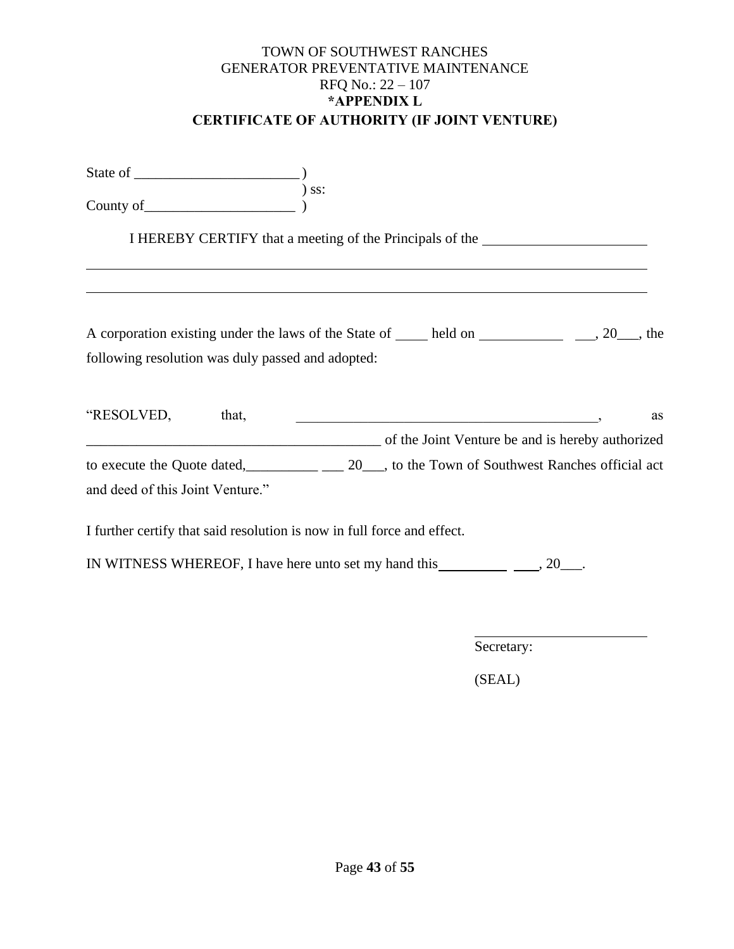# TOWN OF SOUTHWEST RANCHES GENERATOR PREVENTATIVE MAINTENANCE RFQ No.: 22 – 107 **\*APPENDIX L CERTIFICATE OF AUTHORITY (IF JOINT VENTURE)**

<span id="page-42-0"></span>

|                                                                         | $)$ ss:                                                                                                        |
|-------------------------------------------------------------------------|----------------------------------------------------------------------------------------------------------------|
|                                                                         | I HEREBY CERTIFY that a meeting of the Principals of the _______________________                               |
| following resolution was duly passed and adopted:                       |                                                                                                                |
| "RESOLVED, that,                                                        | <u> 1980 - Johann Barn, fransk politik (f. 1980)</u><br>as<br>of the Joint Venture be and is hereby authorized |
| and deed of this Joint Venture."                                        | to execute the Quote dated, 20, to the Town of Southwest Ranches official act                                  |
| I further certify that said resolution is now in full force and effect. |                                                                                                                |

Secretary:

(SEAL)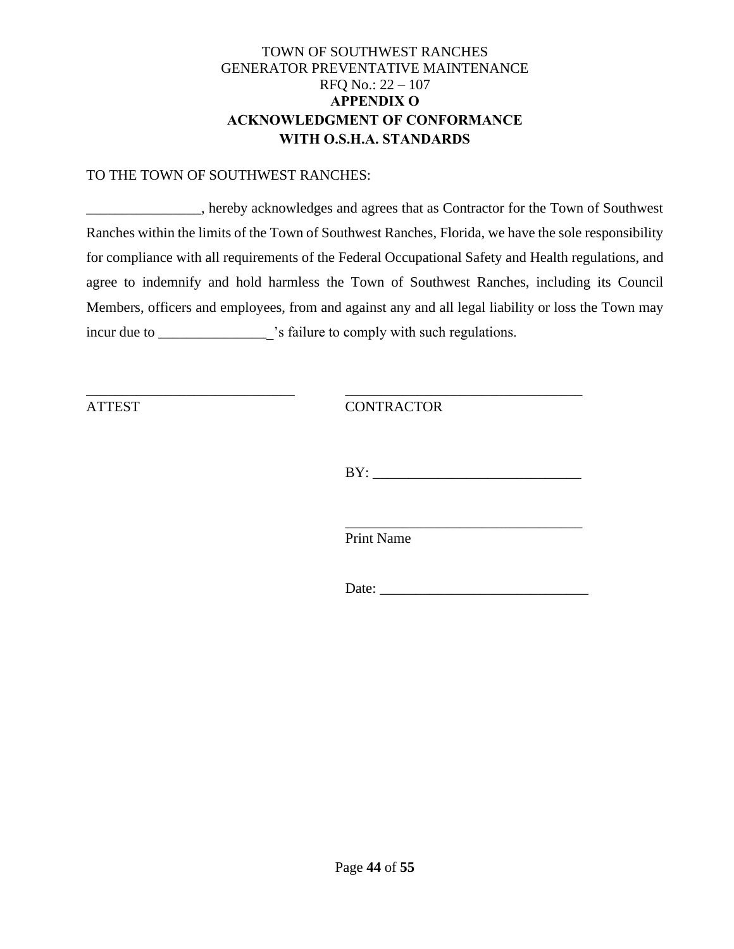# TOWN OF SOUTHWEST RANCHES GENERATOR PREVENTATIVE MAINTENANCE RFQ No.: 22 – 107 **APPENDIX O ACKNOWLEDGMENT OF CONFORMANCE WITH O.S.H.A. STANDARDS**

## <span id="page-43-0"></span>TO THE TOWN OF SOUTHWEST RANCHES:

**\_\_\_\_\_\_\_\_\_\_\_\_\_\_**, hereby acknowledges and agrees that as Contractor for the Town of Southwest Ranches within the limits of the Town of Southwest Ranches, Florida, we have the sole responsibility for compliance with all requirements of the Federal Occupational Safety and Health regulations, and agree to indemnify and hold harmless the Town of Southwest Ranches, including its Council Members, officers and employees, from and against any and all legal liability or loss the Town may incur due to \_\_\_\_\_\_\_\_\_\_\_\_\_\_\_\_\_\_\_'s failure to comply with such regulations.

\_\_\_\_\_\_\_\_\_\_\_\_\_\_\_\_\_\_\_\_\_\_\_\_\_\_\_\_\_ \_\_\_\_\_\_\_\_\_\_\_\_\_\_\_\_\_\_\_\_\_\_\_\_\_\_\_\_\_\_\_\_\_ ATTEST CONTRACTOR

BY: \_\_\_\_\_\_\_\_\_\_\_\_\_\_\_\_\_\_\_\_\_\_\_\_\_\_\_\_\_

\_\_\_\_\_\_\_\_\_\_\_\_\_\_\_\_\_\_\_\_\_\_\_\_\_\_\_\_\_\_\_\_\_ Print Name

Date: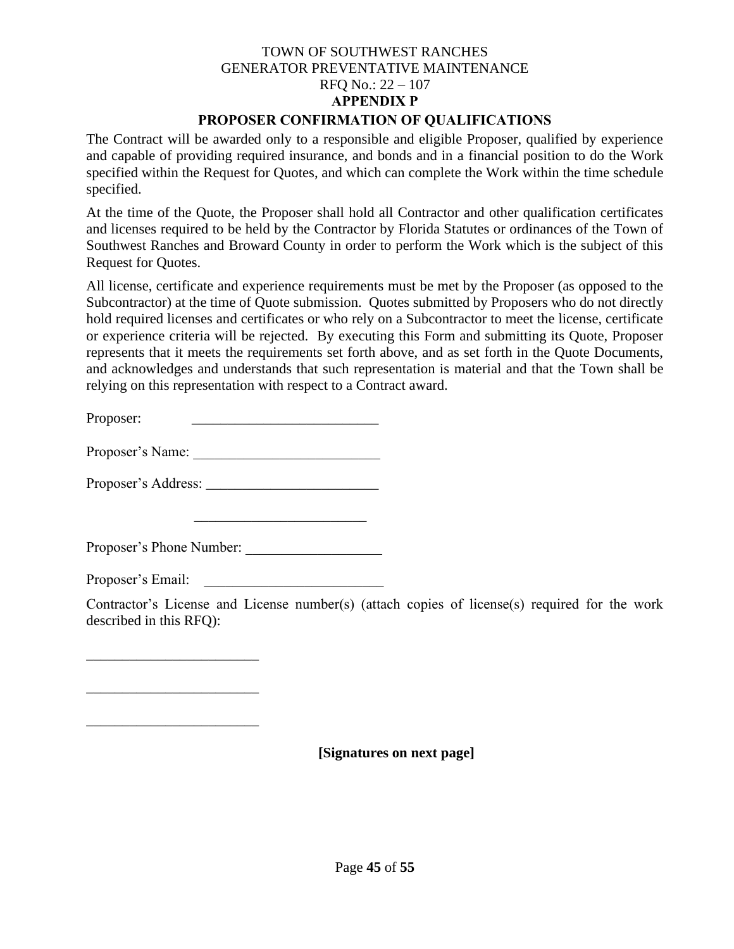## TOWN OF SOUTHWEST RANCHES GENERATOR PREVENTATIVE MAINTENANCE RFQ No.: 22 – 107 **APPENDIX P PROPOSER CONFIRMATION OF QUALIFICATIONS**

<span id="page-44-0"></span>The Contract will be awarded only to a responsible and eligible Proposer, qualified by experience and capable of providing required insurance, and bonds and in a financial position to do the Work specified within the Request for Quotes, and which can complete the Work within the time schedule specified.

At the time of the Quote, the Proposer shall hold all Contractor and other qualification certificates and licenses required to be held by the Contractor by Florida Statutes or ordinances of the Town of Southwest Ranches and Broward County in order to perform the Work which is the subject of this Request for Quotes.

All license, certificate and experience requirements must be met by the Proposer (as opposed to the Subcontractor) at the time of Quote submission. Quotes submitted by Proposers who do not directly hold required licenses and certificates or who rely on a Subcontractor to meet the license, certificate or experience criteria will be rejected. By executing this Form and submitting its Quote, Proposer represents that it meets the requirements set forth above, and as set forth in the Quote Documents, and acknowledges and understands that such representation is material and that the Town shall be relying on this representation with respect to a Contract award.

Proposer: \_\_\_\_\_\_\_\_\_\_\_\_\_\_\_\_\_\_\_\_\_\_\_\_\_\_

Proposer's Name: \_\_\_\_\_\_\_\_\_\_\_\_\_\_\_\_\_\_\_\_\_\_\_\_\_\_

Proposer's Address: \_\_\_\_\_\_\_\_\_\_\_\_\_\_\_\_\_\_\_\_\_\_\_\_

Proposer's Phone Number: \_\_\_\_\_\_\_\_\_\_\_\_\_\_\_\_\_\_\_

\_\_\_\_\_\_\_\_\_\_\_\_\_\_\_\_\_\_\_\_\_\_\_\_

Proposer's Email:

\_\_\_\_\_\_\_\_\_\_\_\_\_\_\_\_\_\_\_\_\_\_\_\_

\_\_\_\_\_\_\_\_\_\_\_\_\_\_\_\_\_\_\_\_\_\_\_\_

\_\_\_\_\_\_\_\_\_\_\_\_\_\_\_\_\_\_\_\_\_\_\_\_

Contractor's License and License number(s) (attach copies of license(s) required for the work described in this RFQ):

**[Signatures on next page]**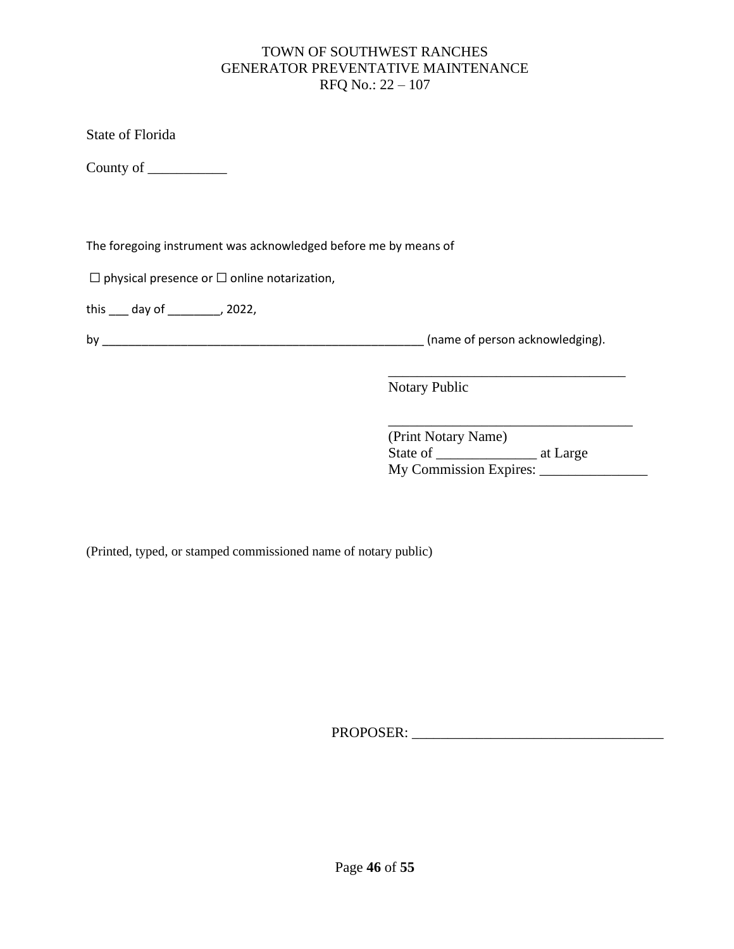State of Florida

County of \_\_\_\_\_\_\_\_\_\_\_

The foregoing instrument was acknowledged before me by means of

☐ physical presence or ☐ online notarization,

this \_\_\_ day of \_\_\_\_\_\_\_\_, 2022,

by \_\_\_\_\_\_\_\_\_\_\_\_\_\_\_\_\_\_\_\_\_\_\_\_\_\_\_\_\_\_\_\_\_\_\_\_\_\_\_\_\_\_\_\_\_\_\_\_\_ (name of person acknowledging).

Notary Public

\_\_\_\_\_\_\_\_\_\_\_\_\_\_\_\_\_\_\_\_\_\_\_\_\_\_\_\_\_\_\_\_\_\_ (Print Notary Name) State of \_\_\_\_\_\_\_\_\_\_\_\_\_\_ at Large My Commission Expires: \_\_\_\_\_\_\_\_\_\_\_\_\_\_\_

\_\_\_\_\_\_\_\_\_\_\_\_\_\_\_\_\_\_\_\_\_\_\_\_\_\_\_\_\_\_\_\_\_

(Printed, typed, or stamped commissioned name of notary public)

PROPOSER: \_\_\_\_\_\_\_\_\_\_\_\_\_\_\_\_\_\_\_\_\_\_\_\_\_\_\_\_\_\_\_\_\_\_\_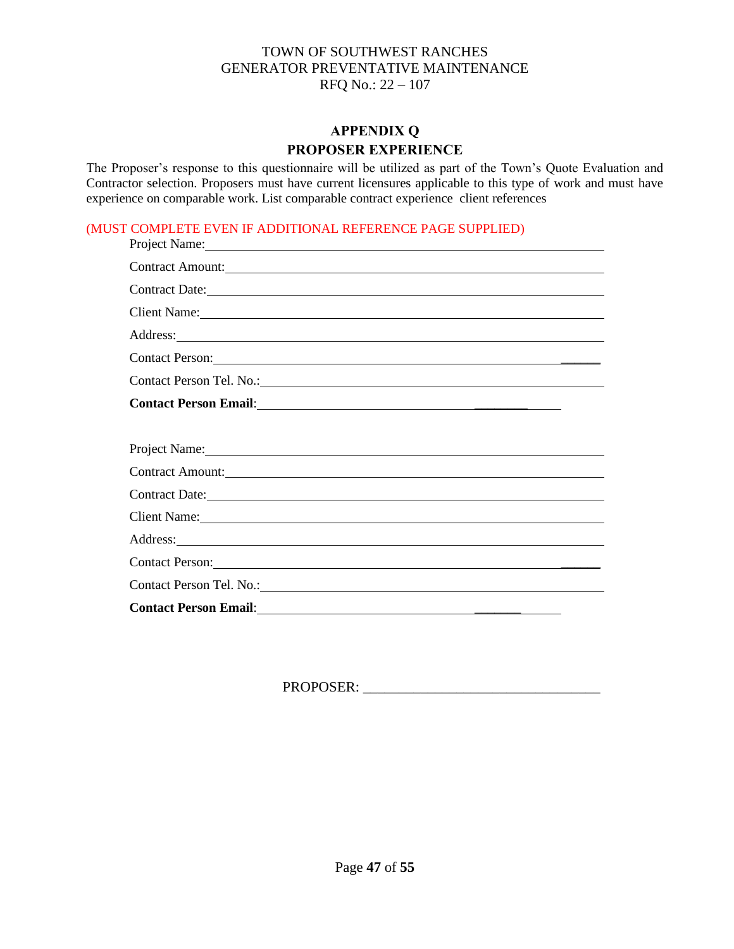# **APPENDIX Q PROPOSER EXPERIENCE**

<span id="page-46-0"></span>The Proposer's response to this questionnaire will be utilized as part of the Town's Quote Evaluation and Contractor selection. Proposers must have current licensures applicable to this type of work and must have experience on comparable work. List comparable contract experience client references

#### (MUST COMPLETE EVEN IF ADDITIONAL REFERENCE PAGE SUPPLIED)

| Project Name: Name and the set of the set of the set of the set of the set of the set of the set of the set of the set of the set of the set of the set of the set of the set of the set of the set of the set of the set of t |
|--------------------------------------------------------------------------------------------------------------------------------------------------------------------------------------------------------------------------------|
| Contract Amount: New York Contract Amount:                                                                                                                                                                                     |
| Contract Date: 1000 million contract Date:                                                                                                                                                                                     |
| Client Name: Name:                                                                                                                                                                                                             |
| Address: Andreas Address: Address: Address: Address: Address: Address: Address: Address: Address: Address: Address: Address: Address: Address: Address: Address: Address: Address: Address: Address: Address: Address: Address |
| Contact Person: New York Contact Person:                                                                                                                                                                                       |
| Contact Person Tel. No.: 1988 and 2008 and 2008 and 2008 and 2008 and 2008 and 2008 and 2008 and 2008 and 2008 and 2008 and 2008 and 2008 and 2008 and 2008 and 2008 and 2008 and 2008 and 2008 and 2008 and 2008 and 2008 and |
|                                                                                                                                                                                                                                |
|                                                                                                                                                                                                                                |
| Project Name: Name:                                                                                                                                                                                                            |
|                                                                                                                                                                                                                                |
| Contract Date: 1000 million contract Date:                                                                                                                                                                                     |
| Client Name: 1988                                                                                                                                                                                                              |
| Address:                                                                                                                                                                                                                       |
| Contact Person: Note and the set of the set of the set of the set of the set of the set of the set of the set of the set of the set of the set of the set of the set of the set of the set of the set of the set of the set of |
|                                                                                                                                                                                                                                |
| <b>Contact Person Email:</b> <u>Contact Person Email:</u>                                                                                                                                                                      |

PROPOSER: \_\_\_\_\_\_\_\_\_\_\_\_\_\_\_\_\_\_\_\_\_\_\_\_\_\_\_\_\_\_\_\_\_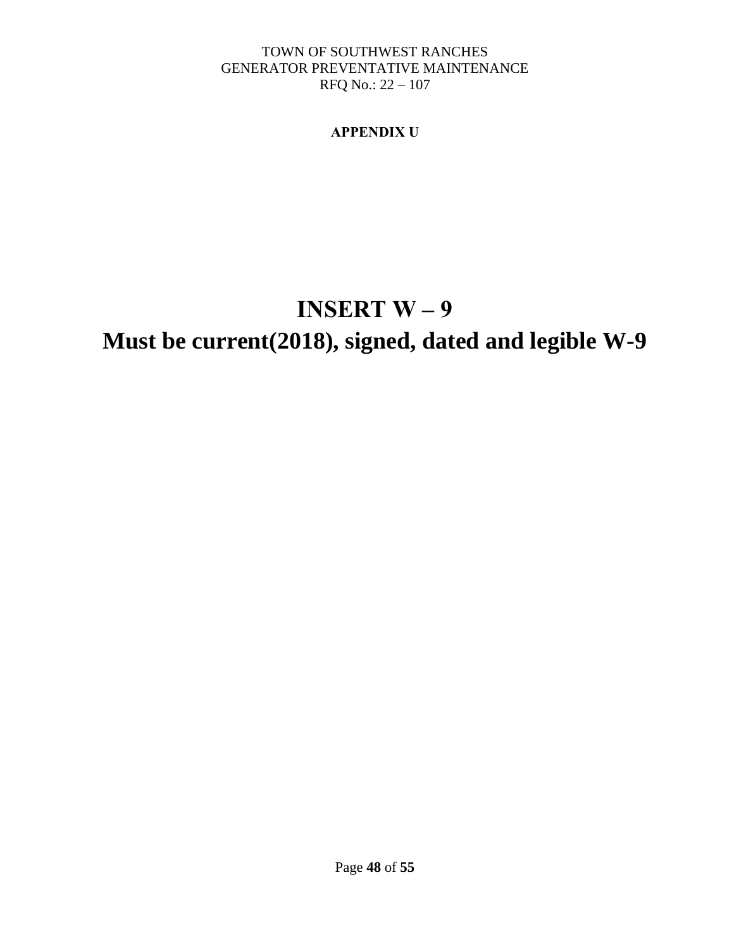# **APPENDIX U**

# **INSERT W – 9**

# <span id="page-47-0"></span>**Must be current(2018), signed, dated and legible W-9**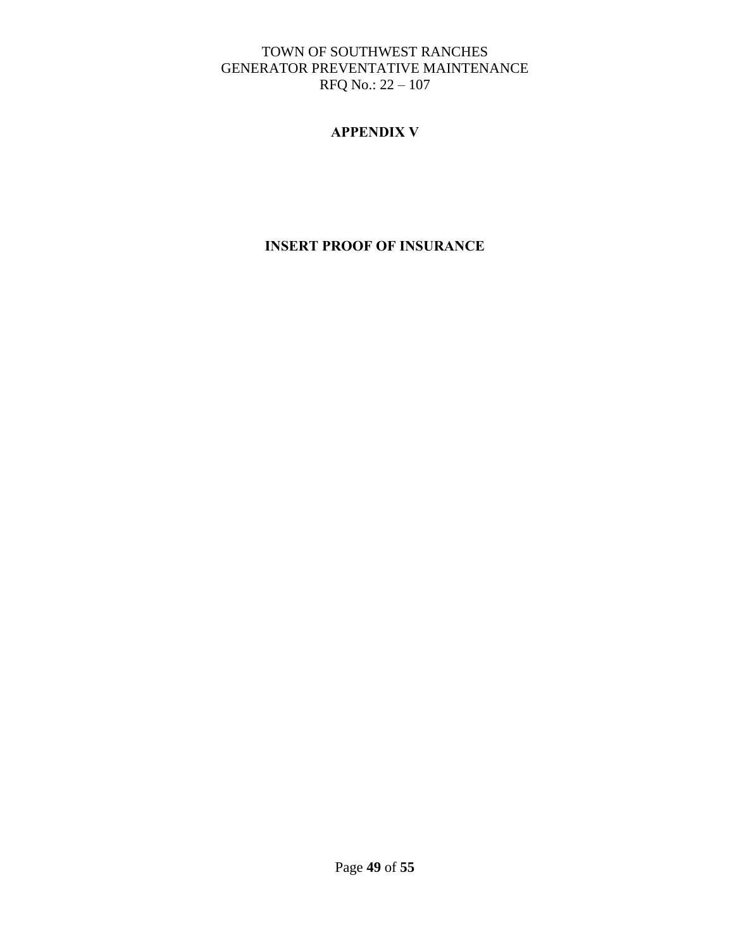# **APPENDIX V**

# <span id="page-48-0"></span>**INSERT PROOF OF INSURANCE**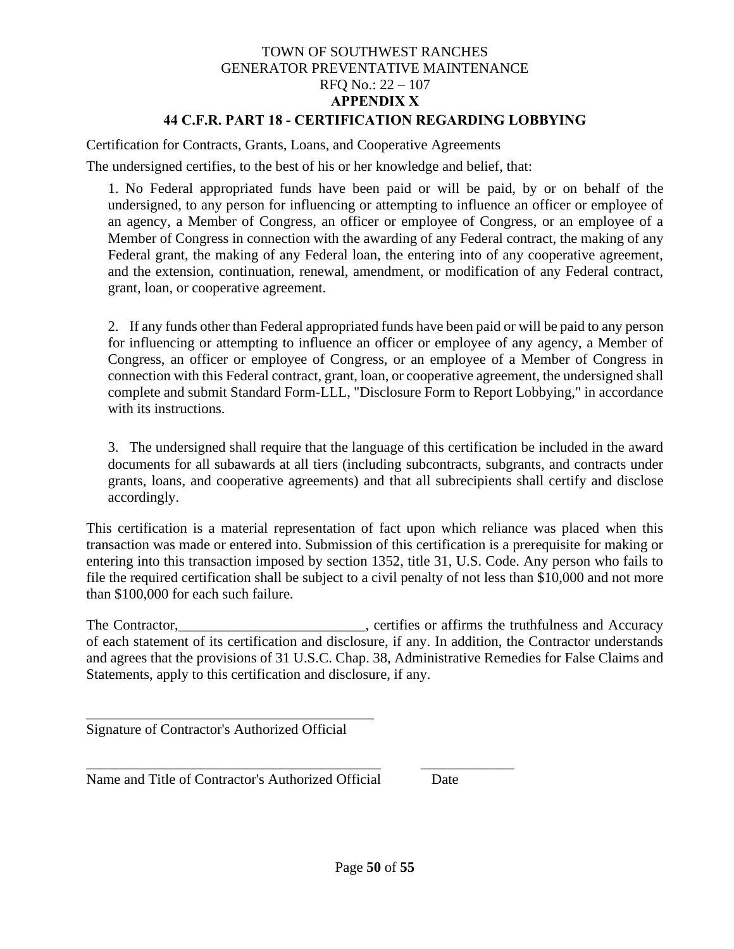## TOWN OF SOUTHWEST RANCHES GENERATOR PREVENTATIVE MAINTENANCE RFQ No.: 22 – 107 **APPENDIX X 44 C.F.R. PART 18 - CERTIFICATION REGARDING LOBBYING**

<span id="page-49-0"></span>Certification for Contracts, Grants, Loans, and Cooperative Agreements

The undersigned certifies, to the best of his or her knowledge and belief, that:

1. No Federal appropriated funds have been paid or will be paid, by or on behalf of the undersigned, to any person for influencing or attempting to influence an officer or employee of an agency, a Member of Congress, an officer or employee of Congress, or an employee of a Member of Congress in connection with the awarding of any Federal contract, the making of any Federal grant, the making of any Federal loan, the entering into of any cooperative agreement, and the extension, continuation, renewal, amendment, or modification of any Federal contract, grant, loan, or cooperative agreement.

2. If any funds other than Federal appropriated funds have been paid or will be paid to any person for influencing or attempting to influence an officer or employee of any agency, a Member of Congress, an officer or employee of Congress, or an employee of a Member of Congress in connection with this Federal contract, grant, loan, or cooperative agreement, the undersigned shall complete and submit Standard Form-LLL, "Disclosure Form to Report Lobbying," in accordance with its instructions.

3. The undersigned shall require that the language of this certification be included in the award documents for all subawards at all tiers (including subcontracts, subgrants, and contracts under grants, loans, and cooperative agreements) and that all subrecipients shall certify and disclose accordingly.

This certification is a material representation of fact upon which reliance was placed when this transaction was made or entered into. Submission of this certification is a prerequisite for making or entering into this transaction imposed by section 1352, title 31, U.S. Code. Any person who fails to file the required certification shall be subject to a civil penalty of not less than \$10,000 and not more than \$100,000 for each such failure.

The Contractor, <u>\_\_\_\_\_\_\_\_\_\_\_\_\_\_\_\_\_\_</u>, certifies or affirms the truthfulness and Accuracy of each statement of its certification and disclosure, if any. In addition, the Contractor understands and agrees that the provisions of 31 U.S.C. Chap. 38, Administrative Remedies for False Claims and Statements, apply to this certification and disclosure, if any.

Signature of Contractor's Authorized Official

\_\_\_\_\_\_\_\_\_\_\_\_\_\_\_\_\_\_\_\_\_\_\_\_\_\_\_\_\_\_\_\_\_\_\_\_\_\_\_\_

Name and Title of Contractor's Authorized Official Date

\_\_\_\_\_\_\_\_\_\_\_\_\_\_\_\_\_\_\_\_\_\_\_\_\_\_\_\_\_\_\_\_\_\_\_\_\_\_\_\_\_ \_\_\_\_\_\_\_\_\_\_\_\_\_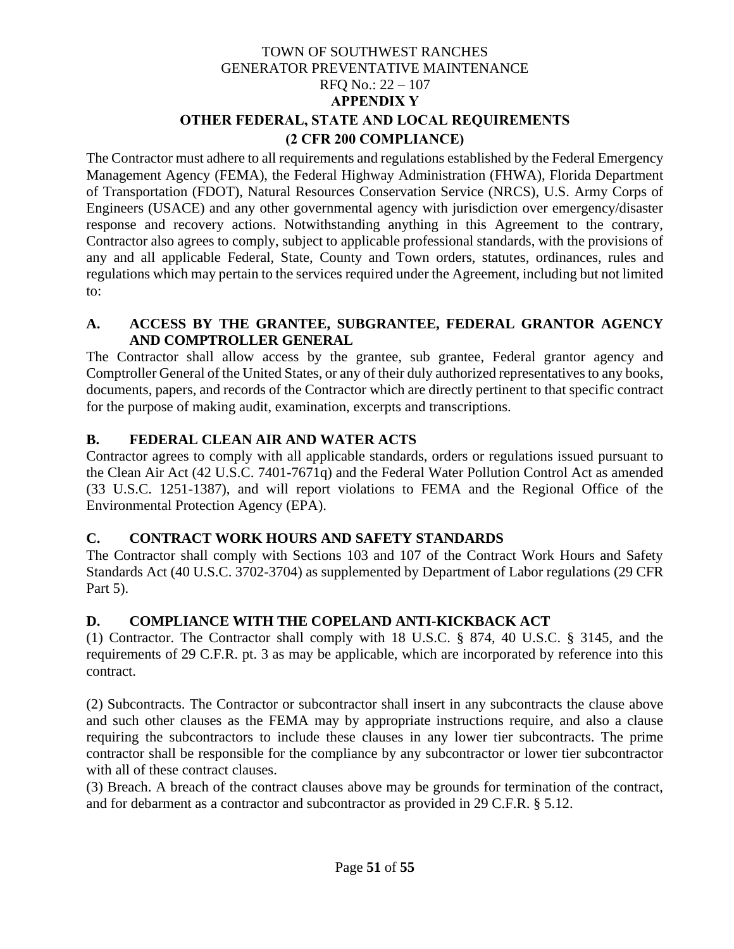# TOWN OF SOUTHWEST RANCHES GENERATOR PREVENTATIVE MAINTENANCE RFQ No.: 22 – 107 **APPENDIX Y OTHER FEDERAL, STATE AND LOCAL REQUIREMENTS (2 CFR 200 COMPLIANCE)**

<span id="page-50-0"></span>The Contractor must adhere to all requirements and regulations established by the Federal Emergency Management Agency (FEMA), the Federal Highway Administration (FHWA), Florida Department of Transportation (FDOT), Natural Resources Conservation Service (NRCS), U.S. Army Corps of Engineers (USACE) and any other governmental agency with jurisdiction over emergency/disaster response and recovery actions. Notwithstanding anything in this Agreement to the contrary, Contractor also agrees to comply, subject to applicable professional standards, with the provisions of any and all applicable Federal, State, County and Town orders, statutes, ordinances, rules and regulations which may pertain to the services required under the Agreement, including but not limited to:

# **A. ACCESS BY THE GRANTEE, SUBGRANTEE, FEDERAL GRANTOR AGENCY AND COMPTROLLER GENERAL**

The Contractor shall allow access by the grantee, sub grantee, Federal grantor agency and Comptroller General of the United States, or any of their duly authorized representatives to any books, documents, papers, and records of the Contractor which are directly pertinent to that specific contract for the purpose of making audit, examination, excerpts and transcriptions.

# **B. FEDERAL CLEAN AIR AND WATER ACTS**

Contractor agrees to comply with all applicable standards, orders or regulations issued pursuant to the Clean Air Act (42 U.S.C. 7401-7671q) and the Federal Water Pollution Control Act as amended (33 U.S.C. 1251-1387), and will report violations to FEMA and the Regional Office of the Environmental Protection Agency (EPA).

# **C. CONTRACT WORK HOURS AND SAFETY STANDARDS**

The Contractor shall comply with Sections 103 and 107 of the Contract Work Hours and Safety Standards Act (40 U.S.C. 3702-3704) as supplemented by Department of Labor regulations (29 CFR Part 5).

# **D. COMPLIANCE WITH THE COPELAND ANTI-KICKBACK ACT**

(1) Contractor. The Contractor shall comply with 18 U.S.C. § 874, 40 U.S.C. § 3145, and the requirements of 29 C.F.R. pt. 3 as may be applicable, which are incorporated by reference into this contract.

(2) Subcontracts. The Contractor or subcontractor shall insert in any subcontracts the clause above and such other clauses as the FEMA may by appropriate instructions require, and also a clause requiring the subcontractors to include these clauses in any lower tier subcontracts. The prime contractor shall be responsible for the compliance by any subcontractor or lower tier subcontractor with all of these contract clauses.

(3) Breach. A breach of the contract clauses above may be grounds for termination of the contract, and for debarment as a contractor and subcontractor as provided in 29 C.F.R. § 5.12.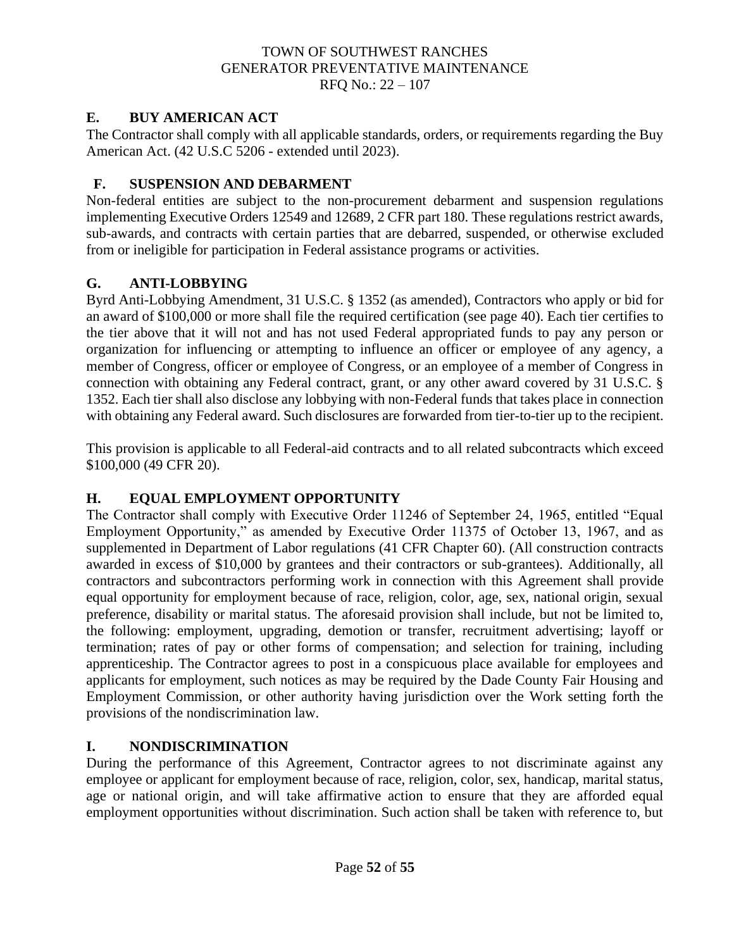# **E. BUY AMERICAN ACT**

The Contractor shall comply with all applicable standards, orders, or requirements regarding the Buy American Act. (42 U.S.C 5206 - extended until 2023).

# **F. SUSPENSION AND DEBARMENT**

Non-federal entities are subject to the non-procurement debarment and suspension regulations implementing Executive Orders 12549 and 12689, 2 CFR part 180. These regulations restrict awards, sub-awards, and contracts with certain parties that are debarred, suspended, or otherwise excluded from or ineligible for participation in Federal assistance programs or activities.

# **G. ANTI-LOBBYING**

Byrd Anti-Lobbying Amendment, 31 U.S.C. § 1352 (as amended), Contractors who apply or bid for an award of \$100,000 or more shall file the required certification (see page 40). Each tier certifies to the tier above that it will not and has not used Federal appropriated funds to pay any person or organization for influencing or attempting to influence an officer or employee of any agency, a member of Congress, officer or employee of Congress, or an employee of a member of Congress in connection with obtaining any Federal contract, grant, or any other award covered by 31 U.S.C. § 1352. Each tier shall also disclose any lobbying with non-Federal funds that takes place in connection with obtaining any Federal award. Such disclosures are forwarded from tier-to-tier up to the recipient.

This provision is applicable to all Federal-aid contracts and to all related subcontracts which exceed \$100,000 (49 CFR 20).

# **H. EQUAL EMPLOYMENT OPPORTUNITY**

The Contractor shall comply with Executive Order 11246 of September 24, 1965, entitled "Equal Employment Opportunity," as amended by Executive Order 11375 of October 13, 1967, and as supplemented in Department of Labor regulations (41 CFR Chapter 60). (All construction contracts awarded in excess of \$10,000 by grantees and their contractors or sub-grantees). Additionally, all contractors and subcontractors performing work in connection with this Agreement shall provide equal opportunity for employment because of race, religion, color, age, sex, national origin, sexual preference, disability or marital status. The aforesaid provision shall include, but not be limited to, the following: employment, upgrading, demotion or transfer, recruitment advertising; layoff or termination; rates of pay or other forms of compensation; and selection for training, including apprenticeship. The Contractor agrees to post in a conspicuous place available for employees and applicants for employment, such notices as may be required by the Dade County Fair Housing and Employment Commission, or other authority having jurisdiction over the Work setting forth the provisions of the nondiscrimination law.

# **I. NONDISCRIMINATION**

During the performance of this Agreement, Contractor agrees to not discriminate against any employee or applicant for employment because of race, religion, color, sex, handicap, marital status, age or national origin, and will take affirmative action to ensure that they are afforded equal employment opportunities without discrimination. Such action shall be taken with reference to, but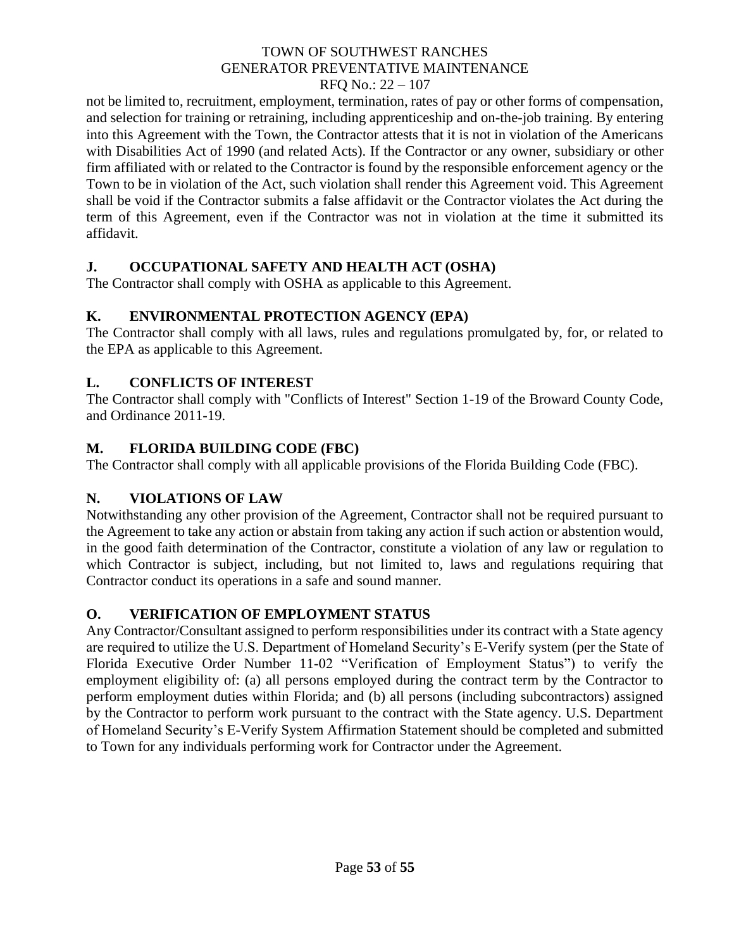# RFQ No.: 22 – 107

not be limited to, recruitment, employment, termination, rates of pay or other forms of compensation, and selection for training or retraining, including apprenticeship and on-the-job training. By entering into this Agreement with the Town, the Contractor attests that it is not in violation of the Americans with Disabilities Act of 1990 (and related Acts). If the Contractor or any owner, subsidiary or other firm affiliated with or related to the Contractor is found by the responsible enforcement agency or the Town to be in violation of the Act, such violation shall render this Agreement void. This Agreement shall be void if the Contractor submits a false affidavit or the Contractor violates the Act during the term of this Agreement, even if the Contractor was not in violation at the time it submitted its affidavit.

# **J. OCCUPATIONAL SAFETY AND HEALTH ACT (OSHA)**

The Contractor shall comply with OSHA as applicable to this Agreement.

# **K. ENVIRONMENTAL PROTECTION AGENCY (EPA)**

The Contractor shall comply with all laws, rules and regulations promulgated by, for, or related to the EPA as applicable to this Agreement.

# **L. CONFLICTS OF INTEREST**

The Contractor shall comply with "Conflicts of Interest" Section 1-19 of the Broward County Code, and Ordinance 2011-19.

# **M. FLORIDA BUILDING CODE (FBC)**

The Contractor shall comply with all applicable provisions of the Florida Building Code (FBC).

# **N. VIOLATIONS OF LAW**

Notwithstanding any other provision of the Agreement, Contractor shall not be required pursuant to the Agreement to take any action or abstain from taking any action if such action or abstention would, in the good faith determination of the Contractor, constitute a violation of any law or regulation to which Contractor is subject, including, but not limited to, laws and regulations requiring that Contractor conduct its operations in a safe and sound manner.

# **O. VERIFICATION OF EMPLOYMENT STATUS**

Any Contractor/Consultant assigned to perform responsibilities under its contract with a State agency are required to utilize the U.S. Department of Homeland Security's E-Verify system (per the State of Florida Executive Order Number 11-02 "Verification of Employment Status") to verify the employment eligibility of: (a) all persons employed during the contract term by the Contractor to perform employment duties within Florida; and (b) all persons (including subcontractors) assigned by the Contractor to perform work pursuant to the contract with the State agency. U.S. Department of Homeland Security's E-Verify System Affirmation Statement should be completed and submitted to Town for any individuals performing work for Contractor under the Agreement.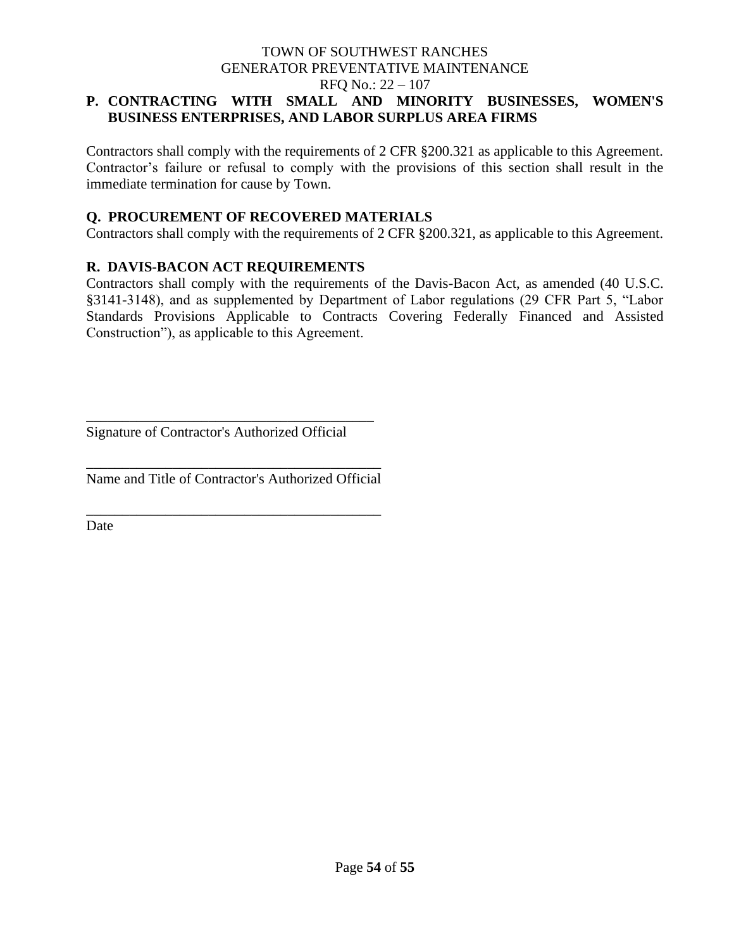# **P. CONTRACTING WITH SMALL AND MINORITY BUSINESSES, WOMEN'S BUSINESS ENTERPRISES, AND LABOR SURPLUS AREA FIRMS**

Contractors shall comply with the requirements of 2 CFR §200.321 as applicable to this Agreement. Contractor's failure or refusal to comply with the provisions of this section shall result in the immediate termination for cause by Town.

# **Q. PROCUREMENT OF RECOVERED MATERIALS**

Contractors shall comply with the requirements of 2 CFR §200.321, as applicable to this Agreement.

# **R. DAVIS-BACON ACT REQUIREMENTS**

Contractors shall comply with the requirements of the Davis-Bacon Act, as amended (40 U.S.C. §3141-3148), and as supplemented by Department of Labor regulations (29 CFR Part 5, "Labor Standards Provisions Applicable to Contracts Covering Federally Financed and Assisted Construction"), as applicable to this Agreement.

\_\_\_\_\_\_\_\_\_\_\_\_\_\_\_\_\_\_\_\_\_\_\_\_\_\_\_\_\_\_\_\_\_\_\_\_\_\_\_\_ Signature of Contractor's Authorized Official

\_\_\_\_\_\_\_\_\_\_\_\_\_\_\_\_\_\_\_\_\_\_\_\_\_\_\_\_\_\_\_\_\_\_\_\_\_\_\_\_\_ Name and Title of Contractor's Authorized Official

\_\_\_\_\_\_\_\_\_\_\_\_\_\_\_\_\_\_\_\_\_\_\_\_\_\_\_\_\_\_\_\_\_\_\_\_\_\_\_\_\_

Date